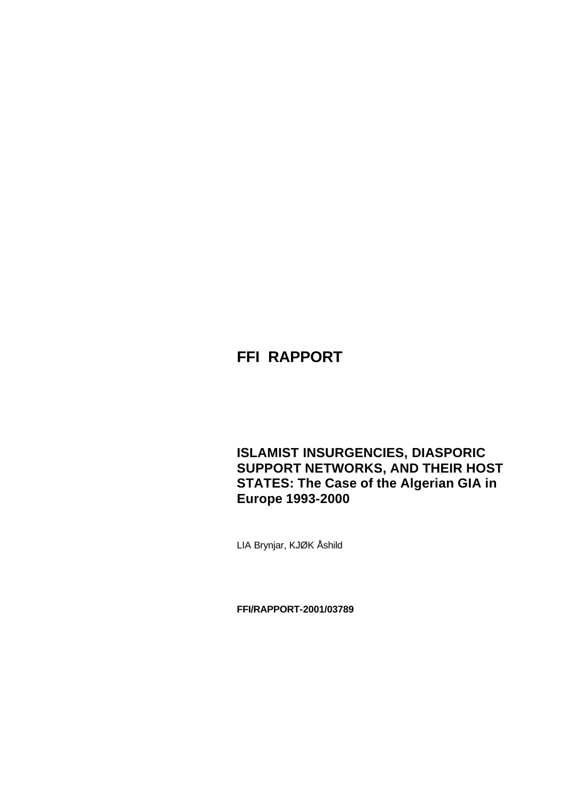# **FFI RAPPORT**

# **ISLAMIST INSURGENCIES, DIASPORIC SUPPORT NETWORKS, AND THEIR HOST STATES: The Case of the Algerian GIA in Europe 1993-2000**

LIA Brynjar, KJØK Åshild

**FFI/RAPPORT-2001/03789**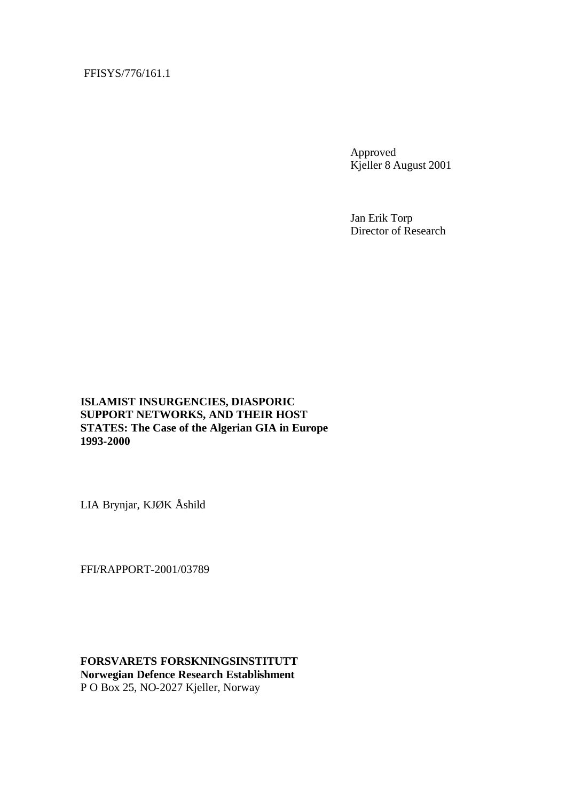FFISYS/776/161.1

Approved Kjeller 8 August 2001

Jan Erik Torp Director of Research

**ISLAMIST INSURGENCIES, DIASPORIC SUPPORT NETWORKS, AND THEIR HOST STATES: The Case of the Algerian GIA in Europe 1993-2000**

LIA Brynjar, KJØK Åshild

FFI/RAPPORT-2001/03789

**FORSVARETS FORSKNINGSINSTITUTT Norwegian Defence Research Establishment** P O Box 25, NO-2027 Kjeller, Norway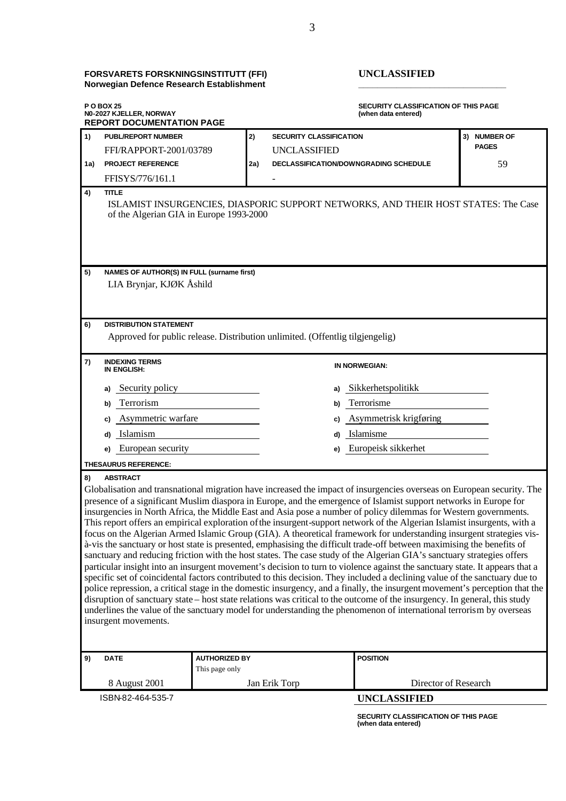#### **FORSVARETS FORSKNINGSINSTITUTT (FFI) UNCLASSIFIED Norwegian Defence Research Establishment \_\_\_\_\_\_\_\_\_\_\_\_\_\_\_\_\_\_\_\_\_\_\_\_\_\_\_\_\_\_\_**

insurgent movements.

**P O BOX 25 SECURITY CLASSIFICATION OF THIS PAGE N0-2027 KJELLER, NORWAY REPORT DOCUMENTATION PAGE 1) PUBL/REPORT NUMBER 2) SECURITY CLASSIFICATION 3) NUMBER OF**  FFI/RAPPORT-2001/03789 UNCLASSIFIED **PAGES 1a) PROJECT REFERENCE 2a) DECLASSIFICATION/DOWNGRADING SCHEDULE** 59 FFISYS/776/161.1 **4) TITLE** ISLAMIST INSURGENCIES, DIASPORIC SUPPORT NETWORKS, AND THEIR HOST STATES: The Case of the Algerian GIA in Europe 1993-2000 **5) NAMES OF AUTHOR(S) IN FULL (surname first)** LIA Brynjar, KJØK Åshild **6) DISTRIBUTION STATEMENT** Approved for public release. Distribution unlimited. (Offentlig tilgjengelig) **7) INDEXING TERMS IN ENGLISH: IN NORWEGIAN: a)** Security policy **a)** Sikkerhetspolitikk **b)** Terrorism **b)** Terrorisme **c)** Asymmetric warfare **c)** Asymmetrisk krigføring **d)** Islamism **d)** Islamisme **e)** European security **e)** Europeisk sikkerhet **THESAURUS REFERENCE: 8) ABSTRACT** Globalisation and transnational migration have increased the impact of insurgencies overseas on European security. The presence of a significant Muslim diaspora in Europe, and the emergence of Islamist support networks in Europe for insurgencies in North Africa, the Middle East and Asia pose a number of policy dilemmas for Western governments. This report offers an empirical exploration of the insurgent-support network of the Algerian Islamist insurgents, with a focus on the Algerian Armed Islamic Group (GIA). A theoretical framework for understanding insurgent strategies visà-vis the sanctuary or host state is presented, emphasising the difficult trade-off between maximising the benefits of sanctuary and reducing friction with the host states. The case study of the Algerian GIA's sanctuary strategies offers particular insight into an insurgent movement's decision to turn to violence against the sanctuary state. It appears that a specific set of coincidental factors contributed to this decision. They included a declining value of the sanctuary due to police repression, a critical stage in the domestic insurgency, and a finally, the insurgent movement's perception that the disruption of sanctuary state – host state relations was critical to the outcome of the insurgency. In general, this study underlines the value of the sanctuary model for understanding the phenomenon of international terrorism by overseas

| 9)                | <b>AUTHORIZED BY</b><br><b>DATE</b> |                | <b>POSITION</b>      |  |
|-------------------|-------------------------------------|----------------|----------------------|--|
|                   |                                     | This page only |                      |  |
|                   | 8 August 2001                       | Jan Erik Torp  | Director of Research |  |
| ISBN-82-464-535-7 |                                     |                | <b>UNCLASSIFIED</b>  |  |

**SECURITY CLASSIFICATION OF THIS PAGE (when data entered)**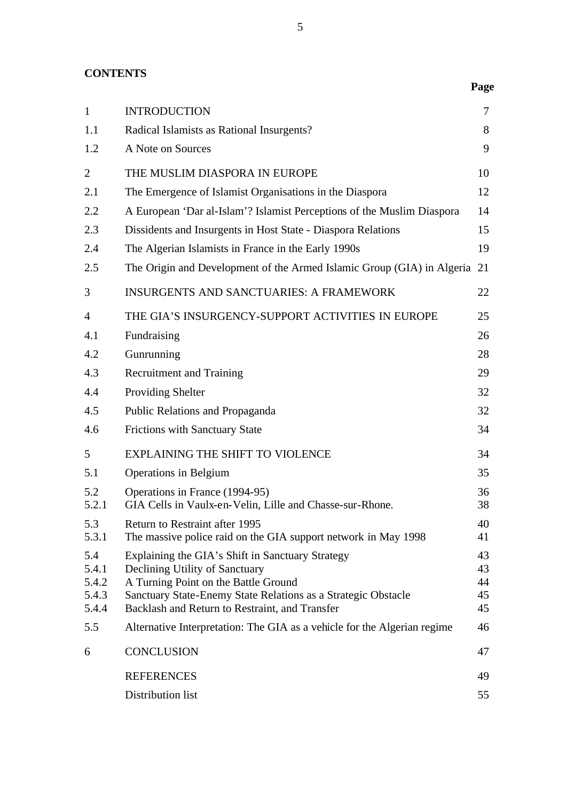# **CONTENTS**

| $\mathbf{1}$   | <b>INTRODUCTION</b>                                                                        | 7        |
|----------------|--------------------------------------------------------------------------------------------|----------|
| 1.1            | Radical Islamists as Rational Insurgents?                                                  | 8        |
| 1.2            | A Note on Sources                                                                          | 9        |
| $\overline{2}$ | THE MUSLIM DIASPORA IN EUROPE                                                              | 10       |
| 2.1            | The Emergence of Islamist Organisations in the Diaspora                                    | 12       |
| 2.2            | A European 'Dar al-Islam'? Islamist Perceptions of the Muslim Diaspora                     | 14       |
| 2.3            | Dissidents and Insurgents in Host State - Diaspora Relations                               | 15       |
| 2.4            | The Algerian Islamists in France in the Early 1990s                                        | 19       |
| 2.5            | The Origin and Development of the Armed Islamic Group (GIA) in Algeria                     | 21       |
| 3              | <b>INSURGENTS AND SANCTUARIES: A FRAMEWORK</b>                                             | 22       |
| $\overline{4}$ | THE GIA'S INSURGENCY-SUPPORT ACTIVITIES IN EUROPE                                          | 25       |
| 4.1            | Fundraising                                                                                | 26       |
| 4.2            | Gunrunning                                                                                 | 28       |
| 4.3            | <b>Recruitment and Training</b>                                                            | 29       |
| 4.4            | Providing Shelter                                                                          | 32       |
| 4.5            | Public Relations and Propaganda                                                            | 32       |
| 4.6            | <b>Frictions with Sanctuary State</b>                                                      | 34       |
| 5              | EXPLAINING THE SHIFT TO VIOLENCE                                                           | 34       |
| 5.1            | Operations in Belgium                                                                      | 35       |
| 5.2<br>5.2.1   | Operations in France (1994-95)<br>GIA Cells in Vaulx-en-Velin, Lille and Chasse-sur-Rhone. | 36<br>38 |
| 5.3            | Return to Restraint after 1995                                                             | 40       |
| 5.3.1          | The massive police raid on the GIA support network in May 1998                             | 41       |
| 5.4            | Explaining the GIA's Shift in Sanctuary Strategy                                           | 43       |
| 5.4.1<br>5.4.2 | Declining Utility of Sanctuary<br>A Turning Point on the Battle Ground                     | 43<br>44 |
| 5.4.3          | Sanctuary State-Enemy State Relations as a Strategic Obstacle                              | 45       |
| 5.4.4          | Backlash and Return to Restraint, and Transfer                                             | 45       |
| 5.5            | Alternative Interpretation: The GIA as a vehicle for the Algerian regime                   | 46       |
| 6              | CONCLUSION                                                                                 | 47       |
|                | <b>REFERENCES</b>                                                                          | 49       |
|                | Distribution list                                                                          | 55       |

**Page**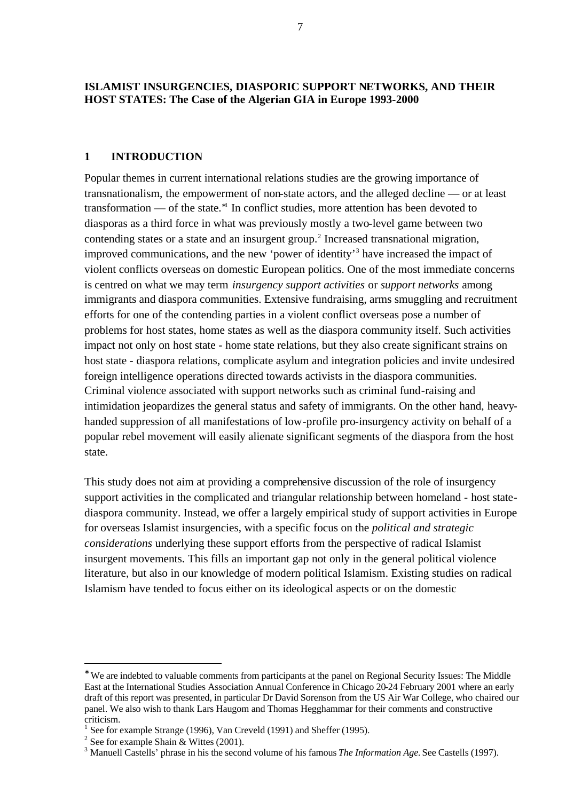#### **ISLAMIST INSURGENCIES, DIASPORIC SUPPORT NETWORKS, AND THEIR HOST STATES: The Case of the Algerian GIA in Europe 1993-2000**

#### **1 INTRODUCTION**

Popular themes in current international relations studies are the growing importance of transnationalism, the empowerment of non-state actors, and the alleged decline — or at least transformation — of the state.<sup>∗</sup><sup>1</sup> In conflict studies, more attention has been devoted to diasporas as a third force in what was previously mostly a two-level game between two contending states or a state and an insurgent group.<sup>2</sup> Increased transnational migration, improved communications, and the new 'power of identity'<sup>3</sup> have increased the impact of violent conflicts overseas on domestic European politics. One of the most immediate concerns is centred on what we may term *insurgency support activities* or *support networks* among immigrants and diaspora communities. Extensive fundraising, arms smuggling and recruitment efforts for one of the contending parties in a violent conflict overseas pose a number of problems for host states, home states as well as the diaspora community itself. Such activities impact not only on host state - home state relations, but they also create significant strains on host state - diaspora relations, complicate asylum and integration policies and invite undesired foreign intelligence operations directed towards activists in the diaspora communities. Criminal violence associated with support networks such as criminal fund-raising and intimidation jeopardizes the general status and safety of immigrants. On the other hand, heavyhanded suppression of all manifestations of low-profile pro-insurgency activity on behalf of a popular rebel movement will easily alienate significant segments of the diaspora from the host state.

This study does not aim at providing a comprehensive discussion of the role of insurgency support activities in the complicated and triangular relationship between homeland - host statediaspora community. Instead, we offer a largely empirical study of support activities in Europe for overseas Islamist insurgencies, with a specific focus on the *political and strategic considerations* underlying these support efforts from the perspective of radical Islamist insurgent movements. This fills an important gap not only in the general political violence literature, but also in our knowledge of modern political Islamism. Existing studies on radical Islamism have tended to focus either on its ideological aspects or on the domestic

<sup>∗</sup> We are indebted to valuable comments from participants at the panel on Regional Security Issues: The Middle East at the International Studies Association Annual Conference in Chicago 20-24 February 2001 where an early draft of this report was presented, in particular Dr David Sorenson from the US Air War College, who chaired our panel. We also wish to thank Lars Haugom and Thomas Hegghammar for their comments and constructive criticism.

<sup>&</sup>lt;sup>1</sup> See for example Strange (1996), Van Creveld (1991) and Sheffer (1995).

<sup>&</sup>lt;sup>2</sup> See for example Shain & Wittes (2001).

<sup>&</sup>lt;sup>3</sup> Manuell Castells' phrase in his the second volume of his famous *The Information Age*. See Castells (1997).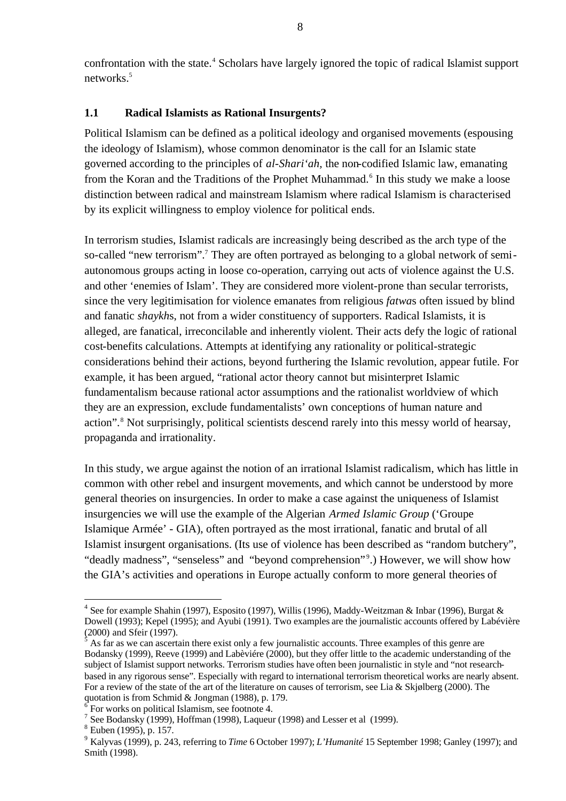confrontation with the state.<sup>4</sup> Scholars have largely ignored the topic of radical Islamist support networks.<sup>5</sup>

#### **1.1 Radical Islamists as Rational Insurgents?**

Political Islamism can be defined as a political ideology and organised movements (espousing the ideology of Islamism), whose common denominator is the call for an Islamic state governed according to the principles of *al-Shari'ah,* the non-codified Islamic law, emanating from the Koran and the Traditions of the Prophet Muhammad.<sup>6</sup> In this study we make a loose distinction between radical and mainstream Islamism where radical Islamism is characterised by its explicit willingness to employ violence for political ends.

In terrorism studies, Islamist radicals are increasingly being described as the arch type of the so-called "new terrorism".<sup>7</sup> They are often portrayed as belonging to a global network of semiautonomous groups acting in loose co-operation, carrying out acts of violence against the U.S. and other 'enemies of Islam'. They are considered more violent-prone than secular terrorists, since the very legitimisation for violence emanates from religious *fatwa*s often issued by blind and fanatic *shaykh*s, not from a wider constituency of supporters. Radical Islamists, it is alleged, are fanatical, irreconcilable and inherently violent. Their acts defy the logic of rational cost-benefits calculations. Attempts at identifying any rationality or political-strategic considerations behind their actions, beyond furthering the Islamic revolution, appear futile. For example, it has been argued, "rational actor theory cannot but misinterpret Islamic fundamentalism because rational actor assumptions and the rationalist worldview of which they are an expression, exclude fundamentalists' own conceptions of human nature and action".<sup>8</sup> Not surprisingly, political scientists descend rarely into this messy world of hearsay, propaganda and irrationality.

In this study, we argue against the notion of an irrational Islamist radicalism, which has little in common with other rebel and insurgent movements, and which cannot be understood by more general theories on insurgencies. In order to make a case against the uniqueness of Islamist insurgencies we will use the example of the Algerian *Armed Islamic Group* ('Groupe Islamique Armée' - GIA), often portrayed as the most irrational, fanatic and brutal of all Islamist insurgent organisations. (Its use of violence has been described as "random butchery", "deadly madness", "senseless" and "beyond comprehension"<sup>9</sup>.) However, we will show how the GIA's activities and operations in Europe actually conform to more general theories of

<sup>&</sup>lt;sup>4</sup> See for example Shahin (1997), Esposito (1997), Willis (1996), Maddy-Weitzman & Inbar (1996), Burgat & Dowell (1993); Kepel (1995); and Ayubi (1991). Two examples are the journalistic accounts offered by Labévière (2000) and Sfeir (1997).

 $\hat{5}$  As far as we can ascertain there exist only a few journalistic accounts. Three examples of this genre are Bodansky (1999), Reeve (1999) and Labèviére (2000), but they offer little to the academic understanding of the subject of Islamist support networks. Terrorism studies have often been journalistic in style and "not researchbased in any rigorous sense". Especially with regard to international terrorism theoretical works are nearly absent. For a review of the state of the art of the literature on causes of terrorism, see Lia & Skjølberg (2000). The quotation is from Schmid & Jongman (1988), p. 179.

<sup>&</sup>lt;sup>6</sup> For works on political Islamism, see footnote 4.

<sup>&</sup>lt;sup>7</sup> See Bodansky (1999), Hoffman (1998), Laqueur (1998) and Lesser et al (1999).

<sup>8</sup> Euben (1995), p. 157.

<sup>9</sup> Kalyvas (1999), p. 243, referring to *Time* 6 October 1997); *L'Humanité* 15 September 1998; Ganley (1997); and Smith (1998).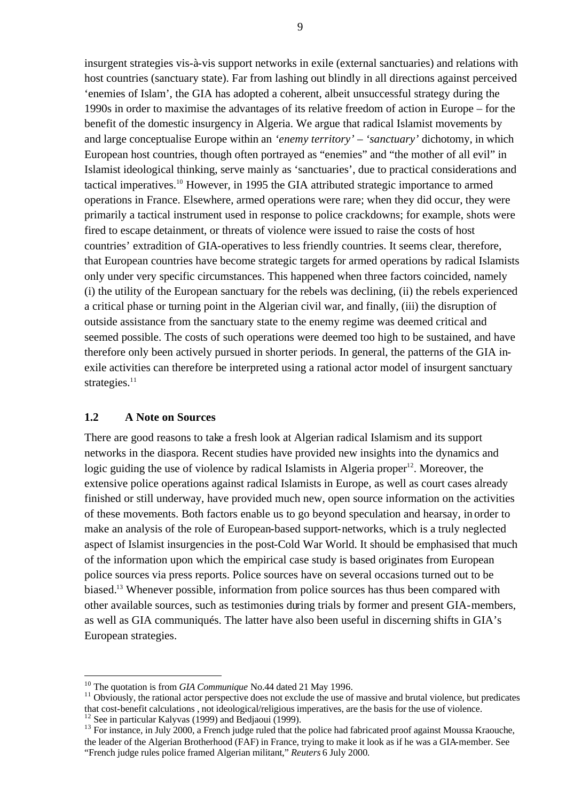insurgent strategies vis-à-vis support networks in exile (external sanctuaries) and relations with host countries (sanctuary state). Far from lashing out blindly in all directions against perceived 'enemies of Islam', the GIA has adopted a coherent, albeit unsuccessful strategy during the 1990s in order to maximise the advantages of its relative freedom of action in Europe – for the benefit of the domestic insurgency in Algeria. We argue that radical Islamist movements by and large conceptualise Europe within an *'enemy territory' – 'sanctuary'* dichotomy, in which European host countries, though often portrayed as "enemies" and "the mother of all evil" in Islamist ideological thinking, serve mainly as 'sanctuaries', due to practical considerations and tactical imperatives.<sup>10</sup> However, in 1995 the GIA attributed strategic importance to armed operations in France. Elsewhere, armed operations were rare; when they did occur, they were primarily a tactical instrument used in response to police crackdowns; for example, shots were fired to escape detainment, or threats of violence were issued to raise the costs of host countries' extradition of GIA-operatives to less friendly countries. It seems clear, therefore, that European countries have become strategic targets for armed operations by radical Islamists only under very specific circumstances. This happened when three factors coincided, namely (i) the utility of the European sanctuary for the rebels was declining, (ii) the rebels experienced a critical phase or turning point in the Algerian civil war, and finally, (iii) the disruption of outside assistance from the sanctuary state to the enemy regime was deemed critical and seemed possible. The costs of such operations were deemed too high to be sustained, and have therefore only been actively pursued in shorter periods. In general, the patterns of the GIA inexile activities can therefore be interpreted using a rational actor model of insurgent sanctuary strategies. $11$ 

#### **1.2 A Note on Sources**

 $\overline{a}$ 

There are good reasons to take a fresh look at Algerian radical Islamism and its support networks in the diaspora. Recent studies have provided new insights into the dynamics and logic guiding the use of violence by radical Islamists in Algeria proper<sup>12</sup>. Moreover, the extensive police operations against radical Islamists in Europe, as well as court cases already finished or still underway, have provided much new, open source information on the activities of these movements. Both factors enable us to go beyond speculation and hearsay, in order to make an analysis of the role of European-based support-networks, which is a truly neglected aspect of Islamist insurgencies in the post-Cold War World. It should be emphasised that much of the information upon which the empirical case study is based originates from European police sources via press reports. Police sources have on several occasions turned out to be biased.<sup>13</sup> Whenever possible, information from police sources has thus been compared with other available sources, such as testimonies during trials by former and present GIA-members, as well as GIA communiqués. The latter have also been useful in discerning shifts in GIA's European strategies.

<sup>&</sup>lt;sup>10</sup> The quotation is from *GIA Communique* No.44 dated 21 May 1996.

 $11$  Obviously, the rational actor perspective does not exclude the use of massive and brutal violence, but predicates that cost-benefit calculations , not ideological/religious imperatives, are the basis for the use of violence. <sup>12</sup> See in particular Kalyvas (1999) and Bedjaoui (1999).

<sup>&</sup>lt;sup>13</sup> For instance, in July 2000, a French judge ruled that the police had fabricated proof against Moussa Kraouche, the leader of the Algerian Brotherhood (FAF) in France, trying to make it look as if he was a GIA-member. See "French judge rules police framed Algerian militant," *Reuters* 6 July 2000*.*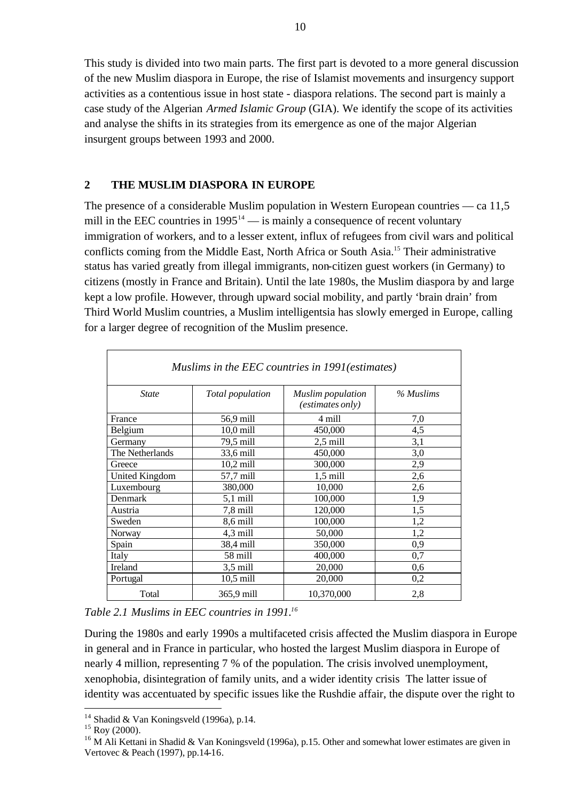This study is divided into two main parts. The first part is devoted to a more general discussion of the new Muslim diaspora in Europe, the rise of Islamist movements and insurgency support activities as a contentious issue in host state - diaspora relations. The second part is mainly a case study of the Algerian *Armed Islamic Group* (GIA). We identify the scope of its activities and analyse the shifts in its strategies from its emergence as one of the major Algerian insurgent groups between 1993 and 2000.

#### **2 THE MUSLIM DIASPORA IN EUROPE**

The presence of a considerable Muslim population in Western European countries — ca 11,5 mill in the EEC countries in  $1995^{14}$  — is mainly a consequence of recent voluntary immigration of workers, and to a lesser extent, influx of refugees from civil wars and political conflicts coming from the Middle East, North Africa or South Asia.<sup>15</sup> Their administrative status has varied greatly from illegal immigrants, non-citizen guest workers (in Germany) to citizens (mostly in France and Britain). Until the late 1980s, the Muslim diaspora by and large kept a low profile. However, through upward social mobility, and partly 'brain drain' from Third World Muslim countries, a Muslim intelligentsia has slowly emerged in Europe, calling for a larger degree of recognition of the Muslim presence.

| Muslims in the EEC countries in 1991 (estimates) |                  |                                                     |           |  |  |  |
|--------------------------------------------------|------------------|-----------------------------------------------------|-----------|--|--|--|
| <b>State</b>                                     | Total population | <b>Muslim</b> population<br><i>(estimates only)</i> | % Muslims |  |  |  |
| France                                           | 56,9 mill        | 4 mill                                              | 7,0       |  |  |  |
| Belgium                                          | $10,0$ mill      | 450,000                                             | 4,5       |  |  |  |
| Germany                                          | 79,5 mill        | $2,5$ mill                                          | 3,1       |  |  |  |
| The Netherlands                                  | 33,6 mill        | 450,000                                             | 3,0       |  |  |  |
| Greece                                           | $10,2$ mill      | 300,000                                             | 2,9       |  |  |  |
| <b>United Kingdom</b>                            | 57,7 mill        | $1,5$ mill                                          | 2,6       |  |  |  |
| Luxembourg                                       | 380,000          | 10,000                                              | 2,6       |  |  |  |
| Denmark                                          | $5,1$ mill       | 100,000                                             | 1,9       |  |  |  |
| Austria                                          | 7,8 mill         | 120,000                                             | 1,5       |  |  |  |
| Sweden                                           | 8,6 mill         | 100,000                                             | 1,2       |  |  |  |
| Norway                                           | 4,3 mill         | 50,000                                              | 1,2       |  |  |  |
| Spain                                            | 38,4 mill        | 350,000                                             | 0,9       |  |  |  |
| Italy                                            | 58 mill          | 400,000                                             | 0,7       |  |  |  |
| Ireland                                          | $3,5$ mill       | 20,000                                              | 0,6       |  |  |  |
| Portugal                                         | $10,5$ mill      | 20,000                                              | 0,2       |  |  |  |
| Total                                            | 365,9 mill       | 10,370,000                                          | 2,8       |  |  |  |

#### *Table 2.1 Muslims in EEC countries in 1991.<sup>16</sup>*

During the 1980s and early 1990s a multifaceted crisis affected the Muslim diaspora in Europe in general and in France in particular, who hosted the largest Muslim diaspora in Europe of nearly 4 million, representing 7 % of the population. The crisis involved unemployment, xenophobia, disintegration of family units, and a wider identity crisis The latter issue of identity was accentuated by specific issues like the Rushdie affair, the dispute over the right to

<sup>&</sup>lt;sup>14</sup> Shadid & Van Koningsveld (1996a), p.14.

 $15$  Roy (2000).

<sup>&</sup>lt;sup>16</sup> M Ali Kettani in Shadid & Van Koningsveld (1996a), p.15. Other and somewhat lower estimates are given in Vertovec & Peach (1997), pp.14-16.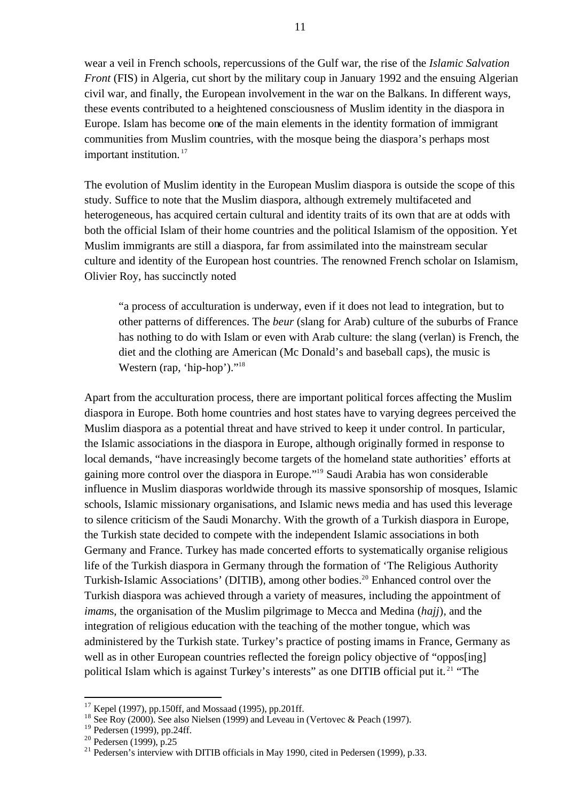wear a veil in French schools, repercussions of the Gulf war, the rise of the *Islamic Salvation Front* (FIS) in Algeria, cut short by the military coup in January 1992 and the ensuing Algerian civil war, and finally, the European involvement in the war on the Balkans. In different ways, these events contributed to a heightened consciousness of Muslim identity in the diaspora in Europe. Islam has become one of the main elements in the identity formation of immigrant communities from Muslim countries, with the mosque being the diaspora's perhaps most important institution.<sup>17</sup>

The evolution of Muslim identity in the European Muslim diaspora is outside the scope of this study. Suffice to note that the Muslim diaspora, although extremely multifaceted and heterogeneous, has acquired certain cultural and identity traits of its own that are at odds with both the official Islam of their home countries and the political Islamism of the opposition. Yet Muslim immigrants are still a diaspora, far from assimilated into the mainstream secular culture and identity of the European host countries. The renowned French scholar on Islamism, Olivier Roy, has succinctly noted

"a process of acculturation is underway, even if it does not lead to integration, but to other patterns of differences. The *beur* (slang for Arab) culture of the suburbs of France has nothing to do with Islam or even with Arab culture: the slang (verlan) is French, the diet and the clothing are American (Mc Donald's and baseball caps), the music is Western (rap, 'hip-hop')."<sup>18</sup>

Apart from the acculturation process, there are important political forces affecting the Muslim diaspora in Europe. Both home countries and host states have to varying degrees perceived the Muslim diaspora as a potential threat and have strived to keep it under control. In particular, the Islamic associations in the diaspora in Europe, although originally formed in response to local demands, "have increasingly become targets of the homeland state authorities' efforts at gaining more control over the diaspora in Europe."<sup>19</sup> Saudi Arabia has won considerable influence in Muslim diasporas worldwide through its massive sponsorship of mosques, Islamic schools, Islamic missionary organisations, and Islamic news media and has used this leverage to silence criticism of the Saudi Monarchy. With the growth of a Turkish diaspora in Europe, the Turkish state decided to compete with the independent Islamic associations in both Germany and France. Turkey has made concerted efforts to systematically organise religious life of the Turkish diaspora in Germany through the formation of 'The Religious Authority Turkish-Islamic Associations' (DITIB), among other bodies.<sup>20</sup> Enhanced control over the Turkish diaspora was achieved through a variety of measures, including the appointment of *imam*s, the organisation of the Muslim pilgrimage to Mecca and Medina (*hajj*)*,* and the integration of religious education with the teaching of the mother tongue, which was administered by the Turkish state. Turkey's practice of posting imams in France, Germany as well as in other European countries reflected the foreign policy objective of "opposespolitical Islam which is against Turkey's interests" as one DITIB official put it. <sup>21</sup> "The

l

 $17$  Kepel (1997), pp.150ff, and Mossaad (1995), pp.201ff.

<sup>&</sup>lt;sup>18</sup> See Roy (2000). See also Nielsen (1999) and Leveau in (Vertovec & Peach (1997).

<sup>&</sup>lt;sup>19</sup> Pedersen (1999), pp.24ff.

 $20$  Pedersen (1999), p.25

<sup>21</sup> Pedersen's interview with DITIB officials in May 1990, cited in Pedersen (1999)*,* p.33.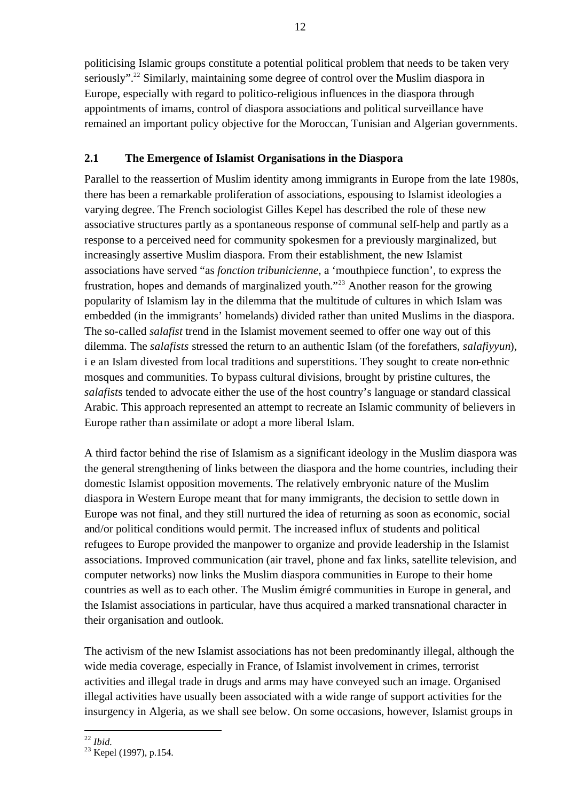politicising Islamic groups constitute a potential political problem that needs to be taken very seriously".<sup>22</sup> Similarly, maintaining some degree of control over the Muslim diaspora in Europe, especially with regard to politico-religious influences in the diaspora through appointments of imams, control of diaspora associations and political surveillance have remained an important policy objective for the Moroccan, Tunisian and Algerian governments.

### **2.1 The Emergence of Islamist Organisations in the Diaspora**

Parallel to the reassertion of Muslim identity among immigrants in Europe from the late 1980s, there has been a remarkable proliferation of associations, espousing to Islamist ideologies a varying degree. The French sociologist Gilles Kepel has described the role of these new associative structures partly as a spontaneous response of communal self-help and partly as a response to a perceived need for community spokesmen for a previously marginalized, but increasingly assertive Muslim diaspora. From their establishment, the new Islamist associations have served "as *fonction tribunicienne,* a 'mouthpiece function', to express the frustration, hopes and demands of marginalized youth."<sup>23</sup> Another reason for the growing popularity of Islamism lay in the dilemma that the multitude of cultures in which Islam was embedded (in the immigrants' homelands) divided rather than united Muslims in the diaspora. The so-called *salafist* trend in the Islamist movement seemed to offer one way out of this dilemma. The *salafists* stressed the return to an authentic Islam (of the forefathers, *salafiyyun*), i e an Islam divested from local traditions and superstitions. They sought to create non-ethnic mosques and communities. To bypass cultural divisions, brought by pristine cultures, the *salafist*s tended to advocate either the use of the host country's language or standard classical Arabic. This approach represented an attempt to recreate an Islamic community of believers in Europe rather than assimilate or adopt a more liberal Islam.

A third factor behind the rise of Islamism as a significant ideology in the Muslim diaspora was the general strengthening of links between the diaspora and the home countries, including their domestic Islamist opposition movements. The relatively embryonic nature of the Muslim diaspora in Western Europe meant that for many immigrants, the decision to settle down in Europe was not final, and they still nurtured the idea of returning as soon as economic, social and/or political conditions would permit. The increased influx of students and political refugees to Europe provided the manpower to organize and provide leadership in the Islamist associations. Improved communication (air travel, phone and fax links, satellite television, and computer networks) now links the Muslim diaspora communities in Europe to their home countries as well as to each other. The Muslim émigré communities in Europe in general, and the Islamist associations in particular, have thus acquired a marked transnational character in their organisation and outlook.

The activism of the new Islamist associations has not been predominantly illegal, although the wide media coverage, especially in France, of Islamist involvement in crimes, terrorist activities and illegal trade in drugs and arms may have conveyed such an image. Organised illegal activities have usually been associated with a wide range of support activities for the insurgency in Algeria, as we shall see below. On some occasions, however, Islamist groups in

 $\overline{a}$ <sup>22</sup> *Ibid.*

 $^{101a}$ .<br><sup>23</sup> Kepel (1997), p.154.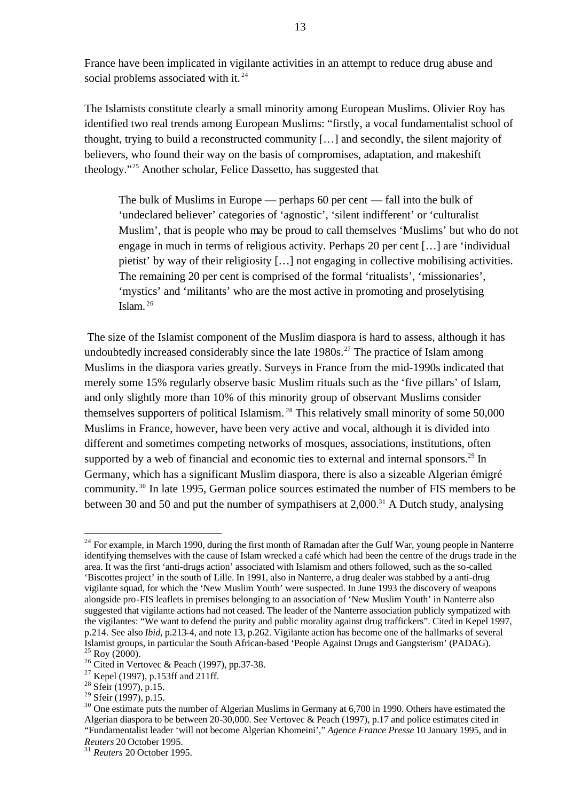France have been implicated in vigilante activities in an attempt to reduce drug abuse and social problems associated with it.<sup>24</sup>

The Islamists constitute clearly a small minority among European Muslims. Olivier Roy has identified two real trends among European Muslims: "firstly, a vocal fundamentalist school of thought, trying to build a reconstructed community […] and secondly, the silent majority of believers, who found their way on the basis of compromises, adaptation, and makeshift theology."<sup>25</sup> Another scholar, Felice Dassetto, has suggested that

The bulk of Muslims in Europe — perhaps 60 per cent — fall into the bulk of 'undeclared believer' categories of 'agnostic', 'silent indifferent' or 'culturalist Muslim', that is people who may be proud to call themselves 'Muslims' but who do not engage in much in terms of religious activity. Perhaps 20 per cent […] are 'individual pietist' by way of their religiosity […] not engaging in collective mobilising activities. The remaining 20 per cent is comprised of the formal 'ritualists', 'missionaries', 'mystics' and 'militants' who are the most active in promoting and proselytising Islam. <sup>26</sup>

 The size of the Islamist component of the Muslim diaspora is hard to assess, although it has undoubtedly increased considerably since the late  $1980s$ <sup>27</sup>. The practice of Islam among Muslims in the diaspora varies greatly. Surveys in France from the mid-1990s indicated that merely some 15% regularly observe basic Muslim rituals such as the 'five pillars' of Islam, and only slightly more than 10% of this minority group of observant Muslims consider themselves supporters of political Islamism. <sup>28</sup> This relatively small minority of some 50,000 Muslims in France, however, have been very active and vocal, although it is divided into different and sometimes competing networks of mosques, associations, institutions, often supported by a web of financial and economic ties to external and internal sponsors.<sup>29</sup> In Germany, which has a significant Muslim diaspora, there is also a sizeable Algerian émigré community. <sup>30</sup> In late 1995, German police sources estimated the number of FIS members to be between 30 and 50 and put the number of sympathisers at  $2,000$ .<sup>31</sup> A Dutch study, analysing

<sup>&</sup>lt;sup>24</sup> For example. in March 1990, during the first month of Ramadan after the Gulf War, young people in Nanterre identifying themselves with the cause of Islam wrecked a café which had been the centre of the drugs trade in the area. It was the first 'anti-drugs action' associated with Islamism and others followed, such as the so-called 'Biscottes project' in the south of Lille. In 1991, also in Nanterre, a drug dealer was stabbed by a anti-drug vigilante squad, for which the 'New Muslim Youth' were suspected. In June 1993 the discovery of weapons alongside pro-FIS leaflets in premises belonging to an association of 'New Muslim Youth' in Nanterre also suggested that vigilante actions had not ceased. The leader of the Nanterre association publicly sympatized with the vigilantes: "We want to defend the purity and public morality against drug traffickers". Cited in Kepel 1997, p.214. See also *Ibid,* p.213-4, and note 13, p.262. Vigilante action has become one of the hallmarks of several Islamist groups, in particular the South African-based 'People Against Drugs and Gangsterism' (PADAG).  $25$  Roy (2000).

<sup>&</sup>lt;sup>26</sup> Cited in Vertovec & Peach (1997), pp.37-38.

 $27$  Kepel (1997), p.153ff and 211ff.

 $^{28}$  Sfeir (1997), p.15.

 $29$  Sfeir (1997), p.15.

 $30$  One estimate puts the number of Algerian Muslims in Germany at 6,700 in 1990. Others have estimated the Algerian diaspora to be between 20-30,000. See Vertovec & Peach (1997), p.17 and police estimates cited in "Fundamentalist leader 'will not become Algerian Khomeini'," *Agence France Presse* 10 January 1995, and in *Reuters* 20 October 1995.

<sup>31</sup> *Reuters* 20 October 1995.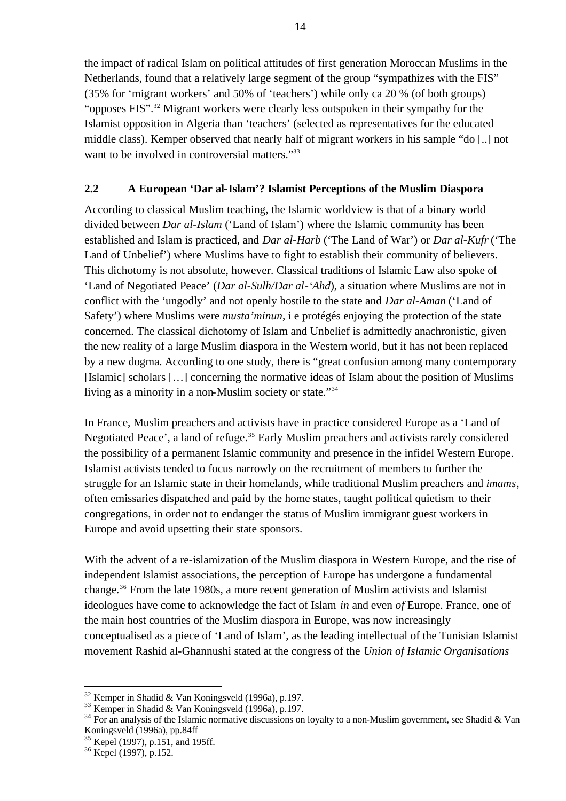the impact of radical Islam on political attitudes of first generation Moroccan Muslims in the Netherlands, found that a relatively large segment of the group "sympathizes with the FIS" (35% for 'migrant workers' and 50% of 'teachers') while only ca 20 % (of both groups) "opposes FIS".<sup>32</sup> Migrant workers were clearly less outspoken in their sympathy for the Islamist opposition in Algeria than 'teachers' (selected as representatives for the educated middle class). Kemper observed that nearly half of migrant workers in his sample "do [..] not want to be involved in controversial matters."<sup>33</sup>

### **2.2 A European 'Dar al-Islam'? Islamist Perceptions of the Muslim Diaspora**

According to classical Muslim teaching, the Islamic worldview is that of a binary world divided between *Dar al-Islam* ('Land of Islam') where the Islamic community has been established and Islam is practiced, and *Dar al-Harb* ('The Land of War') or *Dar al-Kufr* ('The Land of Unbelief') where Muslims have to fight to establish their community of believers. This dichotomy is not absolute, however. Classical traditions of Islamic Law also spoke of 'Land of Negotiated Peace' (*Dar al-Sulh/Dar al-'Ahd*), a situation where Muslims are not in conflict with the 'ungodly' and not openly hostile to the state and *Dar al-Aman* ('Land of Safety') where Muslims were *musta'minun*, i e protégés enjoying the protection of the state concerned. The classical dichotomy of Islam and Unbelief is admittedly anachronistic, given the new reality of a large Muslim diaspora in the Western world, but it has not been replaced by a new dogma. According to one study, there is "great confusion among many contemporary [Islamic] scholars […] concerning the normative ideas of Islam about the position of Muslims living as a minority in a non-Muslim society or state."<sup>34</sup>

In France, Muslim preachers and activists have in practice considered Europe as a 'Land of Negotiated Peace', a land of refuge.<sup>35</sup> Early Muslim preachers and activists rarely considered the possibility of a permanent Islamic community and presence in the infidel Western Europe. Islamist activists tended to focus narrowly on the recruitment of members to further the struggle for an Islamic state in their homelands, while traditional Muslim preachers and *imams*, often emissaries dispatched and paid by the home states, taught political quietism to their congregations, in order not to endanger the status of Muslim immigrant guest workers in Europe and avoid upsetting their state sponsors.

With the advent of a re-islamization of the Muslim diaspora in Western Europe, and the rise of independent Islamist associations, the perception of Europe has undergone a fundamental change.<sup>36</sup> From the late 1980s, a more recent generation of Muslim activists and Islamist ideologues have come to acknowledge the fact of Islam *in* and even *of* Europe. France, one of the main host countries of the Muslim diaspora in Europe, was now increasingly conceptualised as a piece of 'Land of Islam', as the leading intellectual of the Tunisian Islamist movement Rashid al-Ghannushi stated at the congress of the *Union of Islamic Organisations* 

 $32$  Kemper in Shadid & Van Koningsveld (1996a), p.197.

 $33$  Kemper in Shadid & Van Koningsveld (1996a), p.197.

<sup>&</sup>lt;sup>34</sup> For an analysis of the Islamic normative discussions on loyalty to a non-Muslim government, see Shadid & Van Koningsveld (1996a), pp.84ff

<sup>&</sup>lt;sup>35</sup> Kepel (1997), p.151, and 195ff.

<sup>36</sup> Kepel (1997), p.152.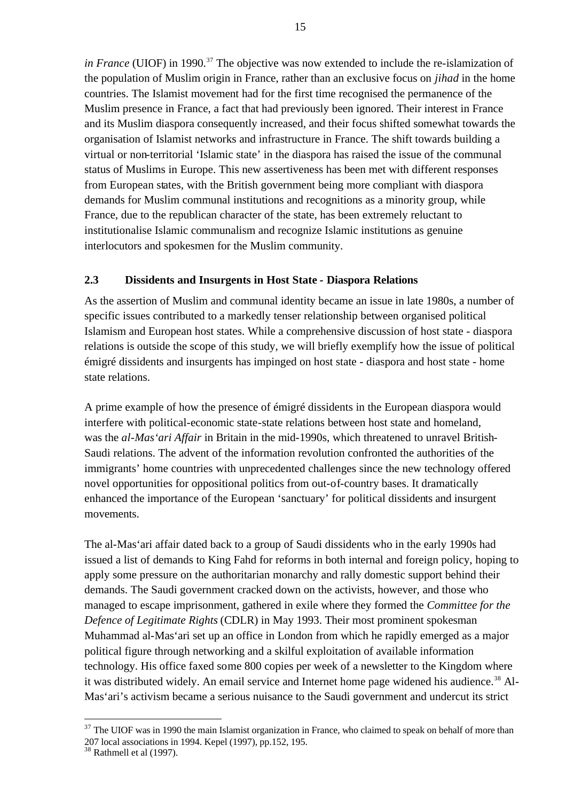*in France* (UIOF) in 1990.<sup>37</sup> The objective was now extended to include the re-islamization of the population of Muslim origin in France, rather than an exclusive focus on *jihad* in the home countries. The Islamist movement had for the first time recognised the permanence of the Muslim presence in France, a fact that had previously been ignored. Their interest in France and its Muslim diaspora consequently increased, and their focus shifted somewhat towards the organisation of Islamist networks and infrastructure in France. The shift towards building a virtual or non-territorial 'Islamic state' in the diaspora has raised the issue of the communal status of Muslims in Europe. This new assertiveness has been met with different responses from European states, with the British government being more compliant with diaspora demands for Muslim communal institutions and recognitions as a minority group, while France, due to the republican character of the state, has been extremely reluctant to institutionalise Islamic communalism and recognize Islamic institutions as genuine interlocutors and spokesmen for the Muslim community.

#### **2.3 Dissidents and Insurgents in Host State - Diaspora Relations**

As the assertion of Muslim and communal identity became an issue in late 1980s, a number of specific issues contributed to a markedly tenser relationship between organised political Islamism and European host states. While a comprehensive discussion of host state - diaspora relations is outside the scope of this study, we will briefly exemplify how the issue of political émigré dissidents and insurgents has impinged on host state - diaspora and host state - home state relations.

A prime example of how the presence of émigré dissidents in the European diaspora would interfere with political-economic state-state relations between host state and homeland, was the *al-Mas'ari Affair* in Britain in the mid-1990s, which threatened to unravel British-Saudi relations. The advent of the information revolution confronted the authorities of the immigrants' home countries with unprecedented challenges since the new technology offered novel opportunities for oppositional politics from out-of-country bases. It dramatically enhanced the importance of the European 'sanctuary' for political dissidents and insurgent movements.

The al-Mas'ari affair dated back to a group of Saudi dissidents who in the early 1990s had issued a list of demands to King Fahd for reforms in both internal and foreign policy, hoping to apply some pressure on the authoritarian monarchy and rally domestic support behind their demands. The Saudi government cracked down on the activists, however, and those who managed to escape imprisonment, gathered in exile where they formed the *Committee for the Defence of Legitimate Rights* (CDLR) in May 1993. Their most prominent spokesman Muhammad al-Mas'ari set up an office in London from which he rapidly emerged as a major political figure through networking and a skilful exploitation of available information technology. His office faxed some 800 copies per week of a newsletter to the Kingdom where it was distributed widely. An email service and Internet home page widened his audience.<sup>38</sup> Al-Mas'ari's activism became a serious nuisance to the Saudi government and undercut its strict

<sup>&</sup>lt;sup>37</sup> The UIOF was in 1990 the main Islamist organization in France, who claimed to speak on behalf of more than 207 local associations in 1994. Kepel (1997), pp.152, 195.

 $38$  Rathmell et al (1997).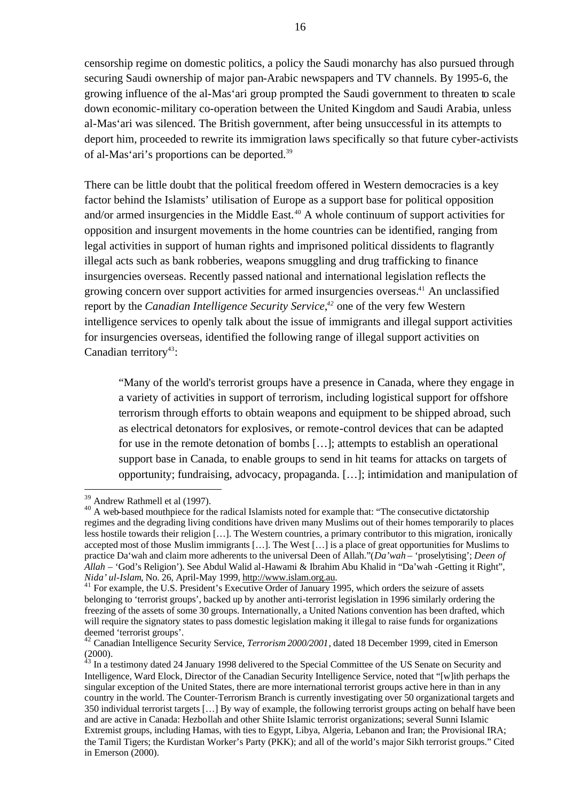censorship regime on domestic politics, a policy the Saudi monarchy has also pursued through securing Saudi ownership of major pan-Arabic newspapers and TV channels. By 1995-6, the growing influence of the al-Mas'ari group prompted the Saudi government to threaten to scale down economic-military co-operation between the United Kingdom and Saudi Arabia, unless al-Mas'ari was silenced. The British government, after being unsuccessful in its attempts to deport him, proceeded to rewrite its immigration laws specifically so that future cyber-activists of al-Mas'ari's proportions can be deported.<sup>39</sup>

There can be little doubt that the political freedom offered in Western democracies is a key factor behind the Islamists' utilisation of Europe as a support base for political opposition and/or armed insurgencies in the Middle East.<sup>40</sup> A whole continuum of support activities for opposition and insurgent movements in the home countries can be identified, ranging from legal activities in support of human rights and imprisoned political dissidents to flagrantly illegal acts such as bank robberies, weapons smuggling and drug trafficking to finance insurgencies overseas. Recently passed national and international legislation reflects the growing concern over support activities for armed insurgencies overseas.<sup>41</sup> An unclassified report by the *Canadian Intelligence Security Service*, *<sup>42</sup>* one of the very few Western intelligence services to openly talk about the issue of immigrants and illegal support activities for insurgencies overseas, identified the following range of illegal support activities on Canadian territory<sup>43</sup>:

"Many of the world's terrorist groups have a presence in Canada, where they engage in a variety of activities in support of terrorism, including logistical support for offshore terrorism through efforts to obtain weapons and equipment to be shipped abroad, such as electrical detonators for explosives, or remote-control devices that can be adapted for use in the remote detonation of bombs […]; attempts to establish an operational support base in Canada, to enable groups to send in hit teams for attacks on targets of opportunity; fundraising, advocacy, propaganda. […]; intimidation and manipulation of

<sup>39</sup> Andrew Rathmell et al (1997).

<sup>&</sup>lt;sup>40</sup> A web-based mouthpiece for the radical Islamists noted for example that: "The consecutive dictatorship regimes and the degrading living conditions have driven many Muslims out of their homes temporarily to places less hostile towards their religion […]. The Western countries, a primary contributor to this migration, ironically accepted most of those Muslim immigrants […]. The West […] is a place of great opportunities for Muslims to practice Da'wah and claim more adherents to the universal Deen of Allah."(*Da'wah* – 'proselytising'; *Deen of Allah* – 'God's Religion'). See Abdul Walid al-Hawami & Ibrahim Abu Khalid in "Da'wah -Getting it Right", *Nida' ul-Islam*, No. 26, April-May 1999, http://www.islam.org.au.

<sup>&</sup>lt;sup>41</sup> For example, the U.S. President's Executive Order of January 1995, which orders the seizure of assets belonging to 'terrorist groups', backed up by another anti-terrorist legislation in 1996 similarly ordering the freezing of the assets of some 30 groups. Internationally, a United Nations convention has been drafted, which will require the signatory states to pass domestic legislation making it illegal to raise funds for organizations deemed 'terrorist groups'.

<sup>&</sup>lt;sup>42</sup> Canadian Intelligence Security Service, *Terrorism 2000/2001*, dated 18 December 1999, cited in Emerson (2000).

 $43$  In a testimony dated 24 January 1998 delivered to the Special Committee of the US Senate on Security and Intelligence, Ward Elock, Director of the Canadian Security Intelligence Service, noted that "[w]ith perhaps the singular exception of the United States, there are more international terrorist groups active here in than in any country in the world. The Counter-Terrorism Branch is currently investigating over 50 organizational targets and 350 individual terrorist targets […] By way of example, the following terrorist groups acting on behalf have been and are active in Canada: Hezbollah and other Shiite Islamic terrorist organizations; several Sunni Islamic Extremist groups, including Hamas, with ties to Egypt, Libya, Algeria, Lebanon and Iran; the Provisional IRA; the Tamil Tigers; the Kurdistan Worker's Party (PKK); and all of the world's major Sikh terrorist groups." Cited in Emerson (2000).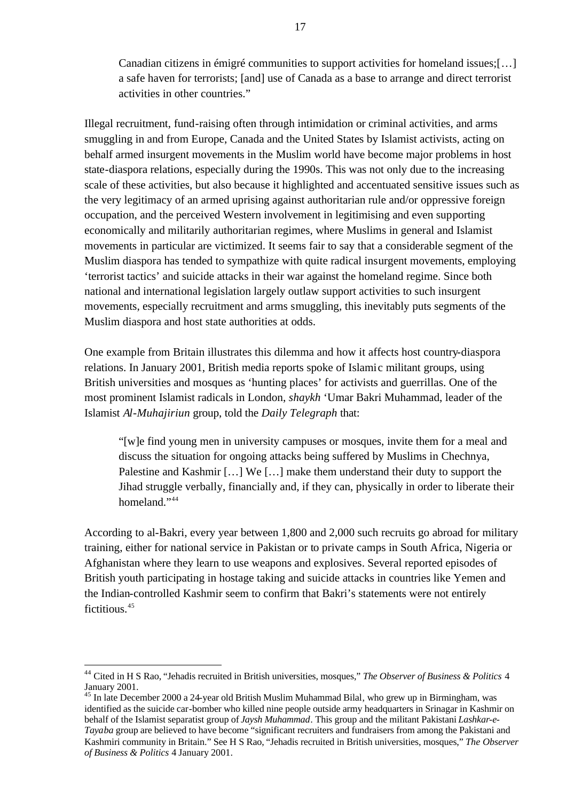Canadian citizens in émigré communities to support activities for homeland issues;[…] a safe haven for terrorists; [and] use of Canada as a base to arrange and direct terrorist activities in other countries."

Illegal recruitment, fund-raising often through intimidation or criminal activities, and arms smuggling in and from Europe, Canada and the United States by Islamist activists, acting on behalf armed insurgent movements in the Muslim world have become major problems in host state-diaspora relations, especially during the 1990s. This was not only due to the increasing scale of these activities, but also because it highlighted and accentuated sensitive issues such as the very legitimacy of an armed uprising against authoritarian rule and/or oppressive foreign occupation, and the perceived Western involvement in legitimising and even supporting economically and militarily authoritarian regimes, where Muslims in general and Islamist movements in particular are victimized. It seems fair to say that a considerable segment of the Muslim diaspora has tended to sympathize with quite radical insurgent movements, employing 'terrorist tactics' and suicide attacks in their war against the homeland regime. Since both national and international legislation largely outlaw support activities to such insurgent movements, especially recruitment and arms smuggling, this inevitably puts segments of the Muslim diaspora and host state authorities at odds.

One example from Britain illustrates this dilemma and how it affects host country-diaspora relations. In January 2001, British media reports spoke of Islamic militant groups, using British universities and mosques as 'hunting places' for activists and guerrillas. One of the most prominent Islamist radicals in London, *shaykh* 'Umar Bakri Muhammad, leader of the Islamist *Al-Muhajiriun* group, told the *Daily Telegraph* that:

"[w]e find young men in university campuses or mosques, invite them for a meal and discuss the situation for ongoing attacks being suffered by Muslims in Chechnya, Palestine and Kashmir [...] We [...] make them understand their duty to support the Jihad struggle verbally, financially and, if they can, physically in order to liberate their homeland<sup>"44</sup>

According to al-Bakri, every year between 1,800 and 2,000 such recruits go abroad for military training, either for national service in Pakistan or to private camps in South Africa, Nigeria or Afghanistan where they learn to use weapons and explosives. Several reported episodes of British youth participating in hostage taking and suicide attacks in countries like Yemen and the Indian-controlled Kashmir seem to confirm that Bakri's statements were not entirely fictitious.<sup>45</sup>

<sup>44</sup> Cited in H S Rao, "Jehadis recruited in British universities, mosques," *The Observer of Business & Politics* 4 January 2001.

<sup>&</sup>lt;sup>45</sup> In late December 2000 a 24-year old British Muslim Muhammad Bilal, who grew up in Birmingham, was identified as the suicide car-bomber who killed nine people outside army headquarters in Srinagar in Kashmir on behalf of the Islamist separatist group of *Jaysh Muhammad*. This group and the militant Pakistani *Lashkar-e-Tayaba* group are believed to have become "significant recruiters and fundraisers from among the Pakistani and Kashmiri community in Britain." See H S Rao, "Jehadis recruited in British universities, mosques," *The Observer of Business & Politics* 4 January 2001.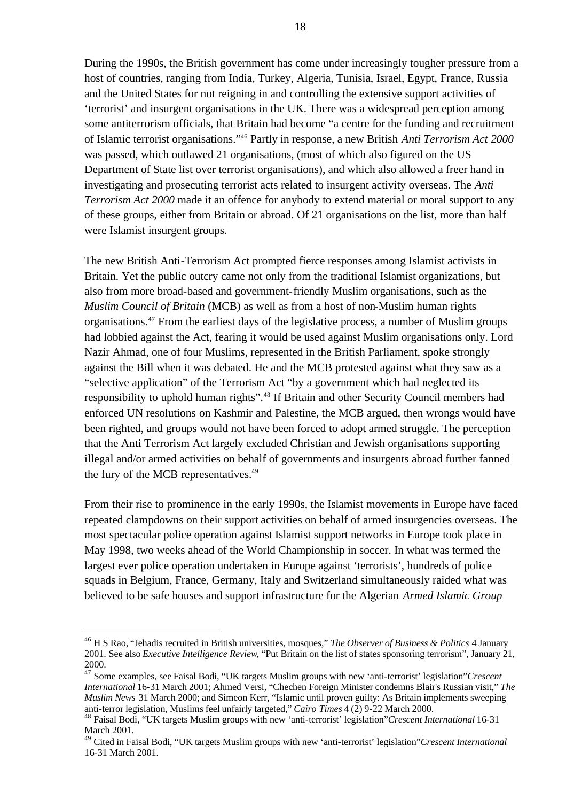During the 1990s, the British government has come under increasingly tougher pressure from a host of countries, ranging from India, Turkey, Algeria, Tunisia, Israel, Egypt, France, Russia and the United States for not reigning in and controlling the extensive support activities of 'terrorist' and insurgent organisations in the UK. There was a widespread perception among some antiterrorism officials, that Britain had become "a centre for the funding and recruitment of Islamic terrorist organisations."<sup>46</sup> Partly in response, a new British *Anti Terrorism Act 2000*  was passed, which outlawed 21 organisations, (most of which also figured on the US Department of State list over terrorist organisations), and which also allowed a freer hand in investigating and prosecuting terrorist acts related to insurgent activity overseas. The *Anti Terrorism Act 2000* made it an offence for anybody to extend material or moral support to any of these groups, either from Britain or abroad. Of 21 organisations on the list, more than half were Islamist insurgent groups.

The new British Anti-Terrorism Act prompted fierce responses among Islamist activists in Britain. Yet the public outcry came not only from the traditional Islamist organizations, but also from more broad-based and government-friendly Muslim organisations, such as the *Muslim Council of Britain* (MCB) as well as from a host of non-Muslim human rights organisations.<sup>47</sup> From the earliest days of the legislative process, a number of Muslim groups had lobbied against the Act, fearing it would be used against Muslim organisations only. Lord Nazir Ahmad, one of four Muslims, represented in the British Parliament, spoke strongly against the Bill when it was debated. He and the MCB protested against what they saw as a "selective application" of the Terrorism Act "by a government which had neglected its responsibility to uphold human rights".<sup>48</sup> If Britain and other Security Council members had enforced UN resolutions on Kashmir and Palestine, the MCB argued, then wrongs would have been righted, and groups would not have been forced to adopt armed struggle. The perception that the Anti Terrorism Act largely excluded Christian and Jewish organisations supporting illegal and/or armed activities on behalf of governments and insurgents abroad further fanned the fury of the MCB representatives.<sup>49</sup>

From their rise to prominence in the early 1990s, the Islamist movements in Europe have faced repeated clampdowns on their support activities on behalf of armed insurgencies overseas. The most spectacular police operation against Islamist support networks in Europe took place in May 1998, two weeks ahead of the World Championship in soccer. In what was termed the largest ever police operation undertaken in Europe against 'terrorists', hundreds of police squads in Belgium, France, Germany, Italy and Switzerland simultaneously raided what was believed to be safe houses and support infrastructure for the Algerian *Armed Islamic Group* 

<sup>46</sup> H S Rao, "Jehadis recruited in British universities, mosques," *The Observer of Business & Politics* 4 January 2001. See also *Executive Intelligence Review*, "Put Britain on the list of states sponsoring terrorism", January 21, 2000.

<sup>47</sup> Some examples, see Faisal Bodi, "UK targets Muslim groups with new 'anti-terrorist' legislation"*Crescent International* 16-31 March 2001; Ahmed Versi, "Chechen Foreign Minister condemns Blair's Russian visit," *The Muslim News* 31 March 2000; and Simeon Kerr, "Islamic until proven guilty: As Britain implements sweeping anti-terror legislation, Muslims feel unfairly targeted," *Cairo Times* 4 (2) 9-22 March 2000.

<sup>48</sup> Faisal Bodi, "UK targets Muslim groups with new 'anti-terrorist' legislation"*Crescent International* 16-31 March 2001.

<sup>49</sup> Cited in Faisal Bodi, "UK targets Muslim groups with new 'anti-terrorist' legislation"*Crescent International* 16-31 March 2001.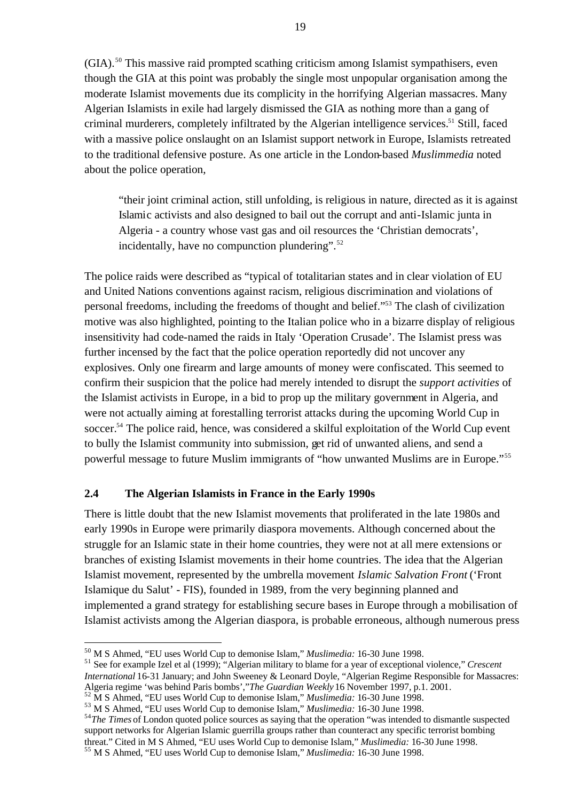$(GIA)$ <sup>50</sup> This massive raid prompted scathing criticism among Islamist sympathisers, even though the GIA at this point was probably the single most unpopular organisation among the moderate Islamist movements due its complicity in the horrifying Algerian massacres. Many Algerian Islamists in exile had largely dismissed the GIA as nothing more than a gang of criminal murderers, completely infiltrated by the Algerian intelligence services.<sup>51</sup> Still, faced with a massive police onslaught on an Islamist support network in Europe, Islamists retreated to the traditional defensive posture. As one article in the London-based *Muslimmedia* noted about the police operation,

"their joint criminal action, still unfolding, is religious in nature, directed as it is against Islamic activists and also designed to bail out the corrupt and anti-Islamic junta in Algeria - a country whose vast gas and oil resources the 'Christian democrats', incidentally, have no compunction plundering". $52$ 

The police raids were described as "typical of totalitarian states and in clear violation of EU and United Nations conventions against racism, religious discrimination and violations of personal freedoms, including the freedoms of thought and belief."<sup>53</sup> The clash of civilization motive was also highlighted, pointing to the Italian police who in a bizarre display of religious insensitivity had code-named the raids in Italy 'Operation Crusade'. The Islamist press was further incensed by the fact that the police operation reportedly did not uncover any explosives. Only one firearm and large amounts of money were confiscated. This seemed to confirm their suspicion that the police had merely intended to disrupt the *support activities* of the Islamist activists in Europe, in a bid to prop up the military government in Algeria, and were not actually aiming at forestalling terrorist attacks during the upcoming World Cup in soccer.<sup>54</sup> The police raid, hence, was considered a skilful exploitation of the World Cup event to bully the Islamist community into submission, get rid of unwanted aliens, and send a powerful message to future Muslim immigrants of "how unwanted Muslims are in Europe."<sup>55</sup>

#### **2.4 The Algerian Islamists in France in the Early 1990s**

There is little doubt that the new Islamist movements that proliferated in the late 1980s and early 1990s in Europe were primarily diaspora movements. Although concerned about the struggle for an Islamic state in their home countries, they were not at all mere extensions or branches of existing Islamist movements in their home countries. The idea that the Algerian Islamist movement, represented by the umbrella movement *Islamic Salvation Front* ('Front Islamique du Salut' - FIS), founded in 1989, from the very beginning planned and implemented a grand strategy for establishing secure bases in Europe through a mobilisation of Islamist activists among the Algerian diaspora, is probable erroneous, although numerous press

<sup>50</sup> M S Ahmed, "EU uses World Cup to demonise Islam," *Muslimedia:* 16-30 June 1998.

<sup>51</sup> See for example Izel et al (1999); "Algerian military to blame for a year of exceptional violence," *Crescent International* 16-31 January; and John Sweeney & Leonard Doyle, "Algerian Regime Responsible for Massacres: Algeria regime 'was behind Paris bombs',"*The Guardian Weekly* 16 November 1997, p.1. 2001.

<sup>52</sup> M S Ahmed, "EU uses World Cup to demonise Islam," *Muslimedia:* 16-30 June 1998.

<sup>53</sup> M S Ahmed, "EU uses World Cup to demonise Islam," *Muslimedia:* 16-30 June 1998.

<sup>&</sup>lt;sup>54</sup>*The Times* of London quoted police sources as saying that the operation "was intended to dismantle suspected" support networks for Algerian Islamic guerrilla groups rather than counteract any specific terrorist bombing threat." Cited in M S Ahmed, "EU uses World Cup to demonise Islam," *Muslimedia:* 16-30 June 1998.

<sup>55</sup> M S Ahmed, "EU uses World Cup to demonise Islam," *Muslimedia:* 16-30 June 1998.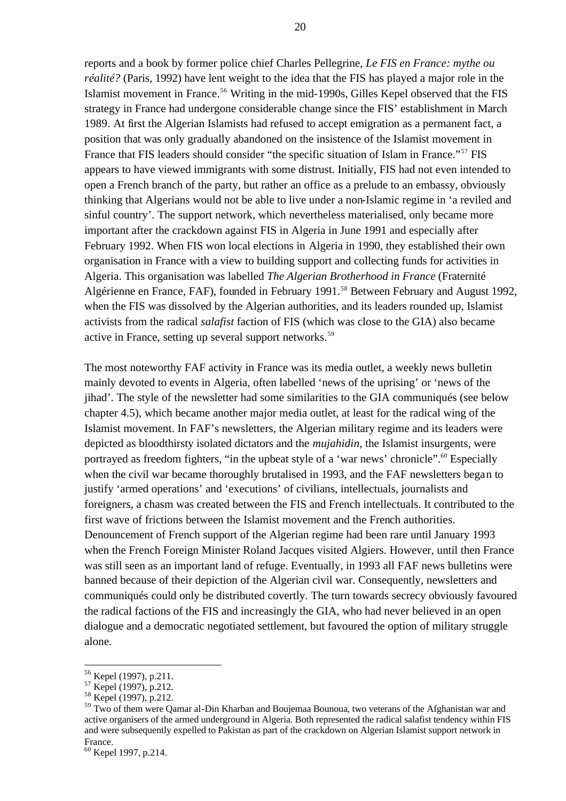reports and a book by former police chief Charles Pellegrine, *Le FIS en France: mythe ou réalité?* (Paris, 1992) have lent weight to the idea that the FIS has played a major role in the Islamist movement in France.<sup>56</sup> Writing in the mid-1990s, Gilles Kepel observed that the FIS strategy in France had undergone considerable change since the FIS' establishment in March 1989. At first the Algerian Islamists had refused to accept emigration as a permanent fact, a position that was only gradually abandoned on the insistence of the Islamist movement in France that FIS leaders should consider "the specific situation of Islam in France."<sup>57</sup> FIS appears to have viewed immigrants with some distrust. Initially, FIS had not even intended to open a French branch of the party, but rather an office as a prelude to an embassy, obviously thinking that Algerians would not be able to live under a non-Islamic regime in 'a reviled and sinful country'. The support network, which nevertheless materialised, only became more important after the crackdown against FIS in Algeria in June 1991 and especially after February 1992. When FIS won local elections in Algeria in 1990, they established their own organisation in France with a view to building support and collecting funds for activities in Algeria. This organisation was labelled *The Algerian Brotherhood in France* (Fraternité Algérienne en France, FAF), founded in February 1991.<sup>58</sup> Between February and August 1992, when the FIS was dissolved by the Algerian authorities, and its leaders rounded up, Islamist activists from the radical *salafist* faction of FIS (which was close to the GIA) also became active in France, setting up several support networks.<sup>59</sup>

The most noteworthy FAF activity in France was its media outlet, a weekly news bulletin mainly devoted to events in Algeria, often labelled 'news of the uprising' or 'news of the jihad'. The style of the newsletter had some similarities to the GIA communiqués (see below chapter 4.5), which became another major media outlet, at least for the radical wing of the Islamist movement. In FAF's newsletters, the Algerian military regime and its leaders were depicted as bloodthirsty isolated dictators and the *mujahidin,* the Islamist insurgents, were portrayed as freedom fighters, "in the upbeat style of a 'war news' chronicle".<sup>60</sup> Especially when the civil war became thoroughly brutalised in 1993, and the FAF newsletters began to justify 'armed operations' and 'executions' of civilians, intellectuals, journalists and foreigners, a chasm was created between the FIS and French intellectuals. It contributed to the first wave of frictions between the Islamist movement and the French authorities. Denouncement of French support of the Algerian regime had been rare until January 1993 when the French Foreign Minister Roland Jacques visited Algiers. However, until then France was still seen as an important land of refuge. Eventually, in 1993 all FAF news bulletins were banned because of their depiction of the Algerian civil war. Consequently, newsletters and communiqués could only be distributed covertly. The turn towards secrecy obviously favoured the radical factions of the FIS and increasingly the GIA, who had never believed in an open dialogue and a democratic negotiated settlement, but favoured the option of military struggle alone.

<sup>56</sup> Kepel (1997), p.211.

 $57$  Kepel (1997), p.212.

<sup>&</sup>lt;sup>58</sup> Kepel (1997), p.212.

<sup>&</sup>lt;sup>59</sup> Two of them were Qamar al-Din Kharban and Boujemaa Bounoua, two veterans of the Afghanistan war and active organisers of the armed underground in Algeria. Both represented the radical salafist tendency within FIS and were subsequently expelled to Pakistan as part of the crackdown on Algerian Islamist support network in France.

<sup>60</sup> Kepel 1997, p.214.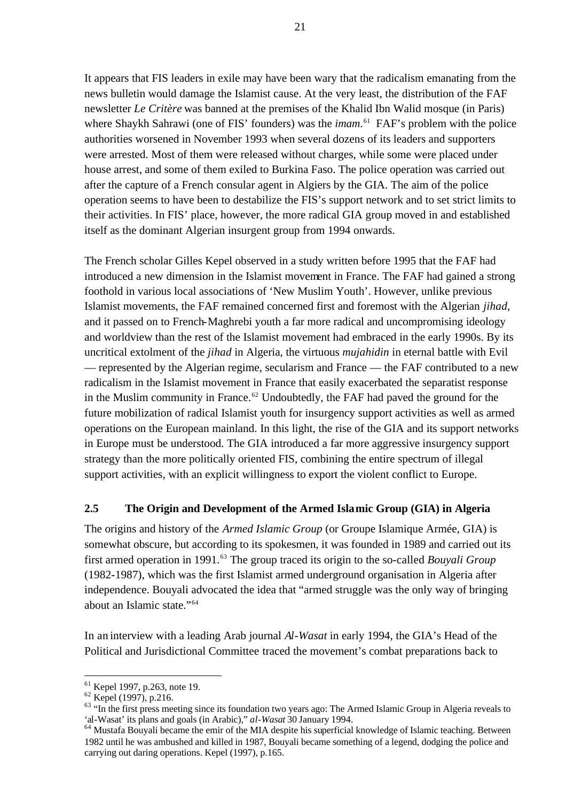It appears that FIS leaders in exile may have been wary that the radicalism emanating from the news bulletin would damage the Islamist cause. At the very least, the distribution of the FAF newsletter *Le Critère* was banned at the premises of the Khalid Ibn Walid mosque (in Paris) where Shaykh Sahrawi (one of FIS' founders) was the *imam*. <sup>61</sup> FAF's problem with the police authorities worsened in November 1993 when several dozens of its leaders and supporters were arrested. Most of them were released without charges, while some were placed under house arrest, and some of them exiled to Burkina Faso. The police operation was carried out after the capture of a French consular agent in Algiers by the GIA. The aim of the police operation seems to have been to destabilize the FIS's support network and to set strict limits to their activities. In FIS' place, however, the more radical GIA group moved in and established itself as the dominant Algerian insurgent group from 1994 onwards.

The French scholar Gilles Kepel observed in a study written before 1995 that the FAF had introduced a new dimension in the Islamist movement in France. The FAF had gained a strong foothold in various local associations of 'New Muslim Youth'. However, unlike previous Islamist movements, the FAF remained concerned first and foremost with the Algerian *jihad*, and it passed on to French-Maghrebi youth a far more radical and uncompromising ideology and worldview than the rest of the Islamist movement had embraced in the early 1990s. By its uncritical extolment of the *jihad* in Algeria, the virtuous *mujahidin* in eternal battle with Evil — represented by the Algerian regime, secularism and France — the FAF contributed to a new radicalism in the Islamist movement in France that easily exacerbated the separatist response in the Muslim community in France.<sup>62</sup> Undoubtedly, the FAF had paved the ground for the future mobilization of radical Islamist youth for insurgency support activities as well as armed operations on the European mainland. In this light, the rise of the GIA and its support networks in Europe must be understood. The GIA introduced a far more aggressive insurgency support strategy than the more politically oriented FIS, combining the entire spectrum of illegal support activities, with an explicit willingness to export the violent conflict to Europe.

#### **2.5 The Origin and Development of the Armed Islamic Group (GIA) in Algeria**

The origins and history of the *Armed Islamic Group* (or Groupe Islamique Armée, GIA) is somewhat obscure, but according to its spokesmen, it was founded in 1989 and carried out its first armed operation in 1991.<sup>63</sup> The group traced its origin to the so-called *Bouvali Group* (1982-1987), which was the first Islamist armed underground organisation in Algeria after independence. Bouyali advocated the idea that "armed struggle was the only way of bringing about an Islamic state."<sup>64</sup>

In an interview with a leading Arab journal *Al-Wasat* in early 1994, the GIA's Head of the Political and Jurisdictional Committee traced the movement's combat preparations back to

<sup>61</sup> Kepel 1997, p.263, note 19.

 $62$  Kepel (1997), p.216.

 $63$  "In the first press meeting since its foundation two years ago: The Armed Islamic Group in Algeria reveals to 'al-Wasat' its plans and goals (in Arabic)," *al-Wasat* 30 January 1994.

<sup>&</sup>lt;sup>64</sup> Mustafa Bouyali became the emir of the MIA despite his superficial knowledge of Islamic teaching. Between 1982 until he was ambushed and killed in 1987, Bouyali became something of a legend, dodging the police and carrying out daring operations. Kepel (1997), p.165.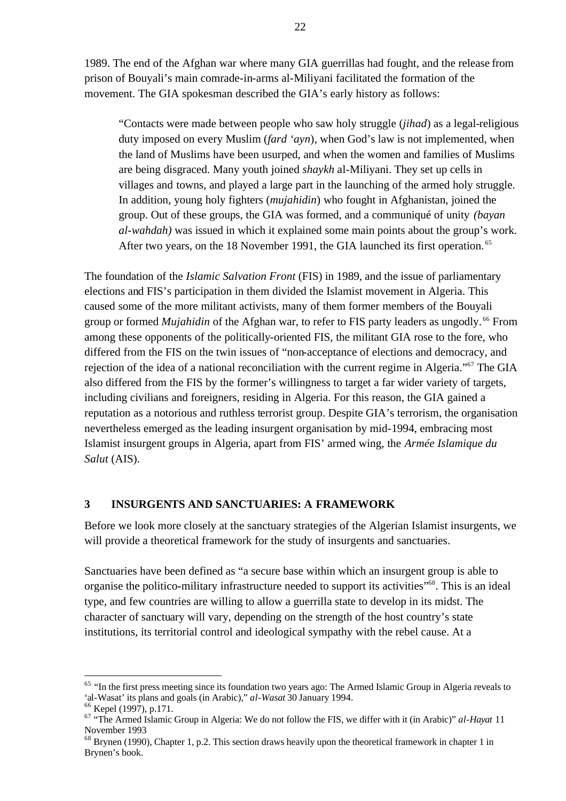1989. The end of the Afghan war where many GIA guerrillas had fought, and the release from prison of Bouyali's main comrade-in-arms al-Miliyani facilitated the formation of the movement. The GIA spokesman described the GIA's early history as follows:

"Contacts were made between people who saw holy struggle (*jihad*) as a legal-religious duty imposed on every Muslim (*fard 'ayn*), when God's law is not implemented, when the land of Muslims have been usurped, and when the women and families of Muslims are being disgraced. Many youth joined *shaykh* al-Miliyani. They set up cells in villages and towns, and played a large part in the launching of the armed holy struggle. In addition, young holy fighters (*mujahidin*) who fought in Afghanistan, joined the group. Out of these groups, the GIA was formed, and a communiqué of unity *(bayan al-wahdah)* was issued in which it explained some main points about the group's work. After two years, on the 18 November 1991, the GIA launched its first operation.<sup>65</sup>

The foundation of the *Islamic Salvation Front* (FIS) in 1989, and the issue of parliamentary elections and FIS's participation in them divided the Islamist movement in Algeria. This caused some of the more militant activists, many of them former members of the Bouyali group or formed *Mujahidin* of the Afghan war, to refer to FIS party leaders as ungodly.<sup>66</sup> From among these opponents of the politically-oriented FIS, the militant GIA rose to the fore, who differed from the FIS on the twin issues of "non-acceptance of elections and democracy, and rejection of the idea of a national reconciliation with the current regime in Algeria."<sup>67</sup> The GIA also differed from the FIS by the former's willingness to target a far wider variety of targets, including civilians and foreigners, residing in Algeria. For this reason, the GIA gained a reputation as a notorious and ruthless terrorist group. Despite GIA's terrorism, the organisation nevertheless emerged as the leading insurgent organisation by mid-1994, embracing most Islamist insurgent groups in Algeria, apart from FIS' armed wing, the *Armée Islamique du Salut* (AIS).

#### **3 INSURGENTS AND SANCTUARIES: A FRAMEWORK**

Before we look more closely at the sanctuary strategies of the Algerian Islamist insurgents, we will provide a theoretical framework for the study of insurgents and sanctuaries.

Sanctuaries have been defined as "a secure base within which an insurgent group is able to organise the politico**-**military infrastructure needed to support its activities"<sup>68</sup>. This is an ideal type, and few countries are willing to allow a guerrilla state to develop in its midst. The character of sanctuary will vary, depending on the strength of the host country's state institutions, its territorial control and ideological sympathy with the rebel cause. At a

<sup>&</sup>lt;sup>65</sup> "In the first press meeting since its foundation two years ago: The Armed Islamic Group in Algeria reveals to 'al-Wasat' its plans and goals (in Arabic)," *al-Wasat* 30 January 1994.

<sup>66</sup> Kepel (1997), p.171.

<sup>67</sup> "The Armed Islamic Group in Algeria: We do not follow the FIS, we differ with it (in Arabic)" *al-Hayat* 11 November 1993

 $68$  Brynen (1990), Chapter 1, p.2. This section draws heavily upon the theoretical framework in chapter 1 in Brynen's book.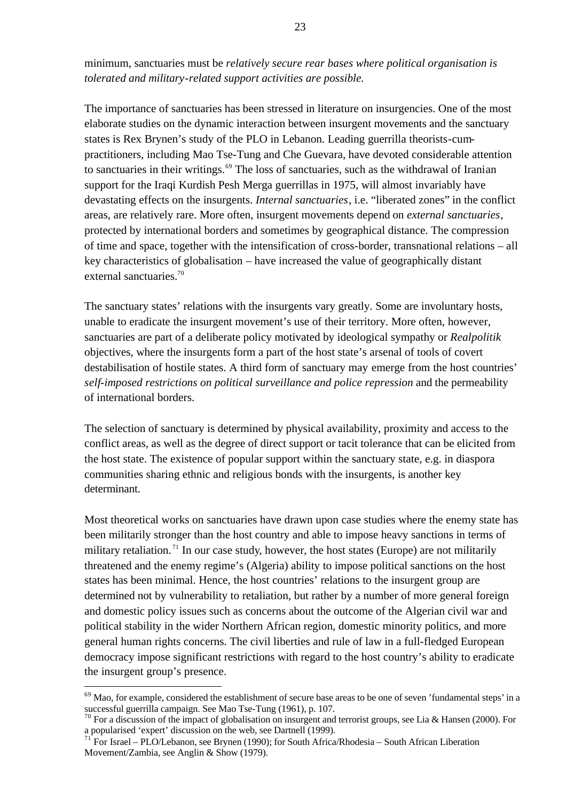minimum, sanctuaries must be *relatively secure rear bases where political organisation is tolerated and military-related support activities are possible.* 

The importance of sanctuaries has been stressed in literature on insurgencies. One of the most elaborate studies on the dynamic interaction between insurgent movements and the sanctuary states is Rex Brynen's study of the PLO in Lebanon. Leading guerrilla theorists-cumpractitioners, including Mao Tse-Tung and Che Guevara, have devoted considerable attention to sanctuaries in their writings.<sup>69</sup> The loss of sanctuaries, such as the withdrawal of Iranian support for the Iraqi Kurdish Pesh Merga guerrillas in 1975, will almost invariably have devastating effects on the insurgents. *Internal sanctuaries*, i.e. "liberated zones" in the conflict areas, are relatively rare. More often, insurgent movements depend on *external sanctuaries*, protected by international borders and sometimes by geographical distance. The compression of time and space, together with the intensification of cross-border, transnational relations – all key characteristics of globalisation – have increased the value of geographically distant external sanctuaries.<sup>70</sup>

The sanctuary states' relations with the insurgents vary greatly. Some are involuntary hosts, unable to eradicate the insurgent movement's use of their territory. More often, however, sanctuaries are part of a deliberate policy motivated by ideological sympathy or *Realpolitik*  objectives, where the insurgents form a part of the host state's arsenal of tools of covert destabilisation of hostile states. A third form of sanctuary may emerge from the host countries' *self-imposed restrictions on political surveillance and police repression* and the permeability of international borders.

The selection of sanctuary is determined by physical availability, proximity and access to the conflict areas, as well as the degree of direct support or tacit tolerance that can be elicited from the host state. The existence of popular support within the sanctuary state, e.g. in diaspora communities sharing ethnic and religious bonds with the insurgents, is another key determinant.

Most theoretical works on sanctuaries have drawn upon case studies where the enemy state has been militarily stronger than the host country and able to impose heavy sanctions in terms of military retaliation.<sup>71</sup> In our case study, however, the host states (Europe) are not militarily threatened and the enemy regime's (Algeria) ability to impose political sanctions on the host states has been minimal. Hence, the host countries' relations to the insurgent group are determined not by vulnerability to retaliation, but rather by a number of more general foreign and domestic policy issues such as concerns about the outcome of the Algerian civil war and political stability in the wider Northern African region, domestic minority politics, and more general human rights concerns. The civil liberties and rule of law in a full-fledged European democracy impose significant restrictions with regard to the host country's ability to eradicate the insurgent group's presence.

 $69$  Mao, for example, considered the establishment of secure base areas to be one of seven 'fundamental steps' in a successful guerrilla campaign. See Mao Tse-Tung (1961), p. 107.

 $70$  For a discussion of the impact of globalisation on insurgent and terrorist groups, see Lia & Hansen (2000). For a popularised 'expert' discussion on the web, see Dartnell (1999).<br> $^{71}$  Eq. Length DI O  $^{\circ}$  M.

<sup>71</sup> For Israel – PLO/Lebanon, see Brynen (1990); for South Africa/Rhodesia – South African Liberation Movement/Zambia, see Anglin & Show (1979).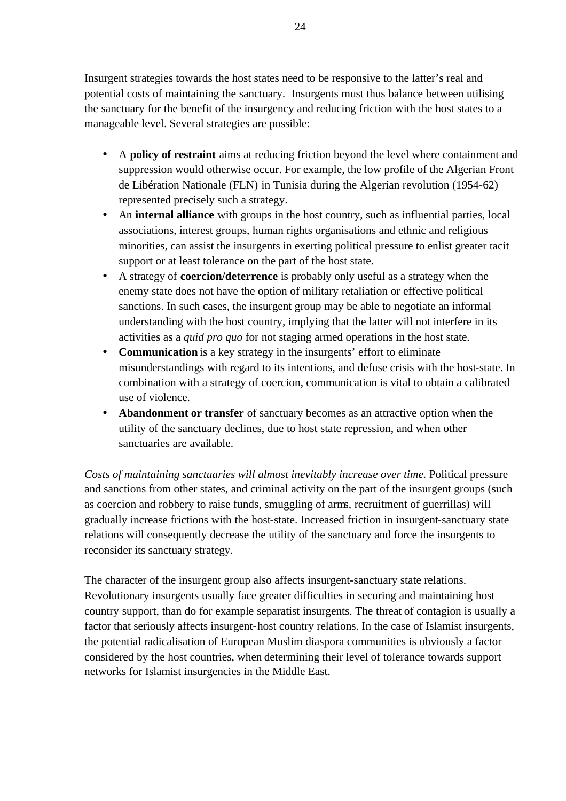Insurgent strategies towards the host states need to be responsive to the latter's real and potential costs of maintaining the sanctuary. Insurgents must thus balance between utilising the sanctuary for the benefit of the insurgency and reducing friction with the host states to a manageable level. Several strategies are possible:

- A **policy of restraint** aims at reducing friction beyond the level where containment and suppression would otherwise occur. For example, the low profile of the Algerian Front de Libération Nationale (FLN) in Tunisia during the Algerian revolution (1954-62) represented precisely such a strategy.
- An **internal alliance** with groups in the host country, such as influential parties, local associations, interest groups, human rights organisations and ethnic and religious minorities, can assist the insurgents in exerting political pressure to enlist greater tacit support or at least tolerance on the part of the host state.
- A strategy of **coercion/deterrence** is probably only useful as a strategy when the enemy state does not have the option of military retaliation or effective political sanctions. In such cases, the insurgent group may be able to negotiate an informal understanding with the host country, implying that the latter will not interfere in its activities as a *quid pro quo* for not staging armed operations in the host state.
- **Communication** is a key strategy in the insurgents' effort to eliminate misunderstandings with regard to its intentions, and defuse crisis with the host-state. In combination with a strategy of coercion, communication is vital to obtain a calibrated use of violence.
- **Abandonment or transfer** of sanctuary becomes as an attractive option when the utility of the sanctuary declines, due to host state repression, and when other sanctuaries are available.

*Costs of maintaining sanctuaries will almost inevitably increase over time.* Political pressure and sanctions from other states, and criminal activity on the part of the insurgent groups (such as coercion and robbery to raise funds, smuggling of arms, recruitment of guerrillas) will gradually increase frictions with the host-state. Increased friction in insurgent-sanctuary state relations will consequently decrease the utility of the sanctuary and force the insurgents to reconsider its sanctuary strategy.

The character of the insurgent group also affects insurgent-sanctuary state relations. Revolutionary insurgents usually face greater difficulties in securing and maintaining host country support, than do for example separatist insurgents. The threat of contagion is usually a factor that seriously affects insurgent-host country relations. In the case of Islamist insurgents, the potential radicalisation of European Muslim diaspora communities is obviously a factor considered by the host countries, when determining their level of tolerance towards support networks for Islamist insurgencies in the Middle East.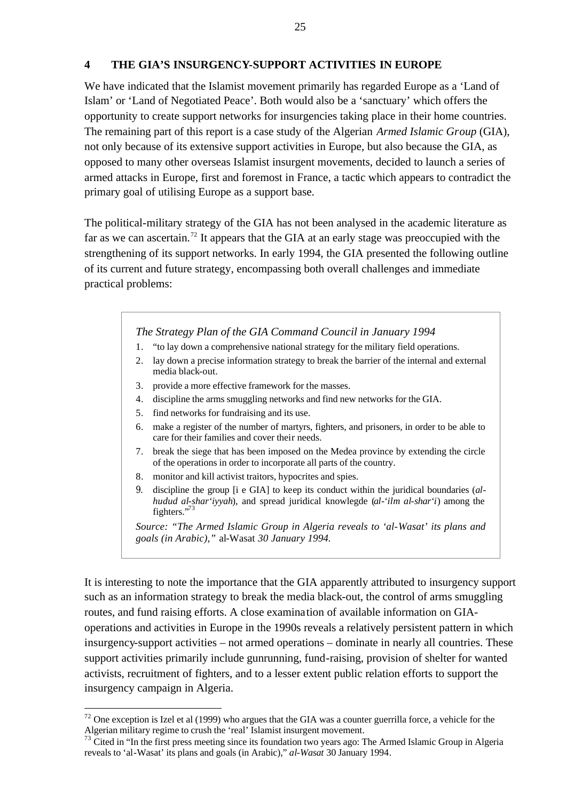#### **4 THE GIA'S INSURGENCY-SUPPORT ACTIVITIES IN EUROPE**

We have indicated that the Islamist movement primarily has regarded Europe as a 'Land of Islam' or 'Land of Negotiated Peace'. Both would also be a 'sanctuary' which offers the opportunity to create support networks for insurgencies taking place in their home countries. The remaining part of this report is a case study of the Algerian *Armed Islamic Group* (GIA), not only because of its extensive support activities in Europe, but also because the GIA, as opposed to many other overseas Islamist insurgent movements, decided to launch a series of armed attacks in Europe, first and foremost in France, a tactic which appears to contradict the primary goal of utilising Europe as a support base.

The political-military strategy of the GIA has not been analysed in the academic literature as far as we can ascertain.<sup>72</sup> It appears that the GIA at an early stage was preoccupied with the strengthening of its support networks. In early 1994, the GIA presented the following outline of its current and future strategy, encompassing both overall challenges and immediate practical problems:

#### *The Strategy Plan of the GIA Command Council in January 1994*

- 1. "to lay down a comprehensive national strategy for the military field operations.
- 2. lay down a precise information strategy to break the barrier of the internal and external media black-out.
- 3. provide a more effective framework for the masses.
- 4. discipline the arms smuggling networks and find new networks for the GIA.
- 5. find networks for fundraising and its use.

 $\overline{a}$ 

- 6. make a register of the number of martyrs, fighters, and prisoners, in order to be able to care for their families and cover their needs.
- 7. break the siege that has been imposed on the Medea province by extending the circle of the operations in order to incorporate all parts of the country.
- 8. monitor and kill activist traitors, hypocrites and spies.
- 9. discipline the group [i e GIA] to keep its conduct within the juridical boundaries (*alhudud al-shar'iyyah*), and spread juridical knowlegde (*al-'ilm al-shar'i*) among the fighters."<sup>73</sup>

*Source: "The Armed Islamic Group in Algeria reveals to 'al-Wasat' its plans and goals (in Arabic),"* al-Wasat *30 January 1994.*

It is interesting to note the importance that the GIA apparently attributed to insurgency support such as an information strategy to break the media black-out, the control of arms smuggling routes, and fund raising efforts. A close examination of available information on GIAoperations and activities in Europe in the 1990s reveals a relatively persistent pattern in which insurgency-support activities – not armed operations – dominate in nearly all countries. These support activities primarily include gunrunning, fund-raising, provision of shelter for wanted activists, recruitment of fighters, and to a lesser extent public relation efforts to support the insurgency campaign in Algeria.

 $72$  One exception is Izel et al (1999) who argues that the GIA was a counter guerrilla force, a vehicle for the Algerian military regime to crush the 'real' Islamist insurgent movement.

 $73$  Cited in "In the first press meeting since its foundation two years ago: The Armed Islamic Group in Algeria reveals to 'al-Wasat' its plans and goals (in Arabic)," *al-Wasat* 30 January 1994.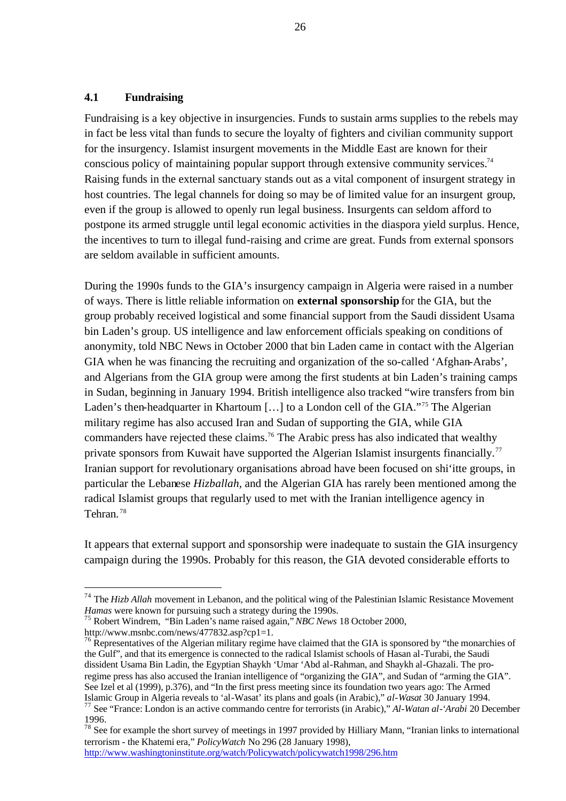#### **4.1 Fundraising**

Fundraising is a key objective in insurgencies. Funds to sustain arms supplies to the rebels may in fact be less vital than funds to secure the loyalty of fighters and civilian community support for the insurgency. Islamist insurgent movements in the Middle East are known for their conscious policy of maintaining popular support through extensive community services.<sup>74</sup> Raising funds in the external sanctuary stands out as a vital component of insurgent strategy in host countries. The legal channels for doing so may be of limited value for an insurgent group, even if the group is allowed to openly run legal business. Insurgents can seldom afford to postpone its armed struggle until legal economic activities in the diaspora yield surplus. Hence, the incentives to turn to illegal fund-raising and crime are great. Funds from external sponsors are seldom available in sufficient amounts.

During the 1990s funds to the GIA's insurgency campaign in Algeria were raised in a number of ways. There is little reliable information on **external sponsorship** for the GIA, but the group probably received logistical and some financial support from the Saudi dissident Usama bin Laden's group. US intelligence and law enforcement officials speaking on conditions of anonymity, told NBC News in October 2000 that bin Laden came in contact with the Algerian GIA when he was financing the recruiting and organization of the so-called 'Afghan-Arabs', and Algerians from the GIA group were among the first students at bin Laden's training camps in Sudan, beginning in January 1994. British intelligence also tracked "wire transfers from bin Laden's then-headquarter in Khartoum [...] to a London cell of the GIA."<sup>75</sup> The Algerian military regime has also accused Iran and Sudan of supporting the GIA, while GIA commanders have rejected these claims.<sup>76</sup> The Arabic press has also indicated that wealthy private sponsors from Kuwait have supported the Algerian Islamist insurgents financially.<sup>77</sup> Iranian support for revolutionary organisations abroad have been focused on shi'itte groups, in particular the Lebanese *Hizballah*, and the Algerian GIA has rarely been mentioned among the radical Islamist groups that regularly used to met with the Iranian intelligence agency in Tehran. <sup>78</sup>

It appears that external support and sponsorship were inadequate to sustain the GIA insurgency campaign during the 1990s. Probably for this reason, the GIA devoted considerable efforts to

http://www.msnbc.com/news/477832.asp?cp1=1.

 $\overline{a}$ 

http://www.washingtoninstitute.org/watch/Policywatch/policywatch1998/296.htm

<sup>&</sup>lt;sup>74</sup> The *Hizb Allah* movement in Lebanon, and the political wing of the Palestinian Islamic Resistance Movement *Hamas* were known for pursuing such a strategy during the 1990s.

<sup>75</sup> Robert Windrem, "Bin Laden's name raised again," *NBC News* 18 October 2000,

<sup>&</sup>lt;sup>76</sup> Representatives of the Algerian military regime have claimed that the GIA is sponsored by "the monarchies of the Gulf", and that its emergence is connected to the radical Islamist schools of Hasan al-Turabi, the Saudi dissident Usama Bin Ladin, the Egyptian Shaykh 'Umar 'Abd al-Rahman, and Shaykh al-Ghazali. The proregime press has also accused the Iranian intelligence of "organizing the GIA", and Sudan of "arming the GIA". See Izel et al (1999), p.376), and "In the first press meeting since its foundation two years ago: The Armed Islamic Group in Algeria reveals to 'al-Wasat' its plans and goals (in Arabic)," *al-Wasat* 30 January 1994. <sup>77</sup> See "France: London is an active commando centre for terrorists (in Arabic)," *Al-Watan al-'Arabi* 20 December 1996.

 $78$  See for example the short survey of meetings in 1997 provided by Hilliary Mann, "Iranian links to international terrorism - the Khatemi era," *PolicyWatch* No 296 (28 January 1998),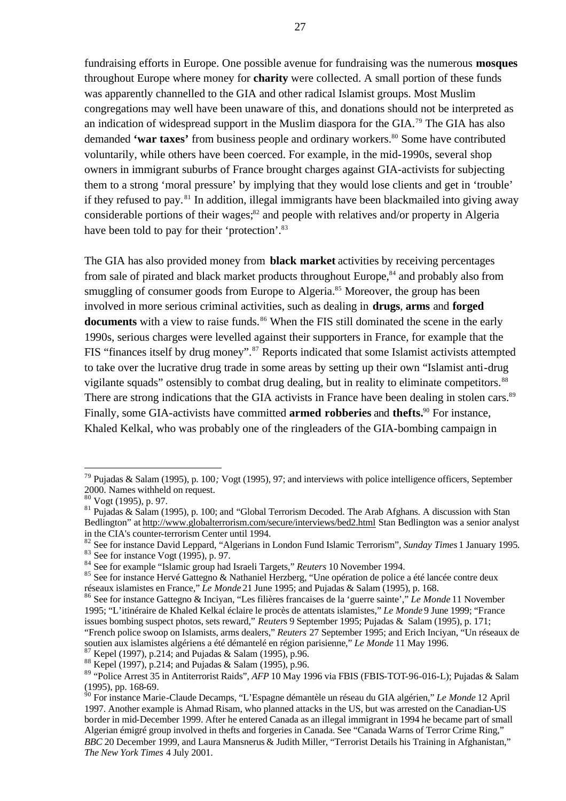fundraising efforts in Europe. One possible avenue for fundraising was the numerous **mosques**  throughout Europe where money for **charity** were collected. A small portion of these funds was apparently channelled to the GIA and other radical Islamist groups. Most Muslim congregations may well have been unaware of this, and donations should not be interpreted as an indication of widespread support in the Muslim diaspora for the GIA.<sup>79</sup> The GIA has also demanded **'war taxes'** from business people and ordinary workers.<sup>80</sup> Some have contributed voluntarily, while others have been coerced. For example, in the mid-1990s, several shop owners in immigrant suburbs of France brought charges against GIA-activists for subjecting them to a strong 'moral pressure' by implying that they would lose clients and get in 'trouble' if they refused to pay. <sup>81</sup> In addition, illegal immigrants have been blackmailed into giving away considerable portions of their wages; $^{82}$  and people with relatives and/or property in Algeria have been told to pay for their 'protection'.<sup>83</sup>

The GIA has also provided money from **black market** activities by receiving percentages from sale of pirated and black market products throughout Europe,<sup>84</sup> and probably also from smuggling of consumer goods from Europe to Algeria.<sup>85</sup> Moreover, the group has been involved in more serious criminal activities, such as dealing in **drugs**, **arms** and **forged**  documents with a view to raise funds.<sup>86</sup> When the FIS still dominated the scene in the early 1990s, serious charges were levelled against their supporters in France, for example that the FIS "finances itself by drug money".<sup>87</sup> Reports indicated that some Islamist activists attempted to take over the lucrative drug trade in some areas by setting up their own "Islamist anti-drug vigilante squads" ostensibly to combat drug dealing, but in reality to eliminate competitors.<sup>88</sup> There are strong indications that the GIA activists in France have been dealing in stolen cars.<sup>89</sup> Finally, some GIA-activists have committed **armed robberies** and **thefts.**<sup>90</sup> For instance, Khaled Kelkal, who was probably one of the ringleaders of the GIA-bombing campaign in

<sup>79</sup> Pujadas & Salam (1995), p. 100*;* Vogt (1995), 97; and interviews with police intelligence officers, September  $2000$ . Names withheld on request.

<sup>80</sup> Vogt (1995), p. 97.

 $81$  Pujadas & Salam (1995), p. 100; and "Global Terrorism Decoded. The Arab Afghans. A discussion with Stan Bedlington" at http://www.globalterrorism.com/secure/interviews/bed2.html Stan Bedlington was a senior analyst in the CIA's counter-terrorism Center until 1994.

<sup>82</sup> See for instance David Leppard, "Algerians in London Fund Islamic Terrorism"*, Sunday Times* 1 January 1995*.*

 $83$  See for instance Vogt (1995), p. 97.

<sup>84</sup> See for example "Islamic group had Israeli Targets," *Reuters* 10 November 1994.

<sup>85</sup> See for instance Hervé Gattegno & Nathaniel Herzberg, "Une opération de police a été lancée contre deux réseaux islamistes en France," *Le Monde* 21 June 1995; and Pujadas & Salam (1995), p. 168.

<sup>86</sup> See for instance Gattegno & Inciyan, "Les filières francaises de la 'guerre sainte'," *Le Monde* 11 November 1995; "L'itinéraire de Khaled Kelkal éclaire le procès de attentats islamistes," *Le Monde* 9 June 1999; "France issues bombing suspect photos, sets reward," *Reuter*s 9 September 1995; Pujadas & Salam (1995), p. 171; "French police swoop on Islamists, arms dealers," *Reuters* 27 September 1995; and Erich Inciyan, "Un réseaux de soutien aux islamistes algériens a été démantelé en région parisienne," *Le Monde* 11 May 1996.

<sup>87</sup> Kepel (1997), p.214; and Pujadas & Salam (1995), p.96.

<sup>88</sup> Kepel (1997), p.214; and Pujadas & Salam (1995), p.96.

<sup>89</sup> "Police Arrest 35 in Antiterrorist Raids", *AFP* 10 May 1996 via FBIS (FBIS-TOT-96-016-L); Pujadas & Salam (1995), pp. 168-69.

<sup>90</sup> For instance Marie-Claude Decamps, "L'Espagne démantèle un réseau du GIA algérien," *Le Monde* 12 April 1997. Another example is Ahmad Risam, who planned attacks in the US, but was arrested on the Canadian-US border in mid-December 1999. After he entered Canada as an illegal immigrant in 1994 he became part of small Algerian émigré group involved in thefts and forgeries in Canada. See "Canada Warns of Terror Crime Ring," *BBC* 20 December 1999, and Laura Mansnerus & Judith Miller, "Terrorist Details his Training in Afghanistan," *The New York Times* 4 July 2001.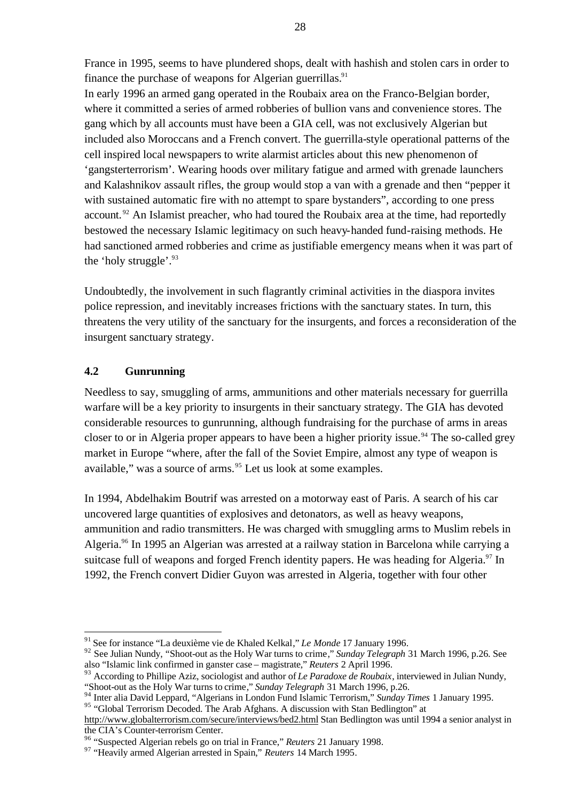France in 1995, seems to have plundered shops, dealt with hashish and stolen cars in order to finance the purchase of weapons for Algerian guerrillas. $91$ 

In early 1996 an armed gang operated in the Roubaix area on the Franco-Belgian border, where it committed a series of armed robberies of bullion vans and convenience stores. The gang which by all accounts must have been a GIA cell, was not exclusively Algerian but included also Moroccans and a French convert. The guerrilla-style operational patterns of the cell inspired local newspapers to write alarmist articles about this new phenomenon of 'gangsterterrorism'. Wearing hoods over military fatigue and armed with grenade launchers and Kalashnikov assault rifles, the group would stop a van with a grenade and then "pepper it with sustained automatic fire with no attempt to spare bystanders", according to one press account.<sup>92</sup> An Islamist preacher, who had toured the Roubaix area at the time, had reportedly bestowed the necessary Islamic legitimacy on such heavy-handed fund-raising methods. He had sanctioned armed robberies and crime as justifiable emergency means when it was part of the 'holy struggle'. $93$ 

Undoubtedly, the involvement in such flagrantly criminal activities in the diaspora invites police repression, and inevitably increases frictions with the sanctuary states. In turn, this threatens the very utility of the sanctuary for the insurgents, and forces a reconsideration of the insurgent sanctuary strategy.

#### **4.2 Gunrunning**

 $\overline{a}$ 

Needless to say, smuggling of arms, ammunitions and other materials necessary for guerrilla warfare will be a key priority to insurgents in their sanctuary strategy. The GIA has devoted considerable resources to gunrunning, although fundraising for the purchase of arms in areas closer to or in Algeria proper appears to have been a higher priority issue.<sup>94</sup> The so-called grey market in Europe "where, after the fall of the Soviet Empire, almost any type of weapon is available," was a source of arms.<sup>95</sup> Let us look at some examples.

In 1994, Abdelhakim Boutrif was arrested on a motorway east of Paris. A search of his car uncovered large quantities of explosives and detonators, as well as heavy weapons, ammunition and radio transmitters. He was charged with smuggling arms to Muslim rebels in Algeria.<sup>96</sup> In 1995 an Algerian was arrested at a railway station in Barcelona while carrying a suitcase full of weapons and forged French identity papers. He was heading for Algeria.<sup>97</sup> In 1992, the French convert Didier Guyon was arrested in Algeria, together with four other

<sup>91</sup> See for instance "La deuxième vie de Khaled Kelkal," *Le Monde* 17 January 1996.

<sup>92</sup> See Julian Nundy, "Shoot-out as the Holy War turns to crime," *Sunday Telegraph* 31 March 1996, p.26. See also "Islamic link confirmed in ganster case – magistrate," *Reuters* 2 April 1996.

<sup>93</sup> According to Phillipe Aziz, sociologist and author of *Le Paradoxe de Roubaix*, interviewed in Julian Nundy, "Shoot-out as the Holy War turns to crime," *Sunday Telegraph* 31 March 1996, p.26.

<sup>94</sup> Inter alia David Leppard, "Algerians in London Fund Islamic Terrorism," *Sunday Times* 1 January 1995.

<sup>&</sup>lt;sup>95</sup> "Global Terrorism Decoded. The Arab Afghans. A discussion with Stan Bedlington" at

http://www.globalterrorism.com/secure/interviews/bed2.html Stan Bedlington was until 1994 a senior analyst in the CIA's Counter-terrorism Center.

<sup>96</sup> "Suspected Algerian rebels go on trial in France," *Reuters* 21 January 1998.

<sup>97</sup> "Heavily armed Algerian arrested in Spain," *Reuters* 14 March 1995*.*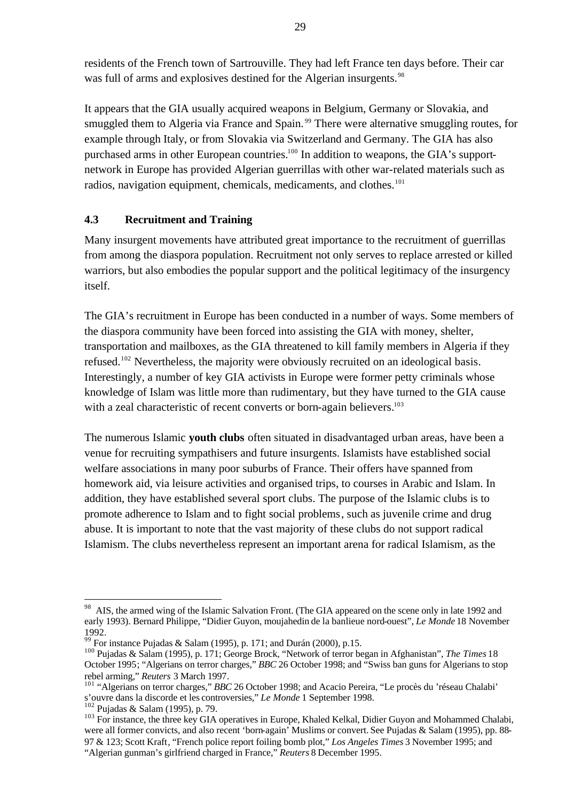residents of the French town of Sartrouville. They had left France ten days before. Their car was full of arms and explosives destined for the Algerian insurgents.<sup>98</sup>

It appears that the GIA usually acquired weapons in Belgium, Germany or Slovakia, and smuggled them to Algeria via France and Spain.<sup>99</sup> There were alternative smuggling routes, for example through Italy, or from Slovakia via Switzerland and Germany. The GIA has also purchased arms in other European countries.<sup>100</sup> In addition to weapons, the GIA's supportnetwork in Europe has provided Algerian guerrillas with other war-related materials such as radios, navigation equipment, chemicals, medicaments, and clothes.<sup>101</sup>

#### **4.3 Recruitment and Training**

Many insurgent movements have attributed great importance to the recruitment of guerrillas from among the diaspora population. Recruitment not only serves to replace arrested or killed warriors, but also embodies the popular support and the political legitimacy of the insurgency itself.

The GIA's recruitment in Europe has been conducted in a number of ways. Some members of the diaspora community have been forced into assisting the GIA with money, shelter, transportation and mailboxes, as the GIA threatened to kill family members in Algeria if they refused.<sup>102</sup> Nevertheless, the majority were obviously recruited on an ideological basis. Interestingly, a number of key GIA activists in Europe were former petty criminals whose knowledge of Islam was little more than rudimentary, but they have turned to the GIA cause with a zeal characteristic of recent converts or born-again believers.<sup>103</sup>

The numerous Islamic **youth clubs** often situated in disadvantaged urban areas, have been a venue for recruiting sympathisers and future insurgents. Islamists have established social welfare associations in many poor suburbs of France. Their offers have spanned from homework aid, via leisure activities and organised trips, to courses in Arabic and Islam. In addition, they have established several sport clubs. The purpose of the Islamic clubs is to promote adherence to Islam and to fight social problems, such as juvenile crime and drug abuse. It is important to note that the vast majority of these clubs do not support radical Islamism. The clubs nevertheless represent an important arena for radical Islamism, as the

AIS, the armed wing of the Islamic Salvation Front. (The GIA appeared on the scene only in late 1992 and early 1993). Bernard Philippe, "Didier Guyon, moujahedin de la banlieue nord-ouest", *Le Monde* 18 November 1992.

<sup>&</sup>lt;sup>99</sup> For instance Pujadas & Salam (1995), p. 171; and Durán (2000), p.15.

<sup>100</sup> Pujadas & Salam (1995), p. 171; George Brock, "Network of terror began in Afghanistan", *The Times* 18 October 1995; "Algerians on terror charges," *BBC* 26 October 1998; and "Swiss ban guns for Algerians to stop rebel arming," *Reuters* 3 March 1997*.*

<sup>101</sup> "Algerians on terror charges," *BBC* 26 October 1998; and Acacio Pereira, "Le procès du 'réseau Chalabi' s'ouvre dans la discorde et les controversies," *Le Monde* 1 September 1998.

 $102$  Pujadas & Salam (1995), p. 79.

<sup>&</sup>lt;sup>103</sup> For instance, the three key GIA operatives in Europe, Khaled Kelkal, Didier Guyon and Mohammed Chalabi, were all former convicts, and also recent 'born-again' Muslims or convert. See Pujadas & Salam (1995), pp. 88- 97 & 123; Scott Kraft*,* "French police report foiling bomb plot," *Los Angeles Times* 3 November 1995; and "Algerian gunman's girlfriend charged in France," *Reuters* 8 December 1995.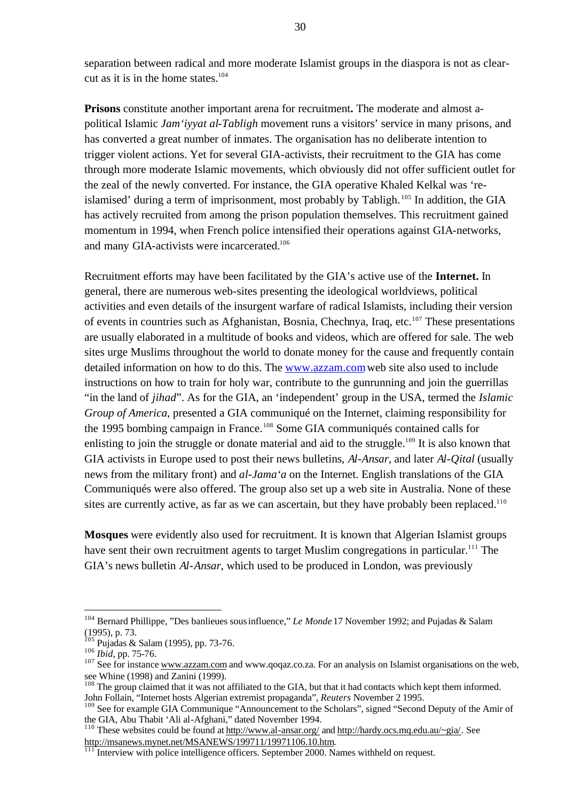separation between radical and more moderate Islamist groups in the diaspora is not as clearcut as it is in the home states.<sup>104</sup>

**Prisons** constitute another important arena for recruitment**.** The moderate and almost apolitical Islamic *Jam'iyyat al-Tabligh* movement runs a visitors' service in many prisons, and has converted a great number of inmates. The organisation has no deliberate intention to trigger violent actions. Yet for several GIA-activists, their recruitment to the GIA has come through more moderate Islamic movements, which obviously did not offer sufficient outlet for the zeal of the newly converted. For instance, the GIA operative Khaled Kelkal was 'reislamised' during a term of imprisonment, most probably by Tabligh.<sup>105</sup> In addition, the GIA has actively recruited from among the prison population themselves. This recruitment gained momentum in 1994, when French police intensified their operations against GIA-networks, and many GIA-activists were incarcerated.<sup>106</sup>

Recruitment efforts may have been facilitated by the GIA's active use of the **Internet.** In general, there are numerous web-sites presenting the ideological worldviews, political activities and even details of the insurgent warfare of radical Islamists, including their version of events in countries such as Afghanistan, Bosnia, Chechnya, Iraq, etc.<sup>107</sup> These presentations are usually elaborated in a multitude of books and videos, which are offered for sale. The web sites urge Muslims throughout the world to donate money for the cause and frequently contain detailed information on how to do this. The www.azzam.comweb site also used to include instructions on how to train for holy war, contribute to the gunrunning and join the guerrillas "in the land of *jihad*". As for the GIA, an 'independent' group in the USA, termed the *Islamic Group of America*, presented a GIA communiqué on the Internet, claiming responsibility for the 1995 bombing campaign in France.<sup>108</sup> Some GIA communiqués contained calls for enlisting to join the struggle or donate material and aid to the struggle.<sup>109</sup> It is also known that GIA activists in Europe used to post their news bulletins, *Al-Ansar*, and later *Al-Qital* (usually news from the military front) and *al-Jama'a* on the Internet. English translations of the GIA Communiqués were also offered. The group also set up a web site in Australia. None of these sites are currently active, as far as we can ascertain, but they have probably been replaced.<sup>110</sup>

**Mosques** were evidently also used for recruitment. It is known that Algerian Islamist groups have sent their own recruitment agents to target Muslim congregations in particular.<sup>111</sup> The GIA's news bulletin *Al-Ansar*, which used to be produced in London, was previously

<sup>104</sup> Bernard Phillippe, "Des banlieues sous influence," *Le Monde* 17 November 1992; and Pujadas & Salam (1995), p. 73.

 $105$  Pujadas & Salam (1995), pp. 73-76.

<sup>106</sup> *Ibid*, pp. 75-76.

<sup>&</sup>lt;sup>107</sup> See for instance www.azzam.com and www.qoqaz.co.za. For an analysis on Islamist organisations on the web, see Whine (1998) and Zanini (1999).

<sup>&</sup>lt;sup>108</sup> The group claimed that it was not affiliated to the GIA, but that it had contacts which kept them informed. John Follain, "Internet hosts Algerian extremist propaganda", *Reuters* November 2 1995.

<sup>&</sup>lt;sup>109</sup> See for example GIA Communique "Announcement to the Scholars", signed "Second Deputy of the Amir of the GIA, Abu Thabit 'Ali al-Afghani," dated November 1994.

<sup>&</sup>lt;sup>110</sup> These websites could be found at http://www.al-ansar.org/ and http://hardy.ocs.mq.edu.au/~gia/. See http://msanews.mynet.net/MSANEWS/199711/19971106.10.htm.

 $\frac{1}{111}$  Interview with police intelligence officers. September 2000. Names withheld on request.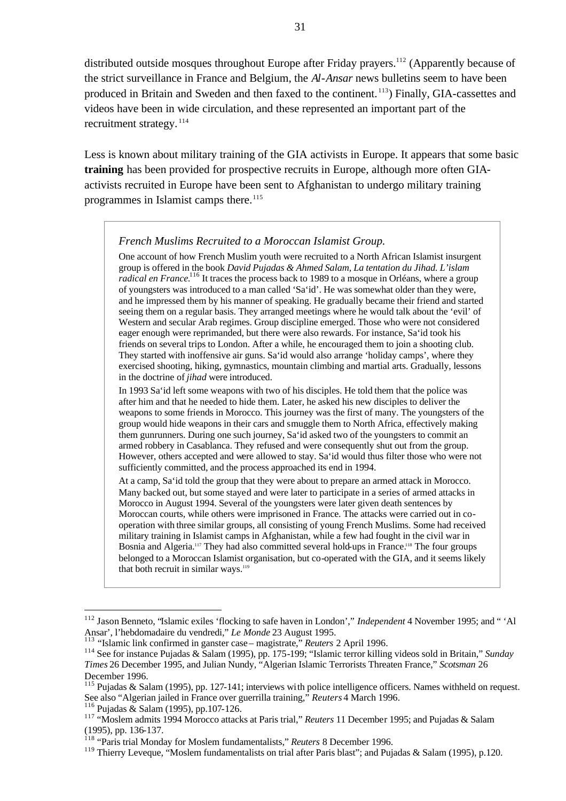distributed outside mosques throughout Europe after Friday prayers.<sup>112</sup> (Apparently because of the strict surveillance in France and Belgium, the *Al-Ansar* news bulletins seem to have been produced in Britain and Sweden and then faxed to the continent. <sup>113</sup>) Finally, GIA-cassettes and videos have been in wide circulation, and these represented an important part of the recruitment strategy.<sup>114</sup>

Less is known about military training of the GIA activists in Europe. It appears that some basic **training** has been provided for prospective recruits in Europe, although more often GIAactivists recruited in Europe have been sent to Afghanistan to undergo military training programmes in Islamist camps there.<sup>115</sup>

#### *French Muslims Recruited to a Moroccan Islamist Group.*

One account of how French Muslim youth were recruited to a North African Islamist insurgent group is offered in the book *David Pujadas & Ahmed Salam, La tentation du Jihad. L'islam radical en France.*<sup>116</sup> It traces the process back to 1989 to a mosque in Orléans, where a group of youngsters was introduced to a man called 'Sa'id'. He was somewhat older than they were, and he impressed them by his manner of speaking. He gradually became their friend and started seeing them on a regular basis. They arranged meetings where he would talk about the 'evil' of Western and secular Arab regimes. Group discipline emerged. Those who were not considered eager enough were reprimanded, but there were also rewards. For instance, Sa'id took his friends on several trips to London. After a while, he encouraged them to join a shooting club. They started with inoffensive air guns. Sa'id would also arrange 'holiday camps', where they exercised shooting, hiking, gymnastics, mountain climbing and martial arts. Gradually, lessons in the doctrine of *jihad* were introduced.

In 1993 Sa'id left some weapons with two of his disciples. He told them that the police was after him and that he needed to hide them. Later, he asked his new disciples to deliver the weapons to some friends in Morocco. This journey was the first of many. The youngsters of the group would hide weapons in their cars and smuggle them to North Africa, effectively making them gunrunners. During one such journey, Sa'id asked two of the youngsters to commit an armed robbery in Casablanca. They refused and were consequently shut out from the group. However, others accepted and were allowed to stay. Sa'id would thus filter those who were not sufficiently committed, and the process approached its end in 1994.

At a camp, Sa'id told the group that they were about to prepare an armed attack in Morocco. Many backed out, but some stayed and were later to participate in a series of armed attacks in Morocco in August 1994. Several of the youngsters were later given death sentences by Moroccan courts, while others were imprisoned in France. The attacks were carried out in cooperation with three similar groups, all consisting of young French Muslims. Some had received military training in Islamist camps in Afghanistan, while a few had fought in the civil war in Bosnia and Algeria.<sup>117</sup> They had also committed several hold-ups in France.<sup>118</sup> The four groups belonged to a Moroccan Islamist organisation, but co-operated with the GIA, and it seems likely that both recruit in similar ways.<sup>119</sup>

<sup>&</sup>lt;sup>112</sup> Jason Benneto, "Islamic exiles 'flocking to safe haven in London'," *Independent* 4 November 1995; and "'Al Ansar', l'hebdomadaire du vendredi," *Le Monde* 23 August 1995.

<sup>113</sup> "Islamic link confirmed in ganster case – magistrate," *Reuters* 2 April 1996.

<sup>114</sup> See for instance Pujadas & Salam (1995), pp. 175-199; "Islamic terror killing videos sold in Britain," *Sunday Times* 26 December 1995, and Julian Nundy, "Algerian Islamic Terrorists Threaten France," *Scotsman* 26 December 1996.

Pujadas & Salam (1995), pp. 127-141; interviews with police intelligence officers. Names withheld on request. See also "Algerian jailed in France over guerrilla training," *Reuters* 4 March 1996.

<sup>116</sup> Pujadas & Salam (1995), pp.107-126.

<sup>117</sup> "Moslem admits 1994 Morocco attacks at Paris trial," *Reuters* 11 December 1995; and Pujadas & Salam (1995), pp. 136-137.

<sup>118</sup> "Paris trial Monday for Moslem fundamentalists," *Reuters* 8 December 1996.

<sup>&</sup>lt;sup>119</sup> Thierry Leveque, "Moslem fundamentalists on trial after Paris blast"; and Pujadas & Salam (1995), p.120.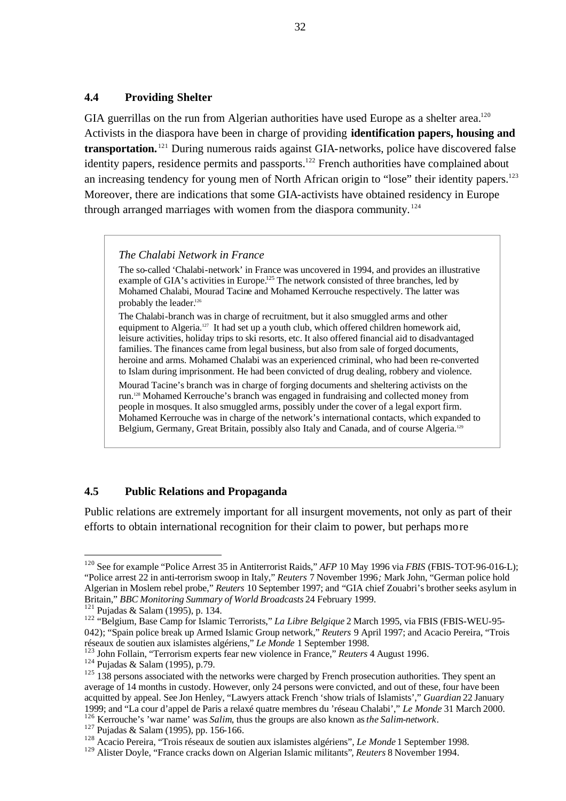#### **4.4 Providing Shelter**

GIA guerrillas on the run from Algerian authorities have used Europe as a shelter area.<sup>120</sup> Activists in the diaspora have been in charge of providing **identification papers, housing and transportation.** <sup>121</sup> During numerous raids against GIA-networks, police have discovered false identity papers, residence permits and passports.<sup>122</sup> French authorities have complained about an increasing tendency for young men of North African origin to "lose" their identity papers.<sup>123</sup> Moreover, there are indications that some GIA-activists have obtained residency in Europe through arranged marriages with women from the diaspora community.<sup>124</sup>

#### *The Chalabi Network in France*

The so-called 'Chalabi-network' in France was uncovered in 1994, and provides an illustrative example of GIA's activities in Europe.<sup>125</sup> The network consisted of three branches, led by Mohamed Chalabi, Mourad Tacine and Mohamed Kerrouche respectively. The latter was probably the leader.<sup>126</sup>

The Chalabi-branch was in charge of recruitment, but it also smuggled arms and other equipment to Algeria.<sup>127</sup> It had set up a youth club, which offered children homework aid, leisure activities, holiday trips to ski resorts, etc. It also offered financial aid to disadvantaged families. The finances came from legal business, but also from sale of forged documents, heroine and arms. Mohamed Chalabi was an experienced criminal, who had been re-converted to Islam during imprisonment. He had been convicted of drug dealing, robbery and violence.

Mourad Tacine's branch was in charge of forging documents and sheltering activists on the run.128 Mohamed Kerrouche's branch was engaged in fundraising and collected money from people in mosques. It also smuggled arms, possibly under the cover of a legal export firm. Mohamed Kerrouche was in charge of the network's international contacts, which expanded to Belgium, Germany, Great Britain, possibly also Italy and Canada, and of course Algeria.<sup>129</sup>

#### **4.5 Public Relations and Propaganda**

Public relations are extremely important for all insurgent movements, not only as part of their efforts to obtain international recognition for their claim to power, but perhaps more

<sup>&</sup>lt;sup>120</sup> See for example "Police Arrest 35 in Antiterrorist Raids," *AFP* 10 May 1996 via *FBIS* (FBIS-TOT-96-016-L); "Police arrest 22 in anti-terrorism swoop in Italy," *Reuters* 7 November 1996*;* Mark John, "German police hold Algerian in Moslem rebel probe," *Reuters* 10 September 1997; and "GIA chief Zouabri's brother seeks asylum in Britain," *BBC Monitoring Summary of World Broadcasts* 24 February 1999.

 $121$  Pujadas & Salam (1995), p. 134.

<sup>122</sup> "Belgium, Base Camp for Islamic Terrorists," *La Libre Belgique* 2 March 1995, via FBIS (FBIS-WEU-95- 042); "Spain police break up Armed Islamic Group network," *Reuters* 9 April 1997; and Acacio Pereira, "Trois réseaux de soutien aux islamistes algériens," *Le Monde* 1 September 1998.

<sup>123</sup> John Follain, "Terrorism experts fear new violence in France," *Reuters* 4 August 1996.

<sup>124</sup> Pujadas & Salam (1995), p.79.

<sup>&</sup>lt;sup>125</sup> 138 persons associated with the networks were charged by French prosecution authorities. They spent an average of 14 months in custody. However, only 24 persons were convicted, and out of these, four have been acquitted by appeal. See Jon Henley, "Lawyers attack French 'show trials of Islamists'," *Guardian* 22 January 1999; and "La cour d'appel de Paris a relaxé quatre membres du 'réseau Chalabi'," *Le Monde* 31 March 2000. <sup>126</sup> Kerrouche's 'war name' was *Salim*, thus the groups are also known as *the Salim-network*.

<sup>127</sup> Pujadas & Salam (1995), pp. 156-166.

<sup>128</sup> Acacio Pereira, "Trois réseaux de soutien aux islamistes algériens", *Le Monde* 1 September 1998.

<sup>129</sup> Alister Doyle, "France cracks down on Algerian Islamic militants"*, Reuters* 8 November 1994.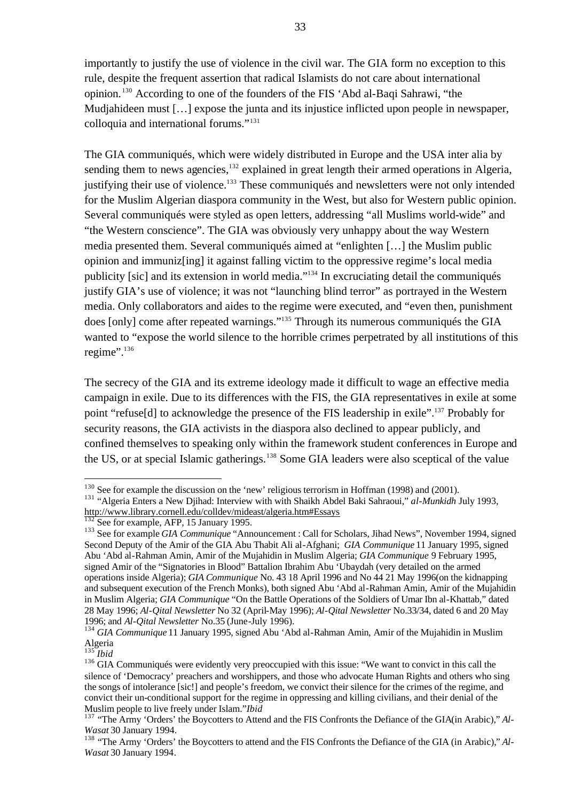importantly to justify the use of violence in the civil war. The GIA form no exception to this rule, despite the frequent assertion that radical Islamists do not care about international opinion. <sup>130</sup> According to one of the founders of the FIS 'Abd al-Baqi Sahrawi, "the Mudjahideen must [...] expose the junta and its injustice inflicted upon people in newspaper, colloquia and international forums."<sup>131</sup>

The GIA communiqués, which were widely distributed in Europe and the USA inter alia by sending them to news agencies,<sup>132</sup> explained in great length their armed operations in Algeria, justifying their use of violence.<sup>133</sup> These communiqués and newsletters were not only intended for the Muslim Algerian diaspora community in the West, but also for Western public opinion. Several communiqués were styled as open letters, addressing "all Muslims world-wide" and "the Western conscience". The GIA was obviously very unhappy about the way Western media presented them. Several communiqués aimed at "enlighten […] the Muslim public opinion and immuniz[ing] it against falling victim to the oppressive regime's local media publicity [sic] and its extension in world media."<sup>134</sup> In excruciating detail the communiqués justify GIA's use of violence; it was not "launching blind terror" as portrayed in the Western media. Only collaborators and aides to the regime were executed, and "even then, punishment does [only] come after repeated warnings."<sup>135</sup> Through its numerous communiqués the GIA wanted to "expose the world silence to the horrible crimes perpetrated by all institutions of this regime".<sup>136</sup>

The secrecy of the GIA and its extreme ideology made it difficult to wage an effective media campaign in exile. Due to its differences with the FIS, the GIA representatives in exile at some point "refuse<sup>[d]</sup> to acknowledge the presence of the FIS leadership in exile".<sup>137</sup> Probably for security reasons, the GIA activists in the diaspora also declined to appear publicly, and confined themselves to speaking only within the framework student conferences in Europe and the US, or at special Islamic gatherings.<sup>138</sup> Some GIA leaders were also sceptical of the value

l

<sup>&</sup>lt;sup>130</sup> See for example the discussion on the 'new' religious terrorism in Hoffman (1998) and (2001).

<sup>&</sup>lt;sup>131</sup> "Algeria Enters a New Djihad: Interview with with Shaikh Abdel Baki Sahraoui," *al-Munkidh* July 1993, http://www.library.cornell.edu/colldev/mideast/algeria.htm#Essays

 $\overline{2}$  See for example, AFP, 15 January 1995.

<sup>&</sup>lt;sup>133</sup> See for example *GIA Communique* "Announcement : Call for Scholars, Jihad News", November 1994, signed Second Deputy of the Amir of the GIA Abu Thabit Ali al-Afghani; *GIA Communique* 11 January 1995, signed Abu 'Abd al-Rahman Amin, Amir of the Mujahidin in Muslim Algeria; *GIA Communique* 9 February 1995, signed Amir of the "Signatories in Blood" Battalion Ibrahim Abu 'Ubaydah (very detailed on the armed operations inside Algeria); *GIA Communique* No. 43 18 April 1996 and No 44 21 May 1996(on the kidnapping and subsequent execution of the French Monks), both signed Abu 'Abd al-Rahman Amin, Amir of the Mujahidin in Muslim Algeria; *GIA Communique* "On the Battle Operations of the Soldiers of Umar Ibn al-Khattab," dated 28 May 1996; *Al-Qital Newsletter* No 32 (April-May 1996); *Al-Qital Newsletter* No.33/34, dated 6 and 20 May 1996; and *Al-Qital Newsletter* No.35 (June-July 1996).

<sup>134</sup> *GIA Communique* 11 January 1995, signed Abu 'Abd al-Rahman Amin, Amir of the Mujahidin in Muslim Algeria

<sup>135</sup> *Ibid*

<sup>&</sup>lt;sup>136</sup> GIA Communiqués were evidently very preoccupied with this issue: "We want to convict in this call the silence of 'Democracy' preachers and worshippers, and those who advocate Human Rights and others who sing the songs of intolerance [sic!] and people's freedom, we convict their silence for the crimes of the regime, and convict their un-conditional support for the regime in oppressing and killing civilians, and their denial of the Muslim people to live freely under Islam."*Ibid*

<sup>&</sup>lt;sup>137</sup> "The Army 'Orders' the Boycotters to Attend and the FIS Confronts the Defiance of the GIA(in Arabic)," *Al*-*Wasat* 30 January 1994.

<sup>&</sup>lt;sup>138</sup> "The Army 'Orders' the Boycotters to attend and the FIS Confronts the Defiance of the GIA (in Arabic)," *Al*-*Wasat* 30 January 1994*.*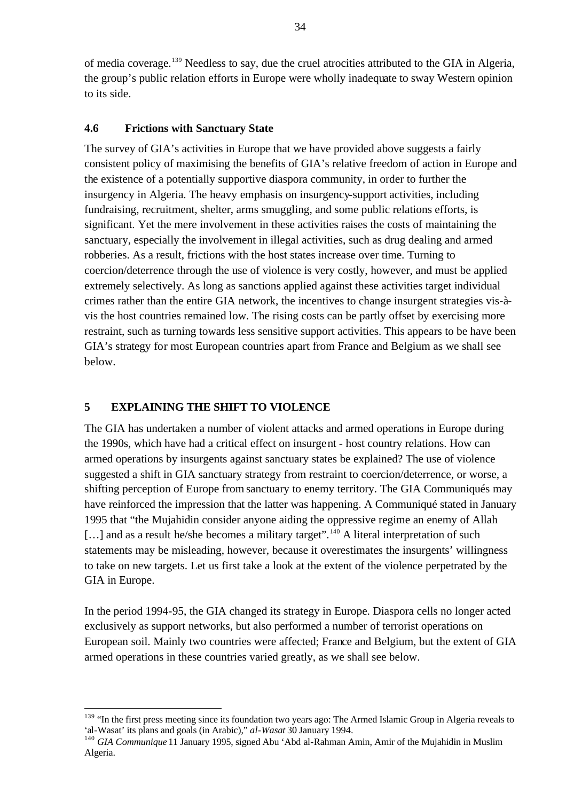of media coverage.<sup>139</sup> Needless to say, due the cruel atrocities attributed to the GIA in Algeria, the group's public relation efforts in Europe were wholly inadequate to sway Western opinion to its side.

#### **4.6 Frictions with Sanctuary State**

The survey of GIA's activities in Europe that we have provided above suggests a fairly consistent policy of maximising the benefits of GIA's relative freedom of action in Europe and the existence of a potentially supportive diaspora community, in order to further the insurgency in Algeria. The heavy emphasis on insurgency-support activities, including fundraising, recruitment, shelter, arms smuggling, and some public relations efforts, is significant. Yet the mere involvement in these activities raises the costs of maintaining the sanctuary, especially the involvement in illegal activities, such as drug dealing and armed robberies. As a result, frictions with the host states increase over time. Turning to coercion/deterrence through the use of violence is very costly, however, and must be applied extremely selectively. As long as sanctions applied against these activities target individual crimes rather than the entire GIA network, the incentives to change insurgent strategies vis-àvis the host countries remained low. The rising costs can be partly offset by exercising more restraint, such as turning towards less sensitive support activities. This appears to be have been GIA's strategy for most European countries apart from France and Belgium as we shall see below.

#### **5 EXPLAINING THE SHIFT TO VIOLENCE**

 $\overline{a}$ 

The GIA has undertaken a number of violent attacks and armed operations in Europe during the 1990s, which have had a critical effect on insurgent - host country relations. How can armed operations by insurgents against sanctuary states be explained? The use of violence suggested a shift in GIA sanctuary strategy from restraint to coercion/deterrence, or worse, a shifting perception of Europe from sanctuary to enemy territory. The GIA Communiqués may have reinforced the impression that the latter was happening. A Communiqué stated in January 1995 that "the Mujahidin consider anyone aiding the oppressive regime an enemy of Allah [...] and as a result he/she becomes a military target".<sup>140</sup> A literal interpretation of such statements may be misleading, however, because it overestimates the insurgents' willingness to take on new targets. Let us first take a look at the extent of the violence perpetrated by the GIA in Europe.

In the period 1994-95, the GIA changed its strategy in Europe. Diaspora cells no longer acted exclusively as support networks, but also performed a number of terrorist operations on European soil. Mainly two countries were affected; France and Belgium, but the extent of GIA armed operations in these countries varied greatly, as we shall see below.

<sup>&</sup>lt;sup>139</sup> "In the first press meeting since its foundation two years ago: The Armed Islamic Group in Algeria reveals to 'al-Wasat' its plans and goals (in Arabic)," *al-Wasat* 30 January 1994.

<sup>140</sup> *GIA Communique* 11 January 1995, signed Abu 'Abd al-Rahman Amin, Amir of the Mujahidin in Muslim Algeria.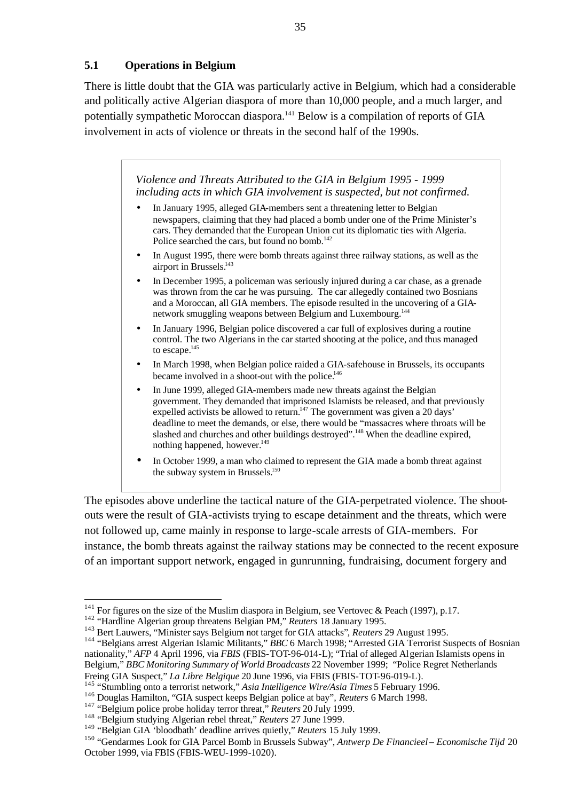#### **5.1 Operations in Belgium**

There is little doubt that the GIA was particularly active in Belgium, which had a considerable and politically active Algerian diaspora of more than 10,000 people, and a much larger, and potentially sympathetic Moroccan diaspora.<sup>141</sup> Below is a compilation of reports of GIA involvement in acts of violence or threats in the second half of the 1990s.

> *Violence and Threats Attributed to the GIA in Belgium 1995 - 1999 including acts in which GIA involvement is suspected, but not confirmed.*

- In January 1995, alleged GIA-members sent a threatening letter to Belgian newspapers, claiming that they had placed a bomb under one of the Prime Minister's cars. They demanded that the European Union cut its diplomatic ties with Algeria. Police searched the cars, but found no bomb.<sup>142</sup>
- In August 1995, there were bomb threats against three railway stations, as well as the airport in Brussels.<sup>143</sup>
- In December 1995, a policeman was seriously injured during a car chase, as a grenade was thrown from the car he was pursuing. The car allegedly contained two Bosnians and a Moroccan, all GIA members. The episode resulted in the uncovering of a GIAnetwork smuggling weapons between Belgium and Luxembourg.<sup>144</sup>
- In January 1996, Belgian police discovered a car full of explosives during a routine control. The two Algerians in the car started shooting at the police, and thus managed to escape.<sup>145</sup>
- In March 1998, when Belgian police raided a GIA-safehouse in Brussels, its occupants became involved in a shoot-out with the police.<sup>146</sup>
- In June 1999, alleged GIA-members made new threats against the Belgian government. They demanded that imprisoned Islamists be released, and that previously expelled activists be allowed to return.<sup>147</sup> The government was given a 20 days' deadline to meet the demands, or else, there would be "massacres where throats will be slashed and churches and other buildings destroyed".<sup>148</sup> When the deadline expired, nothing happened, however.<sup>149</sup>
- In October 1999, a man who claimed to represent the GIA made a bomb threat against the subway system in Brussels.<sup>150</sup>

The episodes above underline the tactical nature of the GIA-perpetrated violence. The shootouts were the result of GIA-activists trying to escape detainment and the threats, which were not followed up, came mainly in response to large-scale arrests of GIA-members. For instance, the bomb threats against the railway stations may be connected to the recent exposure of an important support network, engaged in gunrunning, fundraising, document forgery and

<sup>&</sup>lt;sup>141</sup> For figures on the size of the Muslim diaspora in Belgium, see Vertovec & Peach (1997), p.17.

<sup>142</sup> "Hardline Algerian group threatens Belgian PM," *Reuters* 18 January 1995.

<sup>143</sup> Bert Lauwers, "Minister says Belgium not target for GIA attacks"*, Reuters* 29 August 1995.

<sup>144</sup> "Belgians arrest Algerian Islamic Militants," *BBC* 6 March 1998; "Arrested GIA Terrorist Suspects of Bosnian nationality," *AFP* 4 April 1996, via *FBIS* (FBIS-TOT-96-014-L); "Trial of alleged Algerian Islamists opens in Belgium," *BBC Monitoring Summary of World Broadcasts* 22 November 1999; "Police Regret Netherlands Freing GIA Suspect," *La Libre Belgique* 20 June 1996, via FBIS (FBIS-TOT-96-019-L).

<sup>&</sup>lt;sup>5</sup> "Stumbling onto a terrorist network," *Asia Intelligence Wire/Asia Times* 5 February 1996.

<sup>146</sup> Douglas Hamilton, "GIA suspect keeps Belgian police at bay"*, Reuters* 6 March 1998.

<sup>147</sup> "Belgium police probe holiday terror threat," *Reuters* 20 July 1999.

<sup>148</sup> "Belgium studying Algerian rebel threat," *Reuters* 27 June 1999.

<sup>149</sup> "Belgian GIA 'bloodbath' deadline arrives quietly," *Reuters* 15 July 1999*.* 

<sup>150</sup> "Gendarmes Look for GIA Parcel Bomb in Brussels Subway", *Antwerp De Financieel – Economische Tijd* 20 October 1999, via FBIS (FBIS-WEU-1999-1020).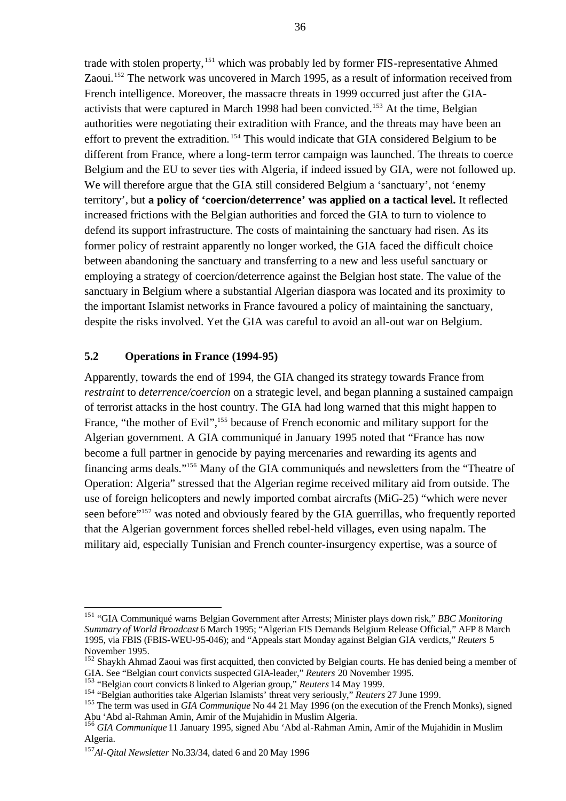trade with stolen property, <sup>151</sup> which was probably led by former FIS-representative Ahmed Zaoui.<sup>152</sup> The network was uncovered in March 1995, as a result of information received from French intelligence. Moreover, the massacre threats in 1999 occurred just after the GIAactivists that were captured in March 1998 had been convicted.<sup>153</sup> At the time, Belgian authorities were negotiating their extradition with France, and the threats may have been an effort to prevent the extradition. <sup>154</sup> This would indicate that GIA considered Belgium to be different from France, where a long-term terror campaign was launched. The threats to coerce Belgium and the EU to sever ties with Algeria, if indeed issued by GIA, were not followed up. We will therefore argue that the GIA still considered Belgium a 'sanctuary', not 'enemy territory', but **a policy of 'coercion/deterrence' was applied on a tactical level.** It reflected increased frictions with the Belgian authorities and forced the GIA to turn to violence to defend its support infrastructure. The costs of maintaining the sanctuary had risen. As its former policy of restraint apparently no longer worked, the GIA faced the difficult choice between abandoning the sanctuary and transferring to a new and less useful sanctuary or employing a strategy of coercion/deterrence against the Belgian host state. The value of the sanctuary in Belgium where a substantial Algerian diaspora was located and its proximity to the important Islamist networks in France favoured a policy of maintaining the sanctuary, despite the risks involved. Yet the GIA was careful to avoid an all-out war on Belgium.

#### **5.2 Operations in France (1994-95)**

Apparently, towards the end of 1994, the GIA changed its strategy towards France from *restraint* to *deterrence/coercion* on a strategic level, and began planning a sustained campaign of terrorist attacks in the host country. The GIA had long warned that this might happen to France, "the mother of Evil",<sup>155</sup> because of French economic and military support for the Algerian government. A GIA communiqué in January 1995 noted that "France has now become a full partner in genocide by paying mercenaries and rewarding its agents and financing arms deals."<sup>156</sup> Many of the GIA communiqués and newsletters from the "Theatre of Operation: Algeria" stressed that the Algerian regime received military aid from outside. The use of foreign helicopters and newly imported combat aircrafts (MiG-25) "which were never seen before"<sup>157</sup> was noted and obviously feared by the GIA guerrillas, who frequently reported that the Algerian government forces shelled rebel-held villages, even using napalm. The military aid, especially Tunisian and French counter-insurgency expertise, was a source of

<sup>151</sup> "GIA Communiqué warns Belgian Government after Arrests; Minister plays down risk," *BBC Monitoring Summary of World Broadcast* 6 March 1995; "Algerian FIS Demands Belgium Release Official," AFP 8 March 1995, via FBIS (FBIS-WEU-95-046); and "Appeals start Monday against Belgian GIA verdicts," *Reuters* 5 November 1995.

<sup>&</sup>lt;sup>152</sup> Shaykh Ahmad Zaoui was first acquitted, then convicted by Belgian courts. He has denied being a member of GIA. See "Belgian court convicts suspected GIA-leader," *Reuters* 20 November 1995.

<sup>153</sup> "Belgian court convicts 8 linked to Algerian group," *Reuters* 14 May 1999.

<sup>154</sup> "Belgian authorities take Algerian Islamists' threat very seriously," *Reuters* 27 June 1999.

<sup>&</sup>lt;sup>155</sup> The term was used in *GIA Communique* No 44 21 May 1996 (on the execution of the French Monks), signed Abu 'Abd al-Rahman Amin, Amir of the Mujahidin in Muslim Algeria.

<sup>156</sup> *GIA Communique* 11 January 1995, signed Abu 'Abd al-Rahman Amin, Amir of the Mujahidin in Muslim Algeria.

<sup>157</sup>*Al-Qital Newsletter* No.33/34, dated 6 and 20 May 1996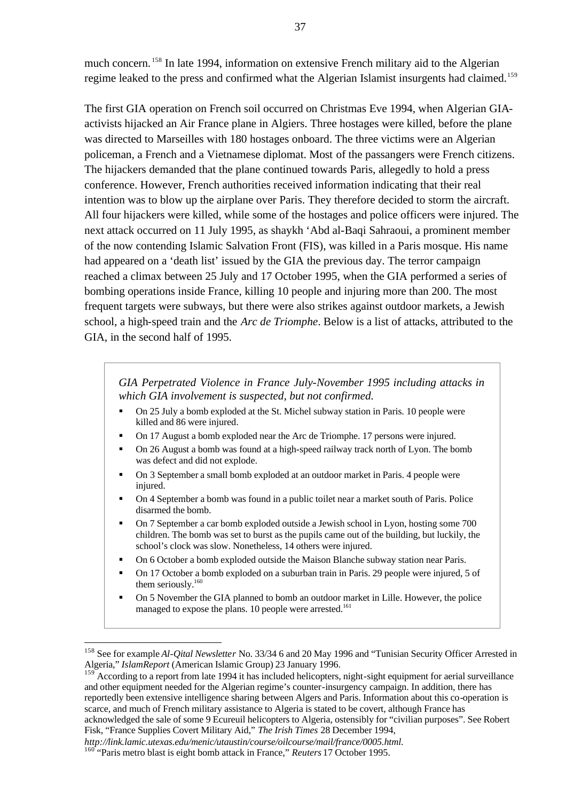much concern.<sup>158</sup> In late 1994, information on extensive French military aid to the Algerian regime leaked to the press and confirmed what the Algerian Islamist insurgents had claimed.<sup>159</sup>

The first GIA operation on French soil occurred on Christmas Eve 1994, when Algerian GIAactivists hijacked an Air France plane in Algiers. Three hostages were killed, before the plane was directed to Marseilles with 180 hostages onboard. The three victims were an Algerian policeman, a French and a Vietnamese diplomat. Most of the passangers were French citizens. The hijackers demanded that the plane continued towards Paris, allegedly to hold a press conference. However, French authorities received information indicating that their real intention was to blow up the airplane over Paris. They therefore decided to storm the aircraft. All four hijackers were killed, while some of the hostages and police officers were injured. The next attack occurred on 11 July 1995, as shaykh 'Abd al-Baqi Sahraoui, a prominent member of the now contending Islamic Salvation Front (FIS), was killed in a Paris mosque. His name had appeared on a 'death list' issued by the GIA the previous day. The terror campaign reached a climax between 25 July and 17 October 1995, when the GIA performed a series of bombing operations inside France, killing 10 people and injuring more than 200. The most frequent targets were subways, but there were also strikes against outdoor markets, a Jewish school, a high-speed train and the *Arc de Triomphe*. Below is a list of attacks, attributed to the GIA, in the second half of 1995.

*GIA Perpetrated Violence in France July-November 1995 including attacks in which GIA involvement is suspected, but not confirmed.*

- On 25 July a bomb exploded at the St. Michel subway station in Paris. 10 people were killed and 86 were injured.
- ß On 17 August a bomb exploded near the Arc de Triomphe. 17 persons were injured.
- ß On 26 August a bomb was found at a high-speed railway track north of Lyon. The bomb was defect and did not explode.
- ß On 3 September a small bomb exploded at an outdoor market in Paris. 4 people were injured.
- ß On 4 September a bomb was found in a public toilet near a market south of Paris. Police disarmed the bomb.
- ß On 7 September a car bomb exploded outside a Jewish school in Lyon, hosting some 700 children. The bomb was set to burst as the pupils came out of the building, but luckily, the school's clock was slow. Nonetheless, 14 others were injured.
- On 6 October a bomb exploded outside the Maison Blanche subway station near Paris.
- On 17 October a bomb exploded on a suburban train in Paris. 29 people were injured, 5 of them seriously.<sup>160</sup>
- On 5 November the GIA planned to bomb an outdoor market in Lille. However, the police managed to expose the plans. 10 people were arrested.<sup>161</sup>

<sup>158</sup> See for example *Al-Qital Newsletter* No. 33/34 6 and 20 May 1996 and "Tunisian Security Officer Arrested in Algeria," *IslamReport* (American Islamic Group) 23 January 1996.

According to a report from late 1994 it has included helicopters, night-sight equipment for aerial surveillance and other equipment needed for the Algerian regime's counter-insurgency campaign. In addition, there has reportedly been extensive intelligence sharing between Algers and Paris. Information about this co-operation is scarce, and much of French military assistance to Algeria is stated to be covert, although France has acknowledged the sale of some 9 Ecureuil helicopters to Algeria, ostensibly for "civilian purposes". See Robert Fisk, "France Supplies Covert Military Aid," *The Irish Times* 28 December 1994,

*http://link.lamic.utexas.edu/menic/utaustin/course/oilcourse/mail/france/0005.html.*

<sup>&</sup>lt;sup>160</sup> "Paris metro blast is eight bomb attack in France," *Reuters* 17 October 1995.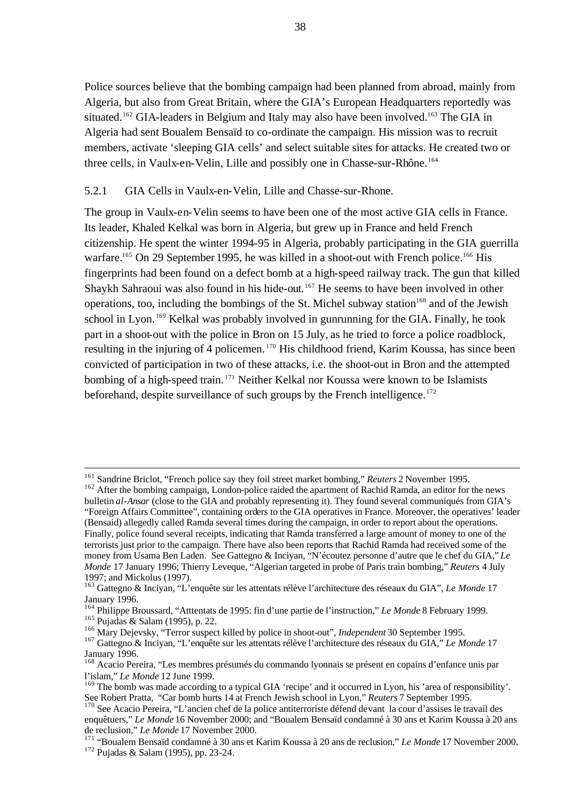Police sources believe that the bombing campaign had been planned from abroad, mainly from Algeria, but also from Great Britain, where the GIA's European Headquarters reportedly was situated.<sup>162</sup> GIA-leaders in Belgium and Italy may also have been involved.<sup>163</sup> The GIA in Algeria had sent Boualem Bensaïd to co-ordinate the campaign. His mission was to recruit members, activate 'sleeping GIA cells' and select suitable sites for attacks. He created two or three cells, in Vaulx-en-Velin, Lille and possibly one in Chasse-sur-Rhône.<sup>164</sup>

#### 5.2.1 GIA Cells in Vaulx-en-Velin, Lille and Chasse-sur-Rhone.

The group in Vaulx-en-Velin seems to have been one of the most active GIA cells in France. Its leader, Khaled Kelkal was born in Algeria, but grew up in France and held French citizenship. He spent the winter 1994-95 in Algeria, probably participating in the GIA guerrilla warfare.<sup>165</sup> On 29 September 1995, he was killed in a shoot-out with French police.<sup>166</sup> His fingerprints had been found on a defect bomb at a high-speed railway track. The gun that killed Shaykh Sahraoui was also found in his hide-out.<sup>167</sup> He seems to have been involved in other operations, too, including the bombings of the St. Michel subway station<sup>168</sup> and of the Jewish school in Lyon.<sup>169</sup> Kelkal was probably involved in gunrunning for the GIA. Finally, he took part in a shoot-out with the police in Bron on 15 July, as he tried to force a police roadblock, resulting in the injuring of 4 policemen.<sup>170</sup> His childhood friend, Karim Koussa, has since been convicted of participation in two of these attacks, i.e. the shoot-out in Bron and the attempted bombing of a high-speed train.<sup>171</sup> Neither Kelkal nor Koussa were known to be Islamists beforehand, despite surveillance of such groups by the French intelligence.<sup>172</sup>

<sup>161</sup> Sandrine Briclot, "French police say they foil street market bombing," *Reuters* 2 November 1995.

<sup>&</sup>lt;sup>162</sup> After the bombing campaign, London-police raided the apartment of Rachid Ramda, an editor for the news bulletin *al-Ansar* (close to the GIA and probably representing it). They found several communiqués from GIA's "Foreign Affairs Committee", containing orders to the GIA operatives in France. Moreover, the operatives' leader (Bensaid) allegedly called Ramda several times during the campaign, in order to report about the operations. Finally, police found several receipts, indicating that Ramda transferred a large amount of money to one of the terrorists just prior to the campaign. There have also been reports that Rachid Ramda had received some of the money from Usama Ben Laden. See Gattegno & Inciyan, "N'écoutez personne d'autre que le chef du GIA," *Le Monde* 17 January 1996; Thierry Leveque, "Algerian targeted in probe of Paris train bombing," *Reuters* 4 July 1997; and Mickolus (1997).

<sup>163</sup> Gattegno & Inciyan, "L'enquête sur les attentats rélève l'architecture des réseaux du GIA", *Le Monde* 17 January 1996.

<sup>164</sup> Philippe Broussard, "Atttentats de 1995: fin d'une partie de l'instruction," *Le Monde* 8 February 1999. <sup>165</sup> Pujadas & Salam (1995), p. 22.

<sup>166</sup> Mary Dejevsky, "Terror suspect killed by police in shoot-out", *Independent* 30 September 1995.

<sup>167</sup> Gattegno & Inciyan, "L'enquête sur les attentats rélève l'architecture des réseaux du GIA," *Le Monde* 17 January 1996.

<sup>&</sup>lt;sup>168</sup> Acacio Pereira, "Les membres présumés du commando lyonnais se présent en copains d'enfance unis par l'islam," *Le Monde* 12 June 1999.

<sup>169</sup> The bomb was made according to a typical GIA 'recipe' and it occurred in Lyon, his 'area of responsibility'. See Robert Pratta, "Car bomb hurts 14 at French Jewish school in Lyon," *Reuters* 7 September 1995.

<sup>&</sup>lt;sup>170</sup> See Acacio Pereira, "L'ancien chef de la police antiterroriste défend devant la cour d'assises le travail des enquêtuers," *Le Monde* 16 November 2000; and "Boualem Bensaïd condamné à 30 ans et Karim Koussa à 20 ans de reclusion," *Le Monde* 17 November 2000.

<sup>171</sup> "Boualem Bensaïd condamné à 30 ans et Karim Koussa à 20 ans de reclusion," *Le Monde* 17 November 2000. <sup>172</sup> Pujadas & Salam (1995), pp. 23-24.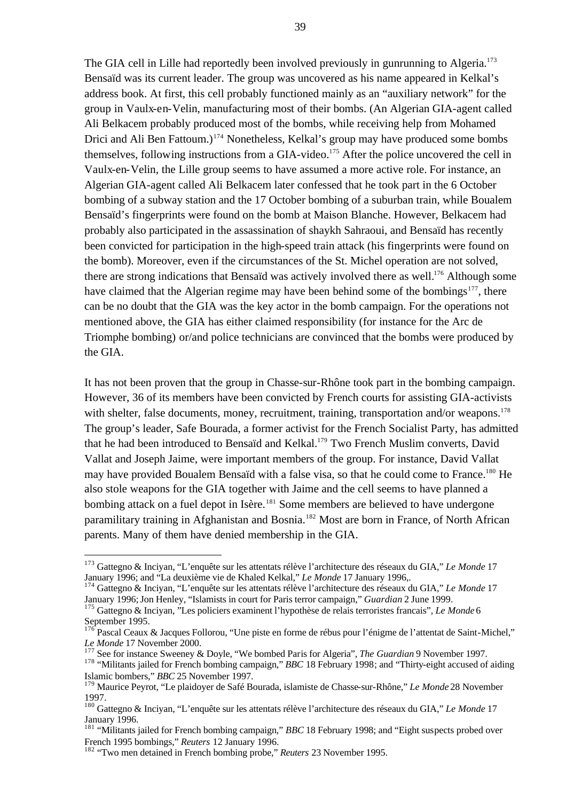The GIA cell in Lille had reportedly been involved previously in gunrunning to Algeria.<sup>173</sup> Bensaïd was its current leader. The group was uncovered as his name appeared in Kelkal's address book. At first, this cell probably functioned mainly as an "auxiliary network" for the group in Vaulx-en-Velin, manufacturing most of their bombs. (An Algerian GIA-agent called Ali Belkacem probably produced most of the bombs, while receiving help from Mohamed Drici and Ali Ben Fattoum.)<sup>174</sup> Nonetheless, Kelkal's group may have produced some bombs themselves, following instructions from a GIA-video.<sup>175</sup> After the police uncovered the cell in Vaulx-en-Velin, the Lille group seems to have assumed a more active role. For instance, an Algerian GIA-agent called Ali Belkacem later confessed that he took part in the 6 October bombing of a subway station and the 17 October bombing of a suburban train, while Boualem Bensaïd's fingerprints were found on the bomb at Maison Blanche. However, Belkacem had probably also participated in the assassination of shaykh Sahraoui, and Bensaïd has recently been convicted for participation in the high-speed train attack (his fingerprints were found on the bomb). Moreover, even if the circumstances of the St. Michel operation are not solved, there are strong indications that Bensaïd was actively involved there as well.<sup>176</sup> Although some have claimed that the Algerian regime may have been behind some of the bombings<sup>177</sup>, there can be no doubt that the GIA was the key actor in the bomb campaign. For the operations not mentioned above, the GIA has either claimed responsibility (for instance for the Arc de Triomphe bombing) or/and police technicians are convinced that the bombs were produced by the GIA.

It has not been proven that the group in Chasse-sur-Rhône took part in the bombing campaign. However, 36 of its members have been convicted by French courts for assisting GIA-activists with shelter, false documents, money, recruitment, training, transportation and/or weapons.<sup>178</sup> The group's leader, Safe Bourada, a former activist for the French Socialist Party, has admitted that he had been introduced to Bensaïd and Kelkal.<sup>179</sup> Two French Muslim converts, David Vallat and Joseph Jaime, were important members of the group. For instance, David Vallat may have provided Boualem Bensaïd with a false visa, so that he could come to France.<sup>180</sup> He also stole weapons for the GIA together with Jaime and the cell seems to have planned a bombing attack on a fuel depot in Isère.<sup>181</sup> Some members are believed to have undergone paramilitary training in Afghanistan and Bosnia.<sup>182</sup> Most are born in France, of North African parents. Many of them have denied membership in the GIA.

<sup>174</sup> Gattegno & Inciyan, "L'enquête sur les attentats rélève l'architecture des réseaux du GIA," *Le Monde* 17 January 1996;Jon Henley, "Islamists in court for Paris terror campaign," *Guardian* 2 June 1999.

<sup>173</sup> Gattegno & Inciyan, "L'enquête sur les attentats rélève l'architecture des réseaux du GIA," *Le Monde* 17 January 1996; and "La deuxième vie de Khaled Kelkal," *Le Monde* 17 January 1996,.

<sup>175</sup> Gattegno & Inciyan, "Les policiers examinent l'hypothèse de relais terroristes francais", *Le Monde* 6 September 1995.

<sup>&</sup>lt;sup>176</sup> Pascal Ceaux & Jacques Follorou, "Une piste en forme de rébus pour l'énigme de l'attentat de Saint-Michel," *Le Monde* 17 November 2000.

<sup>177</sup> See for instance Sweeney & Doyle, "We bombed Paris for Algeria", *The Guardian* 9 November 1997.

<sup>178</sup> "Militants jailed for French bombing campaign," *BBC* 18 February 1998; and "Thirty-eight accused of aiding Islamic bombers," *BBC* 25 November 1997.

<sup>179</sup> Maurice Peyrot, "Le plaidoyer de Safé Bourada, islamiste de Chasse-sur-Rhône," *Le Monde* 28 November 1997.

<sup>180</sup> Gattegno & Inciyan, "L'enquête sur les attentats rélève l'architecture des réseaux du GIA," *Le Monde* 17 January 1996.

<sup>181</sup> "Militants jailed for French bombing campaign," *BBC* 18 February 1998; and "Eight suspects probed over French 1995 bombings," *Reuters* 12 January 1996.

<sup>182</sup> "Two men detained in French bombing probe," *Reuters* 23 November 1995.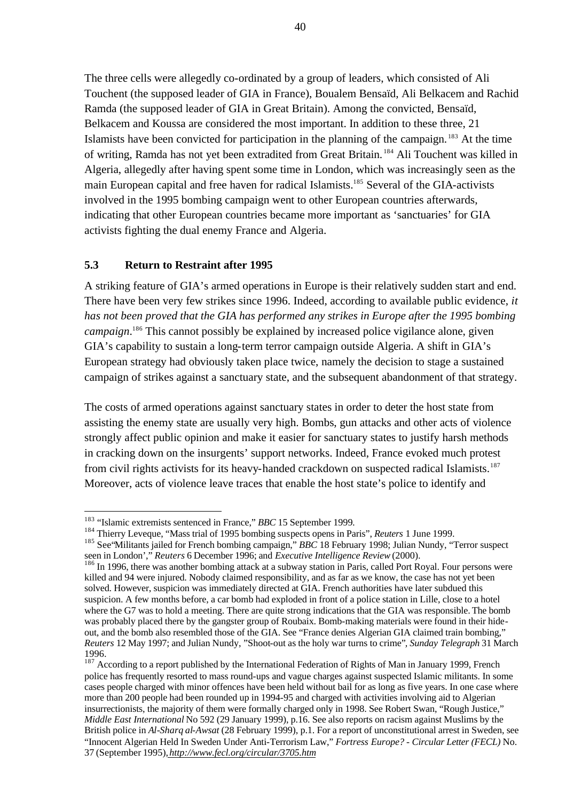The three cells were allegedly co-ordinated by a group of leaders, which consisted of Ali Touchent (the supposed leader of GIA in France), Boualem Bensaïd, Ali Belkacem and Rachid Ramda (the supposed leader of GIA in Great Britain). Among the convicted, Bensaïd, Belkacem and Koussa are considered the most important. In addition to these three, 21 Islamists have been convicted for participation in the planning of the campaign. <sup>183</sup> At the time of writing, Ramda has not yet been extradited from Great Britain. <sup>184</sup> Ali Touchent was killed in Algeria, allegedly after having spent some time in London, which was increasingly seen as the main European capital and free haven for radical Islamists.<sup>185</sup> Several of the GIA-activists involved in the 1995 bombing campaign went to other European countries afterwards, indicating that other European countries became more important as 'sanctuaries' for GIA activists fighting the dual enemy France and Algeria.

### **5.3 Return to Restraint after 1995**

A striking feature of GIA's armed operations in Europe is their relatively sudden start and end. There have been very few strikes since 1996. Indeed, according to available public evidence, *it has not been proved that the GIA has performed any strikes in Europe after the 1995 bombing*  campaign.<sup>186</sup> This cannot possibly be explained by increased police vigilance alone, given GIA's capability to sustain a long-term terror campaign outside Algeria. A shift in GIA's European strategy had obviously taken place twice, namely the decision to stage a sustained campaign of strikes against a sanctuary state, and the subsequent abandonment of that strategy.

The costs of armed operations against sanctuary states in order to deter the host state from assisting the enemy state are usually very high. Bombs, gun attacks and other acts of violence strongly affect public opinion and make it easier for sanctuary states to justify harsh methods in cracking down on the insurgents' support networks. Indeed, France evoked much protest from civil rights activists for its heavy-handed crackdown on suspected radical Islamists.<sup>187</sup> Moreover, acts of violence leave traces that enable the host state's police to identify and

<sup>183</sup> "Islamic extremists sentenced in France," *BBC* 15 September 1999*.*

<sup>184</sup> Thierry Leveque, "Mass trial of 1995 bombing suspects opens in Paris", *Reuters* 1 June 1999.

<sup>185</sup> See"Militants jailed for French bombing campaign," *BBC* 18 February 1998; Julian Nundy, "Terror suspect seen in London'," *Reuters* 6 December 1996; and *Executive Intelligence Review* (2000).

<sup>&</sup>lt;sup>186</sup> In 1996, there was another bombing attack at a subway station in Paris, called Port Royal. Four persons were killed and 94 were injured. Nobody claimed responsibility, and as far as we know, the case has not yet been solved. However, suspicion was immediately directed at GIA. French authorities have later subdued this suspicion. A few months before, a car bomb had exploded in front of a police station in Lille, close to a hotel where the G7 was to hold a meeting. There are quite strong indications that the GIA was responsible. The bomb was probably placed there by the gangster group of Roubaix. Bomb-making materials were found in their hideout, and the bomb also resembled those of the GIA. See "France denies Algerian GIA claimed train bombing," *Reuters* 12 May 1997; and Julian Nundy, "Shoot-out as the holy war turns to crime"*, Sunday Telegraph* 31 March 1996.

<sup>&</sup>lt;sup>187</sup> According to a report published by the International Federation of Rights of Man in January 1999, French police has frequently resorted to mass round-ups and vague charges against suspected Islamic militants. In some cases people charged with minor offences have been held without bail for as long as five years. In one case where more than 200 people had been rounded up in 1994-95 and charged with activities involving aid to Algerian insurrectionists, the majority of them were formally charged only in 1998. See Robert Swan, "Rough Justice," *Middle East International* No 592 (29 January 1999), p.16. See also reports on racism against Muslims by the British police in *Al-Sharq al-Awsat* (28 February 1999), p.1. For a report of unconstitutional arrest in Sweden, see "Innocent Algerian Held In Sweden Under Anti-Terrorism Law," *Fortress Europe? - Circular Letter (FECL)* No. 37 (September 1995), *http://www.fecl.org/circular/3705.htm*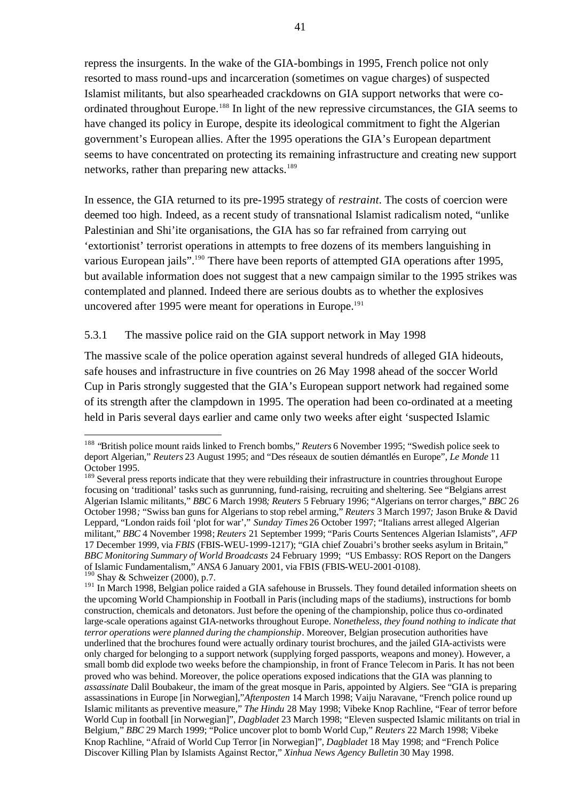repress the insurgents. In the wake of the GIA-bombings in 1995, French police not only resorted to mass round-ups and incarceration (sometimes on vague charges) of suspected Islamist militants, but also spearheaded crackdowns on GIA support networks that were coordinated throughout Europe.<sup>188</sup> In light of the new repressive circumstances, the GIA seems to have changed its policy in Europe, despite its ideological commitment to fight the Algerian government's European allies. After the 1995 operations the GIA's European department seems to have concentrated on protecting its remaining infrastructure and creating new support networks, rather than preparing new attacks.<sup>189</sup>

In essence, the GIA returned to its pre-1995 strategy of *restraint*. The costs of coercion were deemed too high. Indeed, as a recent study of transnational Islamist radicalism noted, "unlike Palestinian and Shi'ite organisations, the GIA has so far refrained from carrying out 'extortionist' terrorist operations in attempts to free dozens of its members languishing in various European jails".<sup>190</sup> There have been reports of attempted GIA operations after 1995, but available information does not suggest that a new campaign similar to the 1995 strikes was contemplated and planned. Indeed there are serious doubts as to whether the explosives uncovered after 1995 were meant for operations in Europe.<sup>191</sup>

#### 5.3.1 The massive police raid on the GIA support network in May 1998

 $\overline{a}$ 

The massive scale of the police operation against several hundreds of alleged GIA hideouts, safe houses and infrastructure in five countries on 26 May 1998 ahead of the soccer World Cup in Paris strongly suggested that the GIA's European support network had regained some of its strength after the clampdown in 1995. The operation had been co-ordinated at a meeting held in Paris several days earlier and came only two weeks after eight 'suspected Islamic

<sup>188</sup> "British police mount raids linked to French bombs," *Reuters* 6 November 1995; "Swedish police seek to deport Algerian," *Reuters* 23 August 1995; and "Des réseaux de soutien démantlés en Europe", *Le Monde* 11 October 1995.

<sup>&</sup>lt;sup>189</sup> Several press reports indicate that they were rebuilding their infrastructure in countries throughout Europe focusing on 'traditional' tasks such as gunrunning, fund-raising, recruiting and sheltering. See "Belgians arrest Algerian Islamic militants," *BBC* 6 March 1998*; Reuters* 5 February 1996; "Algerians on terror charges," *BBC* 26 October 1998*;* "Swiss ban guns for Algerians to stop rebel arming," *Reuters* 3 March 1997*;* Jason Bruke & David Leppard, "London raids foil 'plot for war'," *Sunday Times* 26 October 1997; "Italians arrest alleged Algerian militant," *BBC* 4 November 1998; *Reuters* 21 September 1999; "Paris Courts Sentences Algerian Islamists", *AFP* 17 December 1999, via *FBIS* (FBIS-WEU-1999-1217); "GIA chief Zouabri's brother seeks asylum in Britain," *BBC Monitoring Summary of World Broadcasts* 24 February 1999; "US Embassy: ROS Report on the Dangers of Islamic Fundamentalism," *ANSA* 6 January 2001, via FBIS (FBIS-WEU-2001-0108).  $190$  Shay & Schweizer (2000), p.7.

<sup>&</sup>lt;sup>191</sup> In March 1998, Belgian police raided a GIA safehouse in Brussels. They found detailed information sheets on the upcoming World Championship in Football in Paris(including maps of the stadiums), instructions for bomb construction, chemicals and detonators. Just before the opening of the championship, police thus co-ordinated large-scale operations against GIA-networks throughout Europe. *Nonetheless, they found nothing to indicate that terror operations were planned during the championship*. Moreover, Belgian prosecution authorities have underlined that the brochures found were actually ordinary tourist brochures, and the jailed GIA-activists were only charged for belonging to a support network (supplying forged passports, weapons and money). However, a small bomb did explode two weeks before the championship, in front of France Telecom in Paris. It has not been proved who was behind. Moreover, the police operations exposed indications that the GIA was planning to *assassinate* Dalil Boubakeur*,* the imam of the great mosque in Paris, appointed by Algiers. See "GIA is preparing assassinations in Europe [in Norwegian],"*Aftenposten* 14 March 1998; Vaiju Naravane, "French police round up Islamic militants as preventive measure," *The Hindu* 28 May 1998; Vibeke Knop Rachline, "Fear of terror before World Cup in football [in Norwegian]", *Dagbladet* 23 March 1998; "Eleven suspected Islamic militants on trial in Belgium," *BBC* 29 March 1999; "Police uncover plot to bomb World Cup," *Reuters* 22 March 1998; Vibeke Knop Rachline, "Afraid of World Cup Terror [in Norwegian]", *Dagbladet* 18 May 1998; and "French Police Discover Killing Plan by Islamists Against Rector," *Xinhua News Agency Bulletin* 30 May 1998.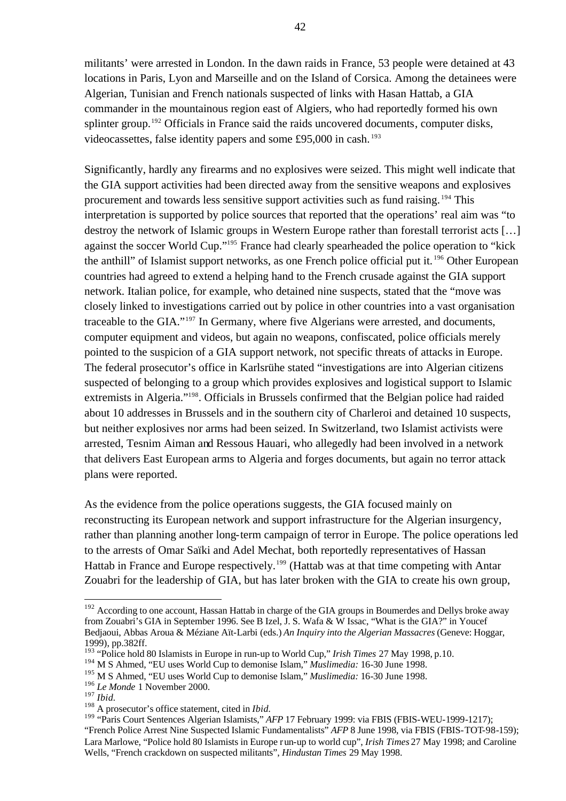militants' were arrested in London. In the dawn raids in France, 53 people were detained at 43 locations in Paris, Lyon and Marseille and on the Island of Corsica. Among the detainees were Algerian, Tunisian and French nationals suspected of links with Hasan Hattab, a GIA commander in the mountainous region east of Algiers, who had reportedly formed his own splinter group.<sup>192</sup> Officials in France said the raids uncovered documents, computer disks, videocassettes, false identity papers and some £95,000 in cash. <sup>193</sup>

Significantly, hardly any firearms and no explosives were seized. This might well indicate that the GIA support activities had been directed away from the sensitive weapons and explosives procurement and towards less sensitive support activities such as fund raising. <sup>194</sup> This interpretation is supported by police sources that reported that the operations' real aim was "to destroy the network of Islamic groups in Western Europe rather than forestall terrorist acts […] against the soccer World Cup."<sup>195</sup> France had clearly spearheaded the police operation to "kick" the anthill" of Islamist support networks, as one French police official put it.<sup>196</sup> Other European countries had agreed to extend a helping hand to the French crusade against the GIA support network. Italian police, for example, who detained nine suspects, stated that the "move was closely linked to investigations carried out by police in other countries into a vast organisation traceable to the GIA."<sup>197</sup> In Germany, where five Algerians were arrested, and documents, computer equipment and videos, but again no weapons, confiscated, police officials merely pointed to the suspicion of a GIA support network, not specific threats of attacks in Europe. The federal prosecutor's office in Karlsrühe stated "investigations are into Algerian citizens suspected of belonging to a group which provides explosives and logistical support to Islamic extremists in Algeria."<sup>198</sup>. Officials in Brussels confirmed that the Belgian police had raided about 10 addresses in Brussels and in the southern city of Charleroi and detained 10 suspects, but neither explosives nor arms had been seized. In Switzerland, two Islamist activists were arrested, Tesnim Aiman and Ressous Hauari, who allegedly had been involved in a network that delivers East European arms to Algeria and forges documents, but again no terror attack plans were reported.

As the evidence from the police operations suggests, the GIA focused mainly on reconstructing its European network and support infrastructure for the Algerian insurgency, rather than planning another long-term campaign of terror in Europe. The police operations led to the arrests of Omar Saïki and Adel Mechat, both reportedly representatives of Hassan Hattab in France and Europe respectively.<sup>199</sup> (Hattab was at that time competing with Antar Zouabri for the leadership of GIA, but has later broken with the GIA to create his own group,

 $192$  According to one account, Hassan Hattab in charge of the GIA groups in Boumerdes and Dellys broke away from Zouabri's GIA in September 1996. See B Izel, J. S. Wafa & W Issac, "What is the GIA?" in Youcef Bedjaoui, Abbas Aroua & Méziane Aït-Larbi (eds.) *An Inquiry into the Algerian Massacres* (Geneve: Hoggar, 1999), pp.382ff.

<sup>193</sup> "Police hold 80 Islamists in Europe in run-up to World Cup," *Irish Times* 27 May 1998, p.10.

<sup>194</sup> M S Ahmed, "EU uses World Cup to demonise Islam," *Muslimedia:* 16-30 June 1998.

<sup>195</sup> M S Ahmed, "EU uses World Cup to demonise Islam," *Muslimedia:* 16-30 June 1998.

<sup>&</sup>lt;sup>196</sup> *Le Monde* 1 November 2000.

<sup>197</sup> *Ibid.*

<sup>198</sup> A prosecutor's office statement, cited in *Ibid.*

<sup>199</sup> "Paris Court Sentences Algerian Islamists," *AFP* 17 February 1999: via FBIS (FBIS-WEU-1999-1217); "French Police Arrest Nine Suspected Islamic Fundamentalists" *AFP* 8 June 1998, via FBIS (FBIS-TOT-98-159); Lara Marlowe, "Police hold 80 Islamists in Europe run-up to world cup", *Irish Times* 27 May 1998; and Caroline Wells, "French crackdown on suspected militants", *Hindustan Times* 29 May 1998.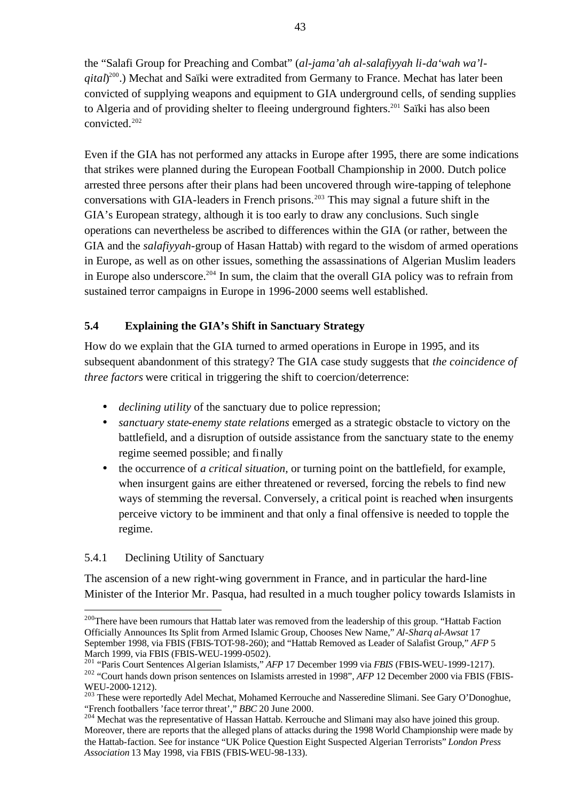the "Salafi Group for Preaching and Combat" (*al-jama'ah al-salafiyyah li-da'wah wa'lqital*) <sup>200</sup>.) Mechat and Saïki were extradited from Germany to France. Mechat has later been convicted of supplying weapons and equipment to GIA underground cells, of sending supplies to Algeria and of providing shelter to fleeing underground fighters.<sup>201</sup> Saïki has also been convicted.<sup>202</sup>

Even if the GIA has not performed any attacks in Europe after 1995, there are some indications that strikes were planned during the European Football Championship in 2000. Dutch police arrested three persons after their plans had been uncovered through wire-tapping of telephone conversations with GIA-leaders in French prisons.<sup>203</sup> This may signal a future shift in the GIA's European strategy, although it is too early to draw any conclusions. Such single operations can nevertheless be ascribed to differences within the GIA (or rather, between the GIA and the *salafiyyah*-group of Hasan Hattab) with regard to the wisdom of armed operations in Europe, as well as on other issues, something the assassinations of Algerian Muslim leaders in Europe also underscore.<sup>204</sup> In sum, the claim that the overall GIA policy was to refrain from sustained terror campaigns in Europe in 1996-2000 seems well established.

### **5.4 Explaining the GIA's Shift in Sanctuary Strategy**

How do we explain that the GIA turned to armed operations in Europe in 1995, and its subsequent abandonment of this strategy? The GIA case study suggests that *the coincidence of three factors* were critical in triggering the shift to coercion/deterrence:

- *declining utility* of the sanctuary due to police repression;
- *sanctuary state-enemy state relations* emerged as a strategic obstacle to victory on the battlefield, and a disruption of outside assistance from the sanctuary state to the enemy regime seemed possible; and finally
- the occurrence of *a critical situation,* or turning point on the battlefield, for example, when insurgent gains are either threatened or reversed, forcing the rebels to find new ways of stemming the reversal. Conversely, a critical point is reached when insurgents perceive victory to be imminent and that only a final offensive is needed to topple the regime.

#### 5.4.1 Declining Utility of Sanctuary

 $\overline{a}$ 

The ascension of a new right-wing government in France, and in particular the hard-line Minister of the Interior Mr. Pasqua, had resulted in a much tougher policy towards Islamists in

<sup>&</sup>lt;sup>200</sup>There have been rumours that Hattab later was removed from the leadership of this group. "Hattab Faction Officially Announces Its Split from Armed Islamic Group, Chooses New Name," *Al-Sharq al-Awsat* 17 September 1998, via FBIS (FBIS-TOT-98-260); and "Hattab Removed as Leader of Salafist Group," *AFP* 5 March 1999, via FBIS (FBIS-WEU-1999-0502).

<sup>201</sup> "Paris Court Sentences Algerian Islamists," *AFP* 17 December 1999 via *FBIS* (FBIS-WEU-1999-1217).

<sup>&</sup>lt;sup>202</sup> "Court hands down prison sentences on Islamists arrested in 1998", *AFP* 12 December 2000 via FBIS (FBIS-WEU-2000-1212).

<sup>&</sup>lt;sup>203</sup> These were reportedly Adel Mechat, Mohamed Kerrouche and Nasseredine Slimani. See Gary O'Donoghue, "French footballers 'face terror threat'," *BBC* 20 June 2000.

<sup>&</sup>lt;sup>204</sup> Mechat was the representative of Hassan Hattab. Kerrouche and Slimani may also have joined this group. Moreover, there are reports that the alleged plans of attacks during the 1998 World Championship were made by the Hattab-faction. See for instance "UK Police Question Eight Suspected Algerian Terrorists" *London Press Association* 13 May 1998, via FBIS (FBIS-WEU-98-133).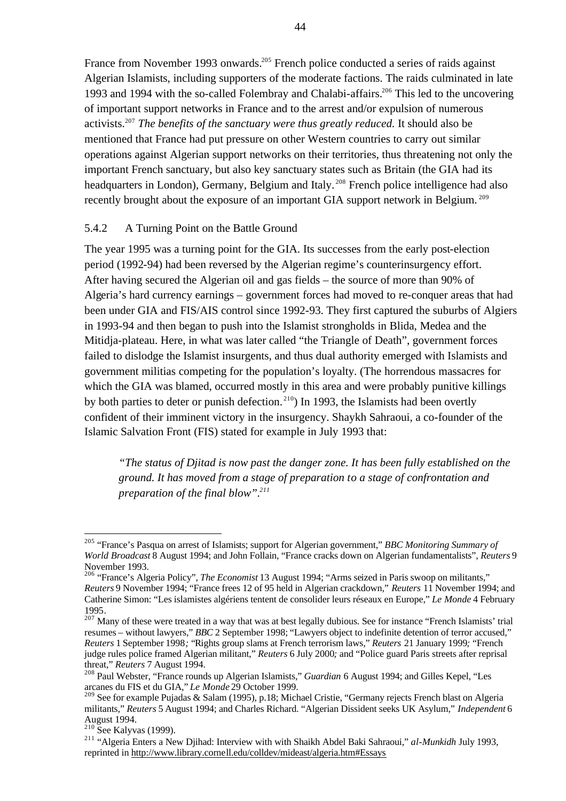France from November 1993 onwards.<sup>205</sup> French police conducted a series of raids against Algerian Islamists, including supporters of the moderate factions. The raids culminated in late 1993 and 1994 with the so-called Folembray and Chalabi-affairs.<sup>206</sup> This led to the uncovering of important support networks in France and to the arrest and/or expulsion of numerous activists.<sup>207</sup> *The benefits of the sanctuary were thus greatly reduced.* It should also be mentioned that France had put pressure on other Western countries to carry out similar operations against Algerian support networks on their territories, thus threatening not only the important French sanctuary, but also key sanctuary states such as Britain (the GIA had its headquarters in London), Germany, Belgium and Italy.<sup>208</sup> French police intelligence had also recently brought about the exposure of an important GIA support network in Belgium.<sup>209</sup>

#### 5.4.2 A Turning Point on the Battle Ground

The year 1995 was a turning point for the GIA. Its successes from the early post-election period (1992-94) had been reversed by the Algerian regime's counterinsurgency effort. After having secured the Algerian oil and gas fields – the source of more than 90% of Algeria's hard currency earnings – government forces had moved to re-conquer areas that had been under GIA and FIS/AIS control since 1992-93. They first captured the suburbs of Algiers in 1993-94 and then began to push into the Islamist strongholds in Blida, Medea and the Mitidja-plateau. Here, in what was later called "the Triangle of Death", government forces failed to dislodge the Islamist insurgents, and thus dual authority emerged with Islamists and government militias competing for the population's loyalty. (The horrendous massacres for which the GIA was blamed, occurred mostly in this area and were probably punitive killings by both parties to deter or punish defection. <sup>210</sup>) In 1993, the Islamists had been overtly confident of their imminent victory in the insurgency. Shaykh Sahraoui, a co-founder of the Islamic Salvation Front (FIS) stated for example in July 1993 that:

*"The status of Djitad is now past the danger zone. It has been fully established on the ground. It has moved from a stage of preparation to a stage of confrontation and preparation of the final blow".<sup>211</sup>*

<sup>205</sup> "France's Pasqua on arrest of Islamists; support for Algerian government," *BBC Monitoring Summary of World Broadcast* 8 August 1994; and John Follain, "France cracks down on Algerian fundamentalists", *Reuters* 9 November 1993.

<sup>206</sup> "France's Algeria Policy", *The Economist* 13 August 1994; "Arms seized in Paris swoop on militants," *Reuters* 9 November 1994; "France frees 12 of 95 held in Algerian crackdown," *Reuters* 11 November 1994; and Catherine Simon: "Les islamistes algériens tentent de consolider leurs réseaux en Europe," *Le Monde* 4 February 1995.

<sup>&</sup>lt;sup>207</sup> Many of these were treated in a way that was at best legally dubious. See for instance "French Islamists' trial resumes – without lawyers," *BBC* 2 September 1998; "Lawyers object to indefinite detention of terror accused," *Reuters* 1 September 1998*;* "Rights group slams at French terrorism laws," *Reuters* 21 January 1999*;* "French judge rules police framed Algerian militant," *Reuters* 6 July 2000*;* and "Police guard Paris streets after reprisal threat," *Reuters* 7 August 1994.

<sup>208</sup> Paul Webster, "France rounds up Algerian Islamists," *Guardian* 6 August 1994; and Gilles Kepel, "Les arcanes du FIS et du GIA," *Le Monde* 29 October 1999.

<sup>&</sup>lt;sup>209</sup> See for example Pujadas & Salam (1995), p.18; Michael Cristie, "Germany rejects French blast on Algeria militants," *Reuters* 5 August 1994; and Charles Richard. "Algerian Dissident seeks UK Asylum," *Independent* 6 August 1994.

 $210$  See Kalyvas (1999).

<sup>211</sup> "Algeria Enters a New Djihad: Interview with with Shaikh Abdel Baki Sahraoui," *al-Munkidh* July 1993, reprinted in http://www.library.cornell.edu/colldev/mideast/algeria.htm#Essays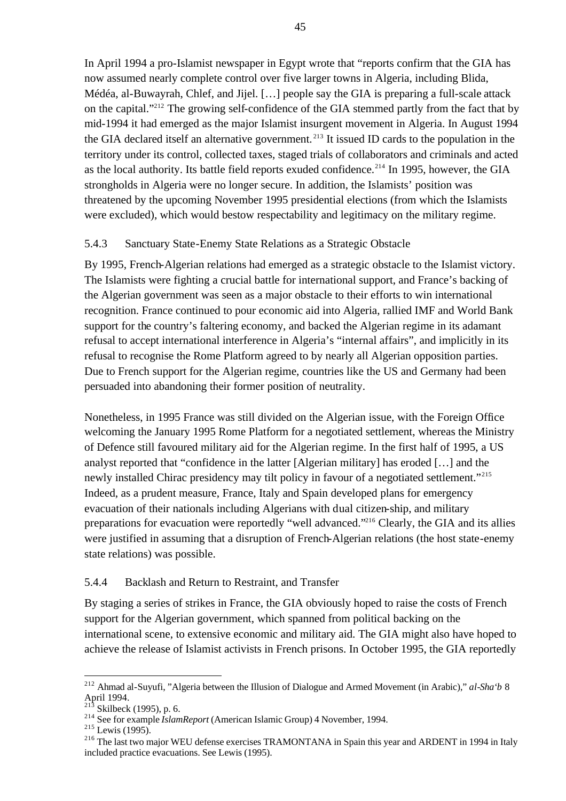In April 1994 a pro-Islamist newspaper in Egypt wrote that "reports confirm that the GIA has now assumed nearly complete control over five larger towns in Algeria, including Blida, Médéa, al-Buwayrah, Chlef, and Jijel. […] people say the GIA is preparing a full-scale attack on the capital."<sup>212</sup> The growing self-confidence of the GIA stemmed partly from the fact that by mid-1994 it had emerged as the major Islamist insurgent movement in Algeria. In August 1994 the GIA declared itself an alternative government. <sup>213</sup> It issued ID cards to the population in the territory under its control, collected taxes, staged trials of collaborators and criminals and acted as the local authority. Its battle field reports exuded confidence.<sup>214</sup> In 1995, however, the GIA strongholds in Algeria were no longer secure. In addition, the Islamists' position was threatened by the upcoming November 1995 presidential elections (from which the Islamists were excluded), which would bestow respectability and legitimacy on the military regime.

### 5.4.3 Sanctuary State-Enemy State Relations as a Strategic Obstacle

By 1995, French-Algerian relations had emerged as a strategic obstacle to the Islamist victory. The Islamists were fighting a crucial battle for international support, and France's backing of the Algerian government was seen as a major obstacle to their efforts to win international recognition. France continued to pour economic aid into Algeria, rallied IMF and World Bank support for the country's faltering economy, and backed the Algerian regime in its adamant refusal to accept international interference in Algeria's "internal affairs", and implicitly in its refusal to recognise the Rome Platform agreed to by nearly all Algerian opposition parties. Due to French support for the Algerian regime, countries like the US and Germany had been persuaded into abandoning their former position of neutrality.

Nonetheless, in 1995 France was still divided on the Algerian issue, with the Foreign Office welcoming the January 1995 Rome Platform for a negotiated settlement, whereas the Ministry of Defence still favoured military aid for the Algerian regime. In the first half of 1995, a US analyst reported that "confidence in the latter [Algerian military] has eroded […] and the newly installed Chirac presidency may tilt policy in favour of a negotiated settlement."<sup>215</sup> Indeed, as a prudent measure, France, Italy and Spain developed plans for emergency evacuation of their nationals including Algerians with dual citizen-ship, and military preparations for evacuation were reportedly "well advanced."<sup>216</sup> Clearly, the GIA and its allies were justified in assuming that a disruption of French-Algerian relations (the host state-enemy state relations) was possible.

## 5.4.4 Backlash and Return to Restraint, and Transfer

By staging a series of strikes in France, the GIA obviously hoped to raise the costs of French support for the Algerian government, which spanned from political backing on the international scene, to extensive economic and military aid. The GIA might also have hoped to achieve the release of Islamist activists in French prisons. In October 1995, the GIA reportedly

<sup>212</sup> Ahmad al-Suyufi, "Algeria between the Illusion of Dialogue and Armed Movement (in Arabic)," *al-Sha'b* 8 April 1994.

 $213$  Skilbeck (1995), p. 6.

<sup>214</sup> See for example *IslamReport* (American Islamic Group) 4 November, 1994.

 $215$  Lewis (1995).

<sup>&</sup>lt;sup>216</sup> The last two major WEU defense exercises TRAMONTANA in Spain this year and ARDENT in 1994 in Italy included practice evacuations. See Lewis (1995).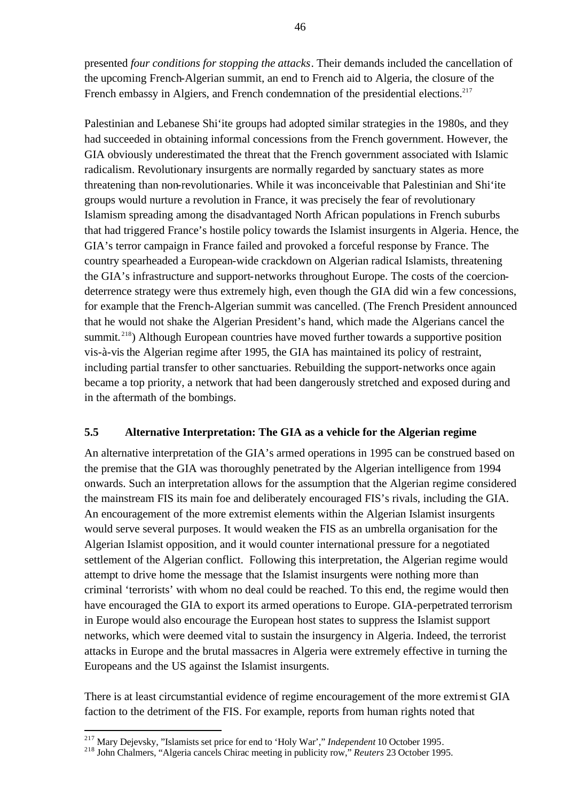presented *four conditions for stopping the attacks*. Their demands included the cancellation of the upcoming French-Algerian summit, an end to French aid to Algeria, the closure of the French embassy in Algiers, and French condemnation of the presidential elections.<sup>217</sup>

Palestinian and Lebanese Shi'ite groups had adopted similar strategies in the 1980s, and they had succeeded in obtaining informal concessions from the French government. However, the GIA obviously underestimated the threat that the French government associated with Islamic radicalism. Revolutionary insurgents are normally regarded by sanctuary states as more threatening than non-revolutionaries. While it was inconceivable that Palestinian and Shi'ite groups would nurture a revolution in France, it was precisely the fear of revolutionary Islamism spreading among the disadvantaged North African populations in French suburbs that had triggered France's hostile policy towards the Islamist insurgents in Algeria. Hence, the GIA's terror campaign in France failed and provoked a forceful response by France. The country spearheaded a European-wide crackdown on Algerian radical Islamists, threatening the GIA's infrastructure and support-networks throughout Europe. The costs of the coerciondeterrence strategy were thus extremely high, even though the GIA did win a few concessions, for example that the French-Algerian summit was cancelled. (The French President announced that he would not shake the Algerian President's hand, which made the Algerians cancel the summit.<sup>218</sup>) Although European countries have moved further towards a supportive position vis-à-vis the Algerian regime after 1995, the GIA has maintained its policy of restraint, including partial transfer to other sanctuaries. Rebuilding the support-networks once again became a top priority, a network that had been dangerously stretched and exposed during and in the aftermath of the bombings.

#### **5.5 Alternative Interpretation: The GIA as a vehicle for the Algerian regime**

An alternative interpretation of the GIA's armed operations in 1995 can be construed based on the premise that the GIA was thoroughly penetrated by the Algerian intelligence from 1994 onwards. Such an interpretation allows for the assumption that the Algerian regime considered the mainstream FIS its main foe and deliberately encouraged FIS's rivals, including the GIA. An encouragement of the more extremist elements within the Algerian Islamist insurgents would serve several purposes. It would weaken the FIS as an umbrella organisation for the Algerian Islamist opposition, and it would counter international pressure for a negotiated settlement of the Algerian conflict. Following this interpretation, the Algerian regime would attempt to drive home the message that the Islamist insurgents were nothing more than criminal 'terrorists' with whom no deal could be reached. To this end, the regime would then have encouraged the GIA to export its armed operations to Europe. GIA-perpetrated terrorism in Europe would also encourage the European host states to suppress the Islamist support networks, which were deemed vital to sustain the insurgency in Algeria. Indeed, the terrorist attacks in Europe and the brutal massacres in Algeria were extremely effective in turning the Europeans and the US against the Islamist insurgents.

There is at least circumstantial evidence of regime encouragement of the more extremist GIA faction to the detriment of the FIS. For example, reports from human rights noted that

<sup>217</sup> Mary Dejevsky, "Islamists set price for end to 'Holy War'," *Independent* 10 October 1995.

<sup>218</sup> John Chalmers, "Algeria cancels Chirac meeting in publicity row," *Reuters* 23 October 1995.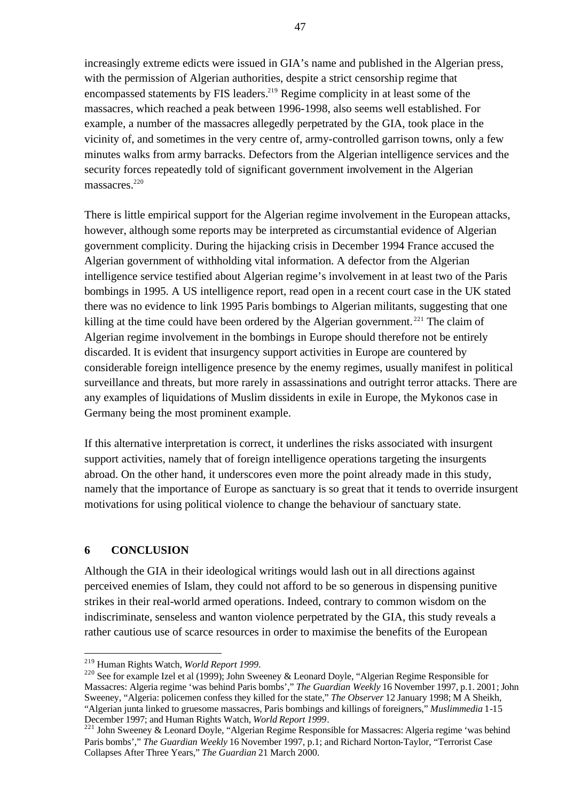increasingly extreme edicts were issued in GIA's name and published in the Algerian press, with the permission of Algerian authorities, despite a strict censorship regime that encompassed statements by FIS leaders.<sup>219</sup> Regime complicity in at least some of the massacres, which reached a peak between 1996-1998, also seems well established. For example, a number of the massacres allegedly perpetrated by the GIA, took place in the vicinity of, and sometimes in the very centre of, army-controlled garrison towns, only a few minutes walks from army barracks. Defectors from the Algerian intelligence services and the security forces repeatedly told of significant government involvement in the Algerian massacres.<sup>220</sup>

There is little empirical support for the Algerian regime involvement in the European attacks, however, although some reports may be interpreted as circumstantial evidence of Algerian government complicity. During the hijacking crisis in December 1994 France accused the Algerian government of withholding vital information. A defector from the Algerian intelligence service testified about Algerian regime's involvement in at least two of the Paris bombings in 1995. A US intelligence report, read open in a recent court case in the UK stated there was no evidence to link 1995 Paris bombings to Algerian militants, suggesting that one killing at the time could have been ordered by the Algerian government.<sup>221</sup> The claim of Algerian regime involvement in the bombings in Europe should therefore not be entirely discarded. It is evident that insurgency support activities in Europe are countered by considerable foreign intelligence presence by the enemy regimes, usually manifest in political surveillance and threats, but more rarely in assassinations and outright terror attacks. There are any examples of liquidations of Muslim dissidents in exile in Europe, the Mykonos case in Germany being the most prominent example.

If this alternative interpretation is correct, it underlines the risks associated with insurgent support activities, namely that of foreign intelligence operations targeting the insurgents abroad. On the other hand, it underscores even more the point already made in this study, namely that the importance of Europe as sanctuary is so great that it tends to override insurgent motivations for using political violence to change the behaviour of sanctuary state.

#### **6 CONCLUSION**

 $\overline{a}$ 

Although the GIA in their ideological writings would lash out in all directions against perceived enemies of Islam, they could not afford to be so generous in dispensing punitive strikes in their real-world armed operations. Indeed, contrary to common wisdom on the indiscriminate, senseless and wanton violence perpetrated by the GIA, this study reveals a rather cautious use of scarce resources in order to maximise the benefits of the European

<sup>219</sup> Human Rights Watch, *World Report 1999*.

<sup>&</sup>lt;sup>220</sup> See for example Izel et al (1999); John Sweeney & Leonard Doyle, "Algerian Regime Responsible for Massacres: Algeria regime 'was behind Paris bombs'," *The Guardian Weekly* 16 November 1997, p.1. 2001; John Sweeney, "Algeria: policemen confess they killed for the state," *The Observer* 12 January 1998; M A Sheikh, "Algerian junta linked to gruesome massacres, Paris bombings and killings of foreigners," *Muslimmedia* 1-15 December 1997; and Human Rights Watch, *World Report 1999*.

 $^{221}$  John Sweeney & Leonard Doyle, "Algerian Regime Responsible for Massacres: Algeria regime 'was behind Paris bombs'," *The Guardian Weekly* 16 November 1997, p.1; and Richard Norton-Taylor, "Terrorist Case Collapses After Three Years," *The Guardian* 21 March 2000.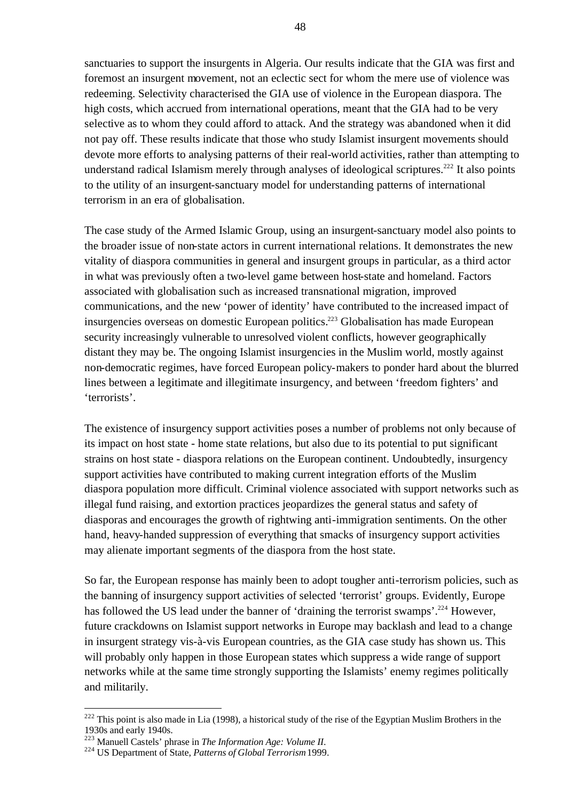sanctuaries to support the insurgents in Algeria. Our results indicate that the GIA was first and foremost an insurgent movement, not an eclectic sect for whom the mere use of violence was redeeming. Selectivity characterised the GIA use of violence in the European diaspora. The high costs, which accrued from international operations, meant that the GIA had to be very selective as to whom they could afford to attack. And the strategy was abandoned when it did not pay off. These results indicate that those who study Islamist insurgent movements should devote more efforts to analysing patterns of their real-world activities, rather than attempting to understand radical Islamism merely through analyses of ideological scriptures.<sup>222</sup> It also points to the utility of an insurgent-sanctuary model for understanding patterns of international terrorism in an era of globalisation.

The case study of the Armed Islamic Group, using an insurgent-sanctuary model also points to the broader issue of non-state actors in current international relations. It demonstrates the new vitality of diaspora communities in general and insurgent groups in particular, as a third actor in what was previously often a two-level game between host-state and homeland. Factors associated with globalisation such as increased transnational migration, improved communications, and the new 'power of identity' have contributed to the increased impact of insurgencies overseas on domestic European politics.<sup>223</sup> Globalisation has made European security increasingly vulnerable to unresolved violent conflicts, however geographically distant they may be. The ongoing Islamist insurgencies in the Muslim world, mostly against non-democratic regimes, have forced European policy-makers to ponder hard about the blurred lines between a legitimate and illegitimate insurgency, and between 'freedom fighters' and 'terrorists'.

The existence of insurgency support activities poses a number of problems not only because of its impact on host state - home state relations, but also due to its potential to put significant strains on host state - diaspora relations on the European continent. Undoubtedly, insurgency support activities have contributed to making current integration efforts of the Muslim diaspora population more difficult. Criminal violence associated with support networks such as illegal fund raising, and extortion practices jeopardizes the general status and safety of diasporas and encourages the growth of rightwing anti-immigration sentiments. On the other hand, heavy-handed suppression of everything that smacks of insurgency support activities may alienate important segments of the diaspora from the host state.

So far, the European response has mainly been to adopt tougher anti-terrorism policies, such as the banning of insurgency support activities of selected 'terrorist' groups. Evidently, Europe has followed the US lead under the banner of 'draining the terrorist swamps'.<sup>224</sup> However, future crackdowns on Islamist support networks in Europe may backlash and lead to a change in insurgent strategy vis-à-vis European countries, as the GIA case study has shown us. This will probably only happen in those European states which suppress a wide range of support networks while at the same time strongly supporting the Islamists' enemy regimes politically and militarily.

 $222$  This point is also made in Lia (1998), a historical study of the rise of the Egyptian Muslim Brothers in the 1930s and early 1940s.

<sup>223</sup> Manuell Castels' phrase in *The Information Age: Volume II*.

<sup>224</sup> US Department of State, *Patterns of Global Terrorism* 1999.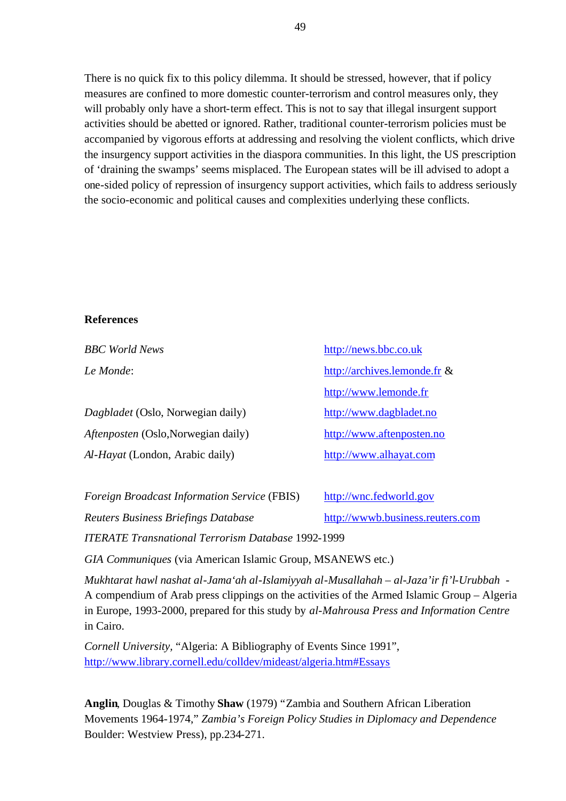There is no quick fix to this policy dilemma. It should be stressed, however, that if policy measures are confined to more domestic counter-terrorism and control measures only, they will probably only have a short-term effect. This is not to say that illegal insurgent support activities should be abetted or ignored. Rather, traditional counter-terrorism policies must be accompanied by vigorous efforts at addressing and resolving the violent conflicts, which drive the insurgency support activities in the diaspora communities. In this light, the US prescription of 'draining the swamps' seems misplaced. The European states will be ill advised to adopt a one-sided policy of repression of insurgency support activities, which fails to address seriously the socio-economic and political causes and complexities underlying these conflicts.

#### **References**

| <b>BBC</b> World News               | http://news.bbc.co.uk           |  |  |
|-------------------------------------|---------------------------------|--|--|
| Le Monde:                           | http://archives.lemonde.fr $\&$ |  |  |
|                                     | http://www.lemonde.fr           |  |  |
| Dagbladet (Oslo, Norwegian daily)   | http://www.dagbladet.no         |  |  |
| Aftenposten (Oslo, Norwegian daily) | http://www.aftenposten.no       |  |  |
| Al-Hayat (London, Arabic daily)     | http://www.alhayat.com          |  |  |

| <i>Foreign Broadcast Information Service</i> (FBIS)       | http://wnc.fedworld.gov          |  |  |  |  |  |  |
|-----------------------------------------------------------|----------------------------------|--|--|--|--|--|--|
| Reuters Business Briefings Database                       | http://wwwb.business.reuters.com |  |  |  |  |  |  |
| <b>ITERATE Transnational Terrorism Database 1992-1999</b> |                                  |  |  |  |  |  |  |

*GIA Communiques* (via American Islamic Group, MSANEWS etc.)

*Mukhtarat hawl nashat al-Jama'ah al-Islamiyyah al-Musallahah – al-Jaza'ir fi'l-Urubbah* - A compendium of Arab press clippings on the activities of the Armed Islamic Group – Algeria in Europe, 1993-2000, prepared for this study by *al-Mahrousa Press and Information Centre*  in Cairo.

*Cornell University,* "Algeria: A Bibliography of Events Since 1991", http://www.library.cornell.edu/colldev/mideast/algeria.htm#Essays

**Anglin**, Douglas & Timothy **Shaw** (1979) "Zambia and Southern African Liberation Movements 1964-1974," *Zambia's Foreign Policy Studies in Diplomacy and Dependence* Boulder: Westview Press), pp.234-271.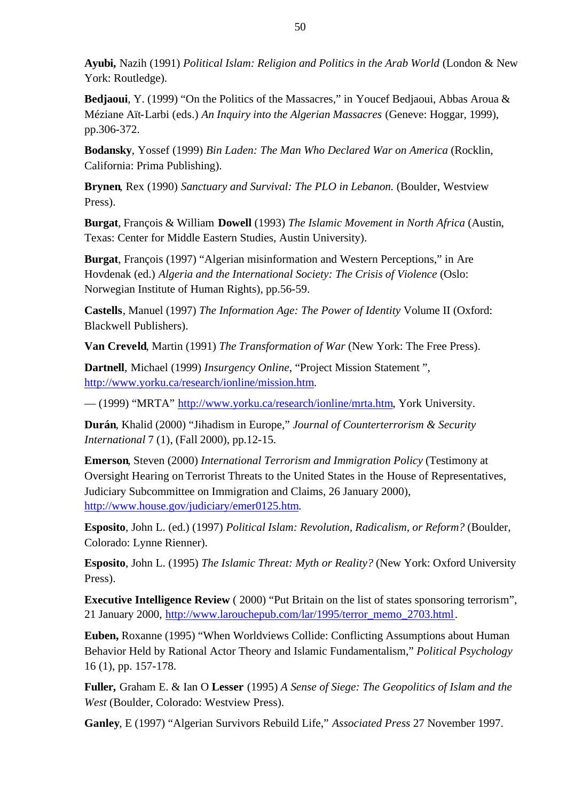**Ayubi,** Nazih (1991) *Political Islam: Religion and Politics in the Arab World* (London & New York: Routledge).

**Bedjaoui**, Y. (1999) "On the Politics of the Massacres," in Youcef Bedjaoui, Abbas Aroua & Méziane Aït-Larbi (eds.) *An Inquiry into the Algerian Massacres* (Geneve: Hoggar, 1999), pp.306-372.

**Bodansky**, Yossef (1999) *Bin Laden: The Man Who Declared War on America* (Rocklin, California: Prima Publishing).

**Brynen**, Rex (1990) *Sanctuary and Survival: The PLO in Lebanon.* (Boulder, Westview Press).

**Burgat**, François & William **Dowell** (1993) *The Islamic Movement in North Africa* (Austin, Texas: Center for Middle Eastern Studies, Austin University).

**Burgat**, François (1997) "Algerian misinformation and Western Perceptions," in Are Hovdenak (ed.) *Algeria and the International Society: The Crisis of Violence* (Oslo: Norwegian Institute of Human Rights), pp.56-59.

**Castells**, Manuel (1997) *The Information Age: The Power of Identity* Volume II (Oxford: Blackwell Publishers).

**Van Creveld**, Martin (1991) *The Transformation of War* (New York: The Free Press).

**Dartnell**, Michael (1999) *Insurgency Online*, "Project Mission Statement ", http://www.yorku.ca/research/ionline/mission.htm.

— (1999) "MRTA" http://www.yorku.ca/research/ionline/mrta.htm, York University.

**Durán**, Khalid (2000) "Jihadism in Europe," *Journal of Counterterrorism & Security International* 7 (1), (Fall 2000), pp.12-15.

**Emerson**, Steven (2000) *International Terrorism and Immigration Policy* (Testimony at Oversight Hearing on Terrorist Threats to the United States in the House of Representatives, Judiciary Subcommittee on Immigration and Claims, 26 January 2000), http://www.house.gov/judiciary/emer0125.htm.

**Esposito**, John L. (ed.) (1997) *Political Islam: Revolution, Radicalism, or Reform?* (Boulder, Colorado: Lynne Rienner).

**Esposito**, John L. (1995) *The Islamic Threat: Myth or Reality?* (New York: Oxford University Press).

**Executive Intelligence Review** (2000) "Put Britain on the list of states sponsoring terrorism", 21 January 2000, http://www.larouchepub.com/lar/1995/terror\_memo\_2703.html.

**Euben,** Roxanne (1995) "When Worldviews Collide: Conflicting Assumptions about Human Behavior Held by Rational Actor Theory and Islamic Fundamentalism," *Political Psychology*  16 (1), pp. 157-178.

**Fuller,** Graham E. & Ian O **Lesser** (1995) *A Sense of Siege: The Geopolitics of Islam and the West* (Boulder, Colorado: Westview Press).

**Ganley**, E (1997) "Algerian Survivors Rebuild Life," *Associated Press* 27 November 1997.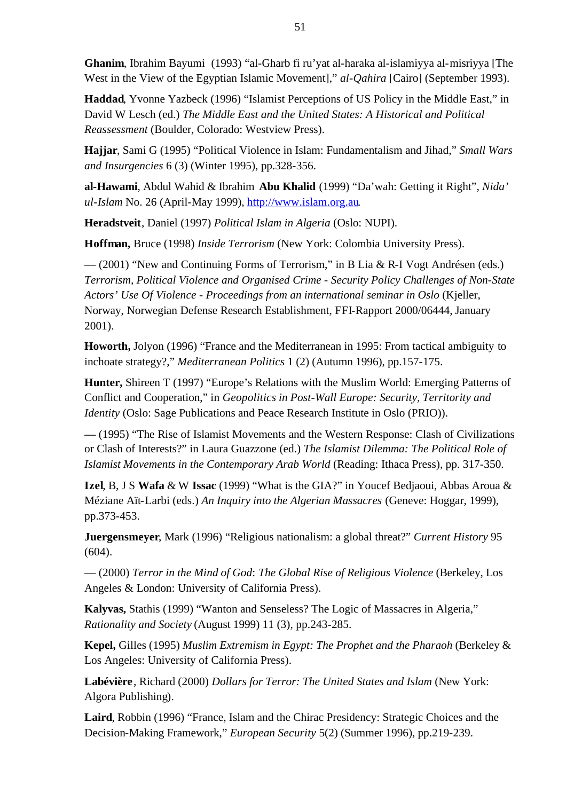**Ghanim**, Ibrahim Bayumi (1993) "al-Gharb fi ru'yat al-haraka al-islamiyya al-misriyya [The West in the View of the Egyptian Islamic Movement]," *al-Qahira* [Cairo] (September 1993).

**Haddad**, Yvonne Yazbeck (1996) "Islamist Perceptions of US Policy in the Middle East," in David W Lesch (ed.) *The Middle East and the United States: A Historical and Political Reassessment* (Boulder, Colorado: Westview Press).

**Hajjar**, Sami G (1995) "Political Violence in Islam: Fundamentalism and Jihad," *Small Wars and Insurgencies* 6 (3) (Winter 1995), pp.328-356.

**al-Hawami**, Abdul Wahid & Ibrahim **Abu Khalid** (1999) "Da'wah: Getting it Right", *Nida' ul-Islam* No. 26 (April-May 1999), http://www.islam.org.au.

**Heradstveit**, Daniel (1997) *Political Islam in Algeria* (Oslo: NUPI).

**Hoffman,** Bruce (1998) *Inside Terrorism* (New York: Colombia University Press).

— (2001) "New and Continuing Forms of Terrorism," in B Lia & R-I Vogt Andrésen (eds.) *Terrorism, Political Violence and Organised Crime - Security Policy Challenges of Non-State Actors' Use Of Violence - Proceedings from an international seminar in Oslo* (Kjeller, Norway, Norwegian Defense Research Establishment, FFI-Rapport 2000/06444, January 2001).

**Howorth,** Jolyon (1996) "France and the Mediterranean in 1995: From tactical ambiguity to inchoate strategy?," *Mediterranean Politics* 1 (2) (Autumn 1996), pp.157-175.

**Hunter,** Shireen T (1997) "Europe's Relations with the Muslim World: Emerging Patterns of Conflict and Cooperation," in *Geopolitics in Post-Wall Europe: Security, Territority and Identity* (Oslo: Sage Publications and Peace Research Institute in Oslo (PRIO)).

**—** (1995) "The Rise of Islamist Movements and the Western Response: Clash of Civilizations or Clash of Interests?" in Laura Guazzone (ed.) *The Islamist Dilemma: The Political Role of Islamist Movements in the Contemporary Arab World* (Reading: Ithaca Press), pp. 317-350.

**Izel**, B, J S **Wafa** & W **Issac** (1999) "What is the GIA?" in Youcef Bedjaoui, Abbas Aroua & Méziane Aït-Larbi (eds.) *An Inquiry into the Algerian Massacres* (Geneve: Hoggar, 1999), pp.373-453.

**Juergensmeyer**, Mark (1996) "Religious nationalism: a global threat?" *Current History* 95 (604).

— (2000) *Terror in the Mind of God*: *The Global Rise of Religious Violence* (Berkeley, Los Angeles & London: University of California Press).

**Kalyvas,** Stathis (1999) "Wanton and Senseless? The Logic of Massacres in Algeria," *Rationality and Society* (August 1999) 11 (3), pp.243-285.

**Kepel,** Gilles (1995) *Muslim Extremism in Egypt: The Prophet and the Pharaoh* (Berkeley & Los Angeles: University of California Press).

**Labévière**, Richard (2000) *Dollars for Terror: The United States and Islam* (New York: Algora Publishing).

**Laird**, Robbin (1996) "France, Islam and the Chirac Presidency: Strategic Choices and the Decision-Making Framework," *European Security* 5(2) (Summer 1996), pp.219-239.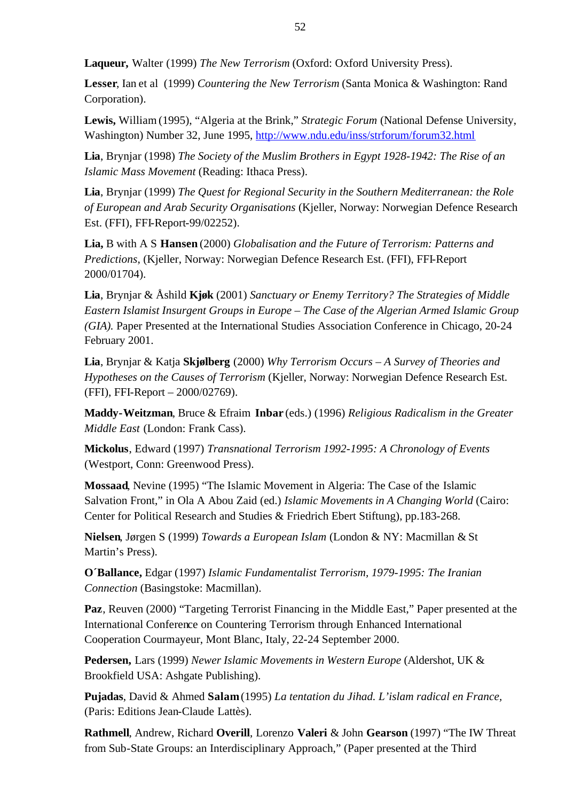**Laqueur,** Walter (1999) *The New Terrorism* (Oxford: Oxford University Press).

**Lesser**, Ian et al (1999) *Countering the New Terrorism* (Santa Monica & Washington: Rand Corporation).

**Lewis,** William (1995), "Algeria at the Brink," *Strategic Forum* (National Defense University, Washington) Number 32, June 1995, http://www.ndu.edu/inss/strforum/forum32.html

**Lia**, Brynjar (1998) *The Society of the Muslim Brothers in Egypt 1928-1942: The Rise of an Islamic Mass Movement* (Reading: Ithaca Press).

**Lia**, Brynjar (1999) *The Quest for Regional Security in the Southern Mediterranean: the Role of European and Arab Security Organisations* (Kjeller, Norway: Norwegian Defence Research Est. (FFI), FFI-Report-99/02252).

**Lia,** B with A S **Hansen** (2000) *Globalisation and the Future of Terrorism: Patterns and Predictions*, (Kjeller, Norway: Norwegian Defence Research Est. (FFI), FFI-Report 2000/01704).

**Lia**, Brynjar & Åshild **Kjøk** (2001) *Sanctuary or Enemy Territory? The Strategies of Middle Eastern Islamist Insurgent Groups in Europe – The Case of the Algerian Armed Islamic Group (GIA).* Paper Presented at the International Studies Association Conference in Chicago, 20-24 February 2001.

**Lia**, Brynjar & Katja **Skjølberg** (2000) *Why Terrorism Occurs – A Survey of Theories and Hypotheses on the Causes of Terrorism* (Kjeller, Norway: Norwegian Defence Research Est. (FFI), FFI-Report – 2000/02769).

**Maddy-Weitzman**, Bruce & Efraim **Inbar** (eds.) (1996) *Religious Radicalism in the Greater Middle East* (London: Frank Cass).

**Mickolus**, Edward (1997) *Transnational Terrorism 1992-1995: A Chronology of Events*  (Westport, Conn: Greenwood Press).

**Mossaad**, Nevine (1995) "The Islamic Movement in Algeria: The Case of the Islamic Salvation Front," in Ola A Abou Zaid (ed.) *Islamic Movements in A Changing World* (Cairo: Center for Political Research and Studies & Friedrich Ebert Stiftung), pp.183-268.

**Nielsen**, Jørgen S (1999) *Towards a European Islam* (London & NY: Macmillan & St Martin's Press).

**O´Ballance,** Edgar (1997) *Islamic Fundamentalist Terrorism, 1979-1995: The Iranian Connection* (Basingstoke: Macmillan).

**Paz**, Reuven (2000) "Targeting Terrorist Financing in the Middle East," Paper presented at the International Conference on Countering Terrorism through Enhanced International Cooperation Courmayeur, Mont Blanc, Italy, 22-24 September 2000.

**Pedersen,** Lars (1999) *Newer Islamic Movements in Western Europe* (Aldershot, UK & Brookfield USA: Ashgate Publishing).

**Pujadas**, David & Ahmed **Salam** (1995) *La tentation du Jihad. L'islam radical en France,*  (Paris: Editions Jean-Claude Lattès).

**Rathmell**, Andrew, Richard **Overill**, Lorenzo **Valeri** & John **Gearson** (1997) "The IW Threat from Sub-State Groups: an Interdisciplinary Approach," (Paper presented at the Third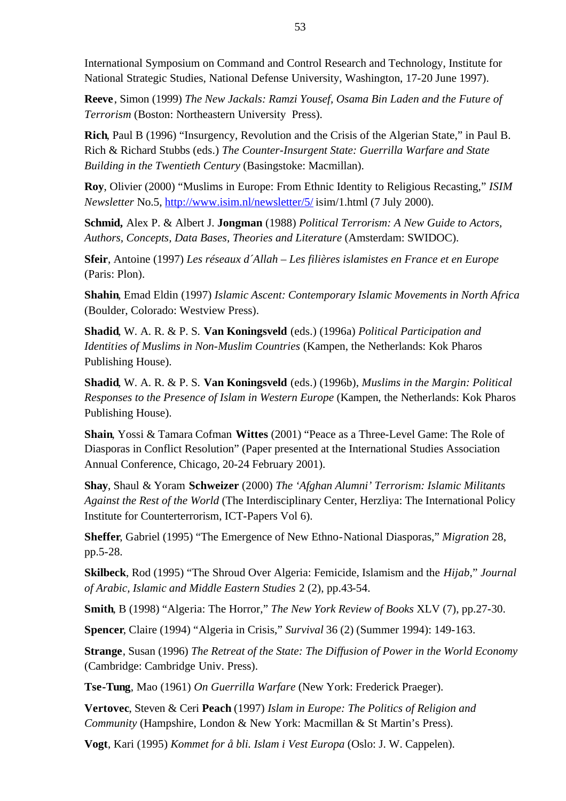International Symposium on Command and Control Research and Technology, Institute for National Strategic Studies, National Defense University, Washington, 17-20 June 1997).

**Reeve**, Simon (1999) *The New Jackals: Ramzi Yousef, Osama Bin Laden and the Future of Terrorism* (Boston: Northeastern University Press).

**Rich**, Paul B (1996) "Insurgency, Revolution and the Crisis of the Algerian State," in Paul B. Rich & Richard Stubbs (eds.) *The Counter-Insurgent State: Guerrilla Warfare and State Building in the Twentieth Century* (Basingstoke: Macmillan).

**Roy**, Olivier (2000) "Muslims in Europe: From Ethnic Identity to Religious Recasting," *ISIM Newsletter* No.5, http://www.isim.nl/newsletter/5/ isim/1.html (7 July 2000).

**Schmid,** Alex P. & Albert J. **Jongman** (1988) *Political Terrorism: A New Guide to Actors, Authors, Concepts, Data Bases, Theories and Literature* (Amsterdam: SWIDOC).

**Sfeir**, Antoine (1997) *Les réseaux d´Allah – Les filières islamistes en France et en Europe*  (Paris: Plon).

**Shahin**, Emad Eldin (1997) *Islamic Ascent: Contemporary Islamic Movements in North Africa*  (Boulder, Colorado: Westview Press).

**Shadid**, W. A. R. & P. S. **Van Koningsveld** (eds.) (1996a) *Political Participation and Identities of Muslims in Non-Muslim Countries* (Kampen, the Netherlands: Kok Pharos Publishing House).

**Shadid**, W. A. R. & P. S. **Van Koningsveld** (eds.) (1996b), *Muslims in the Margin: Political Responses to the Presence of Islam in Western Europe* (Kampen, the Netherlands: Kok Pharos Publishing House).

**Shain**, Yossi & Tamara Cofman **Wittes** (2001) "Peace as a Three-Level Game: The Role of Diasporas in Conflict Resolution" (Paper presented at the International Studies Association Annual Conference, Chicago, 20-24 February 2001).

**Shay**, Shaul & Yoram **Schweizer** (2000) *The 'Afghan Alumni' Terrorism: Islamic Militants Against the Rest of the World* (The Interdisciplinary Center, Herzliya: The International Policy Institute for Counterterrorism, ICT-Papers Vol 6).

**Sheffer**, Gabriel (1995) "The Emergence of New Ethno-National Diasporas," *Migration* 28, pp.5-28.

**Skilbeck**, Rod (1995) "The Shroud Over Algeria: Femicide, Islamism and the *Hijab,*" *Journal of Arabic, Islamic and Middle Eastern Studies* 2 (2), pp.43-54.

**Smith**, B (1998) "Algeria: The Horror," *The New York Review of Books* XLV (7), pp.27-30.

**Spencer**, Claire (1994) "Algeria in Crisis," *Survival* 36 (2) (Summer 1994): 149-163.

**Strange**, Susan (1996) *The Retreat of the State: The Diffusion of Power in the World Economy* (Cambridge: Cambridge Univ. Press).

**Tse-Tung**, Mao (1961) *On Guerrilla Warfare* (New York: Frederick Praeger).

**Vertovec**, Steven & Ceri **Peach** (1997) *Islam in Europe: The Politics of Religion and Community* (Hampshire, London & New York: Macmillan & St Martin's Press).

**Vogt**, Kari (1995) *Kommet for å bli. Islam i Vest Europa* (Oslo: J. W. Cappelen).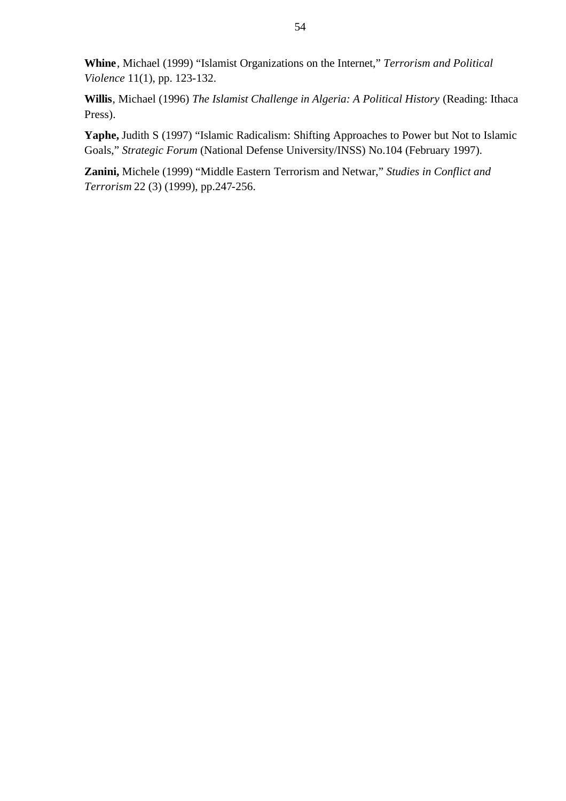**Whine**, Michael (1999) "Islamist Organizations on the Internet," *Terrorism and Political Violence* 11(1), pp. 123-132.

**Willis**, Michael (1996) *The Islamist Challenge in Algeria: A Political History* (Reading: Ithaca Press).

**Yaphe,** Judith S (1997) "Islamic Radicalism: Shifting Approaches to Power but Not to Islamic Goals," *Strategic Forum* (National Defense University/INSS) No.104 (February 1997).

**Zanini,** Michele (1999) "Middle Eastern Terrorism and Netwar," *Studies in Conflict and Terrorism* 22 (3) (1999), pp.247-256.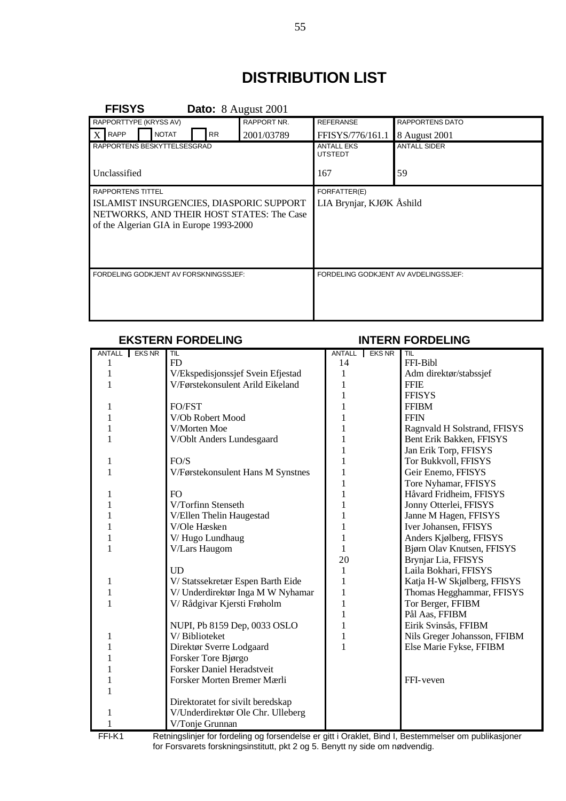# **DISTRIBUTION LIST**

| <b>FFISYS</b>                                                                                                                                                |  |              |           | <b>Dato:</b> 8 August 2001 |                                          |                        |
|--------------------------------------------------------------------------------------------------------------------------------------------------------------|--|--------------|-----------|----------------------------|------------------------------------------|------------------------|
| RAPPORTTYPE (KRYSS AV)                                                                                                                                       |  |              |           | <b>RAPPORT NR.</b>         | <b>REFERANSE</b>                         | <b>RAPPORTENS DATO</b> |
| <b>RAPP</b>                                                                                                                                                  |  | <b>NOTAT</b> | <b>RR</b> | 2001/03789                 | FFISYS/776/161.1                         | 8 August 2001          |
| RAPPORTENS BESKYTTELSESGRAD                                                                                                                                  |  |              |           |                            | <b>ANTALL EKS</b><br><b>UTSTEDT</b>      | <b>ANTALL SIDER</b>    |
| Unclassified                                                                                                                                                 |  |              |           |                            | 167                                      | 59                     |
| <b>RAPPORTENS TITTEL</b><br>ISLAMIST INSURGENCIES, DIASPORIC SUPPORT<br>NETWORKS, AND THEIR HOST STATES: The Case<br>of the Algerian GIA in Europe 1993-2000 |  |              |           |                            | FORFATTER(E)<br>LIA Brynjar, KJØK Åshild |                        |
| FORDELING GODKJENT AV FORSKNINGSSJEF:                                                                                                                        |  |              |           |                            | FORDELING GODKJENT AV AVDELINGSSJEF:     |                        |

#### **EKSTERN FORDELING INTERN FORDELING**

#### ANTALL EKS NR TIL **ANTALL EKS NR** TIL 1 **FD** 14 **FFI-Bibl** 1 V/Ekspedisjonssjef Svein Efjestad 1 Adm direktør/stabssjef 1 V/Førstekonsulent Arild Eikeland 1 FFIE 1 FFISYS 1 FO/FST 1 FFIBM 1 V/Ob Robert Mood 1 1 FFIN 1 V/Morten Moe 1 Ragnvald H Solstrand, FFISYS 1 V/Oblt Anders Lundesgaard 1 Bent Erik Bakken, FFISYS 1 Jan Erik Torp, FFISYS 1 Tor Bukkvoll, FFISYS 1 V/Førstekonsulent Hans M Synstnes 1 Geir Enemo, FFISYS 1 Tore Nyhamar, FFISYS 1 Håvard Fridheim, FFISYS 1 V/Torfinn Stenseth 1 Jonny Otterlei, FFISYS 1 V/Ellen Thelin Haugestad 1 Janne M Hagen, FFISYS 1 V/Ole Hæsken 1 Iver Johansen, FFISYS 1 V/ Hugo Lundhaug 1 Anders Kjølberg, FFISYS 1 V/Lars Haugom 1 Bjørn Olav Knutsen, FFISYS 20 Brynjar Lia, FFISYS UD 1 Laila Bokhari, FFISYS 1 V/ Statssekretær Espen Barth Eide 1 Katja H-W Skjølberg, FFISYS 1 V/ Underdirektør Inga M W Nyhamar 1 1 Thomas Hegghammar, FFISYS 1 V/ Rådgivar Kjersti Frøholm 1 Tor Berger, FFIBM 1 Pål Aas, FFIBM NUPI, Pb 8159 Dep, 0033 OSLO 1 Eirik Svinsås, FFIBM 1 V/ Biblioteket 1 1 Nils Greger Johansson, FFIBM 1 Direktør Sverre Lodgaard 1 Else Marie Fykse, FFIBM 1 Forsker Tore Bjørgo 1 Forsker Daniel Heradstveit 1 Forsker Morten Bremer Mærli FFI-veven 1 Direktoratet for sivilt beredskap 1 V/Underdirektør Ole Chr. Ulleberg 1 V/Tonje Grunnan

FFI-K1 Retningslinjer for fordeling og forsendelse er gitt i Oraklet, Bind I, Bestemmelser om publikasjoner for Forsvarets forskningsinstitutt, pkt 2 og 5. Benytt ny side om nødvendig.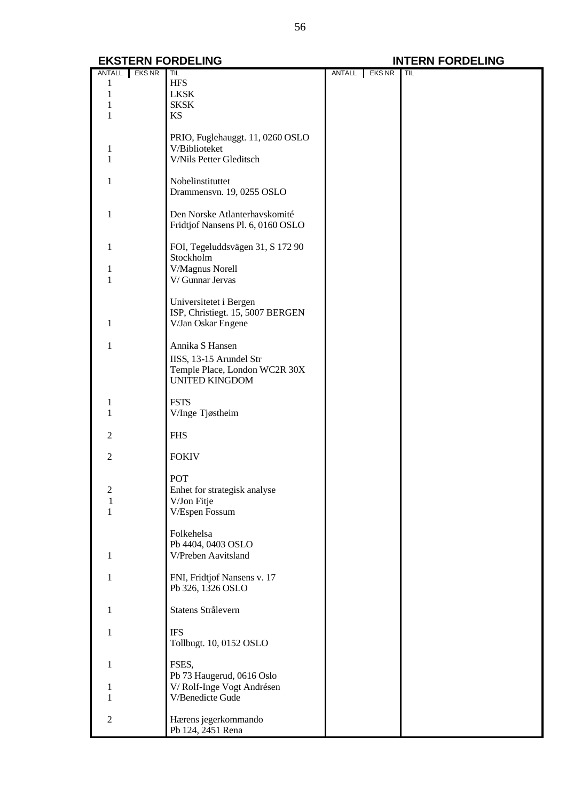|                | ANTALL EKS NR | TIL                               | ANTALL EKS NR | TIL |
|----------------|---------------|-----------------------------------|---------------|-----|
|                |               | <b>HFS</b>                        |               |     |
|                |               |                                   |               |     |
|                |               | <b>LKSK</b>                       |               |     |
|                |               | <b>SKSK</b>                       |               |     |
|                |               | <b>KS</b>                         |               |     |
|                |               |                                   |               |     |
|                |               | PRIO, Fuglehauggt. 11, 0260 OSLO  |               |     |
|                |               |                                   |               |     |
| 1              |               | V/Biblioteket                     |               |     |
|                |               | V/Nils Petter Gleditsch           |               |     |
|                |               |                                   |               |     |
| L              |               | Nobelinstituttet                  |               |     |
|                |               | Drammensvn. 19, 0255 OSLO         |               |     |
|                |               |                                   |               |     |
|                |               |                                   |               |     |
| 1              |               | Den Norske Atlanterhavskomité     |               |     |
|                |               | Fridtjof Nansens Pl. 6, 0160 OSLO |               |     |
|                |               |                                   |               |     |
| 1              |               | FOI, Tegeluddsvägen 31, S 172 90  |               |     |
|                |               | Stockholm                         |               |     |
|                |               | V/Magnus Norell                   |               |     |
|                |               | V/ Gunnar Jervas                  |               |     |
|                |               |                                   |               |     |
|                |               |                                   |               |     |
|                |               | Universitetet i Bergen            |               |     |
|                |               | ISP, Christiegt. 15, 5007 BERGEN  |               |     |
| 1              |               | V/Jan Oskar Engene                |               |     |
|                |               |                                   |               |     |
| 1              |               | Annika S Hansen                   |               |     |
|                |               |                                   |               |     |
|                |               | IISS, 13-15 Arundel Str           |               |     |
|                |               | Temple Place, London WC2R 30X     |               |     |
|                |               | <b>UNITED KINGDOM</b>             |               |     |
|                |               |                                   |               |     |
|                |               | <b>FSTS</b>                       |               |     |
|                |               |                                   |               |     |
|                |               | V/Inge Tjøstheim                  |               |     |
|                |               |                                   |               |     |
| 2              |               | <b>FHS</b>                        |               |     |
|                |               |                                   |               |     |
| 2              |               | <b>FOKIV</b>                      |               |     |
|                |               |                                   |               |     |
|                |               | POT                               |               |     |
|                |               |                                   |               |     |
| $\mathfrak{D}$ |               | Enhet for strategisk analyse      |               |     |
| 1              |               | V/Jon Fitje                       |               |     |
| 1              |               | V/Espen Fossum                    |               |     |
|                |               |                                   |               |     |
|                |               | Folkehelsa                        |               |     |
|                |               | Pb 4404, 0403 OSLO                |               |     |
| 1              |               | V/Preben Aavitsland               |               |     |
|                |               |                                   |               |     |
|                |               |                                   |               |     |
| 1              |               | FNI, Fridtjof Nansens v. 17       |               |     |
|                |               | Pb 326, 1326 OSLO                 |               |     |
|                |               |                                   |               |     |
| 1              |               | Statens Strålevern                |               |     |
|                |               |                                   |               |     |
|                |               |                                   |               |     |
| 1              |               | <b>IFS</b>                        |               |     |
|                |               | Tollbugt. 10, 0152 OSLO           |               |     |
|                |               |                                   |               |     |
| 1              |               | FSES,                             |               |     |
|                |               | Pb 73 Haugerud, 0616 Oslo         |               |     |
|                |               | V/Rolf-Inge Vogt Andrésen         |               |     |
|                |               |                                   |               |     |
|                |               | V/Benedicte Gude                  |               |     |
|                |               |                                   |               |     |
| $\overline{c}$ |               | Hærens jegerkommando              |               |     |
|                |               | Pb 124, 2451 Rena                 |               |     |
|                |               |                                   |               |     |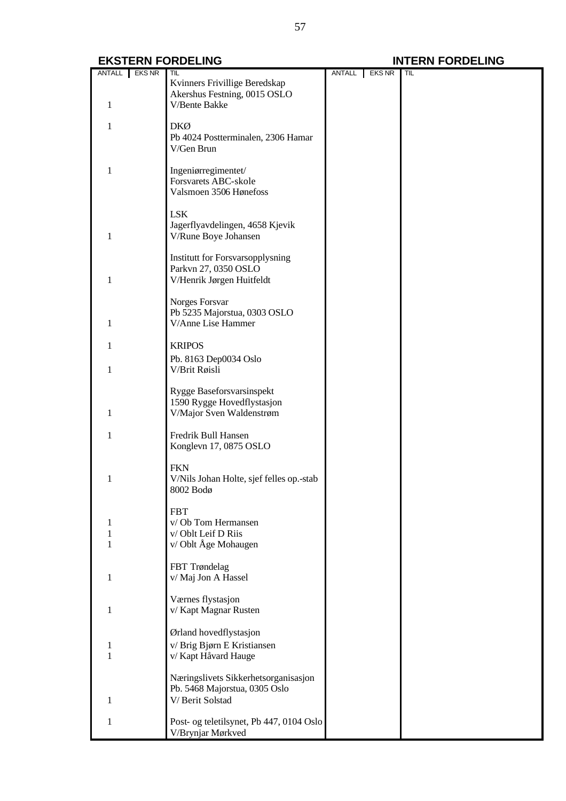| ANTALL EKS NR<br>ANTALL EKS NR<br>Kvinners Frivillige Beredskap<br>Akershus Festning, 0015 OSLO<br>V/Bente Bakke<br>1<br><b>DKØ</b><br>1<br>Pb 4024 Postterminalen, 2306 Hamar<br>V/Gen Brun<br>Ingeniørregimentet/<br>1<br>Forsvarets ABC-skole<br>Valsmoen 3506 Hønefoss<br>LSK<br>Jagerflyavdelingen, 4658 Kjevik<br>1<br>V/Rune Boye Johansen<br><b>Institutt for Forsvarsopplysning</b><br>Parkvn 27, 0350 OSLO<br>V/Henrik Jørgen Huitfeldt<br>1<br>Norges Forsvar<br>Pb 5235 Majorstua, 0303 OSLO<br>V/Anne Lise Hammer<br>1<br><b>KRIPOS</b><br>Pb. 8163 Dep0034 Oslo<br>V/Brit Røisli<br>1<br>Rygge Baseforsvarsinspekt<br>1590 Rygge Hovedflystasjon<br>V/Major Sven Waldenstrøm<br>1<br>Fredrik Bull Hansen<br>1<br>Konglevn 17, 0875 OSLO<br><b>FKN</b><br>V/Nils Johan Holte, sjef felles op.-stab<br>1<br>8002 Bodø<br><b>FBT</b><br>v/Ob Tom Hermansen<br>v/Oblt Leif D Riis<br>v/Oblt Åge Mohaugen<br>1<br>FBT Trøndelag<br>v/ Maj Jon A Hassel<br>1<br>Værnes flystasjon<br>v/Kapt Magnar Rusten<br>1<br>Ørland hovedflystasjon<br>v/Brig Bjørn E Kristiansen<br>1<br>v/ Kapt Håvard Hauge<br>1<br>Næringslivets Sikkerhetsorganisasjon<br>Pb. 5468 Majorstua, 0305 Oslo<br>V/Berit Solstad<br>1<br>Post- og teletilsynet, Pb 447, 0104 Oslo<br>1<br>V/Brynjar Mørkved |  | TIL |  | TIL |
|-----------------------------------------------------------------------------------------------------------------------------------------------------------------------------------------------------------------------------------------------------------------------------------------------------------------------------------------------------------------------------------------------------------------------------------------------------------------------------------------------------------------------------------------------------------------------------------------------------------------------------------------------------------------------------------------------------------------------------------------------------------------------------------------------------------------------------------------------------------------------------------------------------------------------------------------------------------------------------------------------------------------------------------------------------------------------------------------------------------------------------------------------------------------------------------------------------------------------------------------------------------------------------------------|--|-----|--|-----|
|                                                                                                                                                                                                                                                                                                                                                                                                                                                                                                                                                                                                                                                                                                                                                                                                                                                                                                                                                                                                                                                                                                                                                                                                                                                                                         |  |     |  |     |
|                                                                                                                                                                                                                                                                                                                                                                                                                                                                                                                                                                                                                                                                                                                                                                                                                                                                                                                                                                                                                                                                                                                                                                                                                                                                                         |  |     |  |     |
|                                                                                                                                                                                                                                                                                                                                                                                                                                                                                                                                                                                                                                                                                                                                                                                                                                                                                                                                                                                                                                                                                                                                                                                                                                                                                         |  |     |  |     |
|                                                                                                                                                                                                                                                                                                                                                                                                                                                                                                                                                                                                                                                                                                                                                                                                                                                                                                                                                                                                                                                                                                                                                                                                                                                                                         |  |     |  |     |
|                                                                                                                                                                                                                                                                                                                                                                                                                                                                                                                                                                                                                                                                                                                                                                                                                                                                                                                                                                                                                                                                                                                                                                                                                                                                                         |  |     |  |     |
|                                                                                                                                                                                                                                                                                                                                                                                                                                                                                                                                                                                                                                                                                                                                                                                                                                                                                                                                                                                                                                                                                                                                                                                                                                                                                         |  |     |  |     |
|                                                                                                                                                                                                                                                                                                                                                                                                                                                                                                                                                                                                                                                                                                                                                                                                                                                                                                                                                                                                                                                                                                                                                                                                                                                                                         |  |     |  |     |
|                                                                                                                                                                                                                                                                                                                                                                                                                                                                                                                                                                                                                                                                                                                                                                                                                                                                                                                                                                                                                                                                                                                                                                                                                                                                                         |  |     |  |     |
|                                                                                                                                                                                                                                                                                                                                                                                                                                                                                                                                                                                                                                                                                                                                                                                                                                                                                                                                                                                                                                                                                                                                                                                                                                                                                         |  |     |  |     |
|                                                                                                                                                                                                                                                                                                                                                                                                                                                                                                                                                                                                                                                                                                                                                                                                                                                                                                                                                                                                                                                                                                                                                                                                                                                                                         |  |     |  |     |
|                                                                                                                                                                                                                                                                                                                                                                                                                                                                                                                                                                                                                                                                                                                                                                                                                                                                                                                                                                                                                                                                                                                                                                                                                                                                                         |  |     |  |     |
|                                                                                                                                                                                                                                                                                                                                                                                                                                                                                                                                                                                                                                                                                                                                                                                                                                                                                                                                                                                                                                                                                                                                                                                                                                                                                         |  |     |  |     |
|                                                                                                                                                                                                                                                                                                                                                                                                                                                                                                                                                                                                                                                                                                                                                                                                                                                                                                                                                                                                                                                                                                                                                                                                                                                                                         |  |     |  |     |
|                                                                                                                                                                                                                                                                                                                                                                                                                                                                                                                                                                                                                                                                                                                                                                                                                                                                                                                                                                                                                                                                                                                                                                                                                                                                                         |  |     |  |     |
|                                                                                                                                                                                                                                                                                                                                                                                                                                                                                                                                                                                                                                                                                                                                                                                                                                                                                                                                                                                                                                                                                                                                                                                                                                                                                         |  |     |  |     |
|                                                                                                                                                                                                                                                                                                                                                                                                                                                                                                                                                                                                                                                                                                                                                                                                                                                                                                                                                                                                                                                                                                                                                                                                                                                                                         |  |     |  |     |
|                                                                                                                                                                                                                                                                                                                                                                                                                                                                                                                                                                                                                                                                                                                                                                                                                                                                                                                                                                                                                                                                                                                                                                                                                                                                                         |  |     |  |     |
|                                                                                                                                                                                                                                                                                                                                                                                                                                                                                                                                                                                                                                                                                                                                                                                                                                                                                                                                                                                                                                                                                                                                                                                                                                                                                         |  |     |  |     |
|                                                                                                                                                                                                                                                                                                                                                                                                                                                                                                                                                                                                                                                                                                                                                                                                                                                                                                                                                                                                                                                                                                                                                                                                                                                                                         |  |     |  |     |
|                                                                                                                                                                                                                                                                                                                                                                                                                                                                                                                                                                                                                                                                                                                                                                                                                                                                                                                                                                                                                                                                                                                                                                                                                                                                                         |  |     |  |     |
|                                                                                                                                                                                                                                                                                                                                                                                                                                                                                                                                                                                                                                                                                                                                                                                                                                                                                                                                                                                                                                                                                                                                                                                                                                                                                         |  |     |  |     |
|                                                                                                                                                                                                                                                                                                                                                                                                                                                                                                                                                                                                                                                                                                                                                                                                                                                                                                                                                                                                                                                                                                                                                                                                                                                                                         |  |     |  |     |
|                                                                                                                                                                                                                                                                                                                                                                                                                                                                                                                                                                                                                                                                                                                                                                                                                                                                                                                                                                                                                                                                                                                                                                                                                                                                                         |  |     |  |     |
|                                                                                                                                                                                                                                                                                                                                                                                                                                                                                                                                                                                                                                                                                                                                                                                                                                                                                                                                                                                                                                                                                                                                                                                                                                                                                         |  |     |  |     |
|                                                                                                                                                                                                                                                                                                                                                                                                                                                                                                                                                                                                                                                                                                                                                                                                                                                                                                                                                                                                                                                                                                                                                                                                                                                                                         |  |     |  |     |
|                                                                                                                                                                                                                                                                                                                                                                                                                                                                                                                                                                                                                                                                                                                                                                                                                                                                                                                                                                                                                                                                                                                                                                                                                                                                                         |  |     |  |     |
|                                                                                                                                                                                                                                                                                                                                                                                                                                                                                                                                                                                                                                                                                                                                                                                                                                                                                                                                                                                                                                                                                                                                                                                                                                                                                         |  |     |  |     |
|                                                                                                                                                                                                                                                                                                                                                                                                                                                                                                                                                                                                                                                                                                                                                                                                                                                                                                                                                                                                                                                                                                                                                                                                                                                                                         |  |     |  |     |
|                                                                                                                                                                                                                                                                                                                                                                                                                                                                                                                                                                                                                                                                                                                                                                                                                                                                                                                                                                                                                                                                                                                                                                                                                                                                                         |  |     |  |     |
|                                                                                                                                                                                                                                                                                                                                                                                                                                                                                                                                                                                                                                                                                                                                                                                                                                                                                                                                                                                                                                                                                                                                                                                                                                                                                         |  |     |  |     |
|                                                                                                                                                                                                                                                                                                                                                                                                                                                                                                                                                                                                                                                                                                                                                                                                                                                                                                                                                                                                                                                                                                                                                                                                                                                                                         |  |     |  |     |
|                                                                                                                                                                                                                                                                                                                                                                                                                                                                                                                                                                                                                                                                                                                                                                                                                                                                                                                                                                                                                                                                                                                                                                                                                                                                                         |  |     |  |     |
|                                                                                                                                                                                                                                                                                                                                                                                                                                                                                                                                                                                                                                                                                                                                                                                                                                                                                                                                                                                                                                                                                                                                                                                                                                                                                         |  |     |  |     |
|                                                                                                                                                                                                                                                                                                                                                                                                                                                                                                                                                                                                                                                                                                                                                                                                                                                                                                                                                                                                                                                                                                                                                                                                                                                                                         |  |     |  |     |
|                                                                                                                                                                                                                                                                                                                                                                                                                                                                                                                                                                                                                                                                                                                                                                                                                                                                                                                                                                                                                                                                                                                                                                                                                                                                                         |  |     |  |     |
|                                                                                                                                                                                                                                                                                                                                                                                                                                                                                                                                                                                                                                                                                                                                                                                                                                                                                                                                                                                                                                                                                                                                                                                                                                                                                         |  |     |  |     |
|                                                                                                                                                                                                                                                                                                                                                                                                                                                                                                                                                                                                                                                                                                                                                                                                                                                                                                                                                                                                                                                                                                                                                                                                                                                                                         |  |     |  |     |
|                                                                                                                                                                                                                                                                                                                                                                                                                                                                                                                                                                                                                                                                                                                                                                                                                                                                                                                                                                                                                                                                                                                                                                                                                                                                                         |  |     |  |     |
|                                                                                                                                                                                                                                                                                                                                                                                                                                                                                                                                                                                                                                                                                                                                                                                                                                                                                                                                                                                                                                                                                                                                                                                                                                                                                         |  |     |  |     |
|                                                                                                                                                                                                                                                                                                                                                                                                                                                                                                                                                                                                                                                                                                                                                                                                                                                                                                                                                                                                                                                                                                                                                                                                                                                                                         |  |     |  |     |
|                                                                                                                                                                                                                                                                                                                                                                                                                                                                                                                                                                                                                                                                                                                                                                                                                                                                                                                                                                                                                                                                                                                                                                                                                                                                                         |  |     |  |     |
|                                                                                                                                                                                                                                                                                                                                                                                                                                                                                                                                                                                                                                                                                                                                                                                                                                                                                                                                                                                                                                                                                                                                                                                                                                                                                         |  |     |  |     |
|                                                                                                                                                                                                                                                                                                                                                                                                                                                                                                                                                                                                                                                                                                                                                                                                                                                                                                                                                                                                                                                                                                                                                                                                                                                                                         |  |     |  |     |
|                                                                                                                                                                                                                                                                                                                                                                                                                                                                                                                                                                                                                                                                                                                                                                                                                                                                                                                                                                                                                                                                                                                                                                                                                                                                                         |  |     |  |     |
|                                                                                                                                                                                                                                                                                                                                                                                                                                                                                                                                                                                                                                                                                                                                                                                                                                                                                                                                                                                                                                                                                                                                                                                                                                                                                         |  |     |  |     |
|                                                                                                                                                                                                                                                                                                                                                                                                                                                                                                                                                                                                                                                                                                                                                                                                                                                                                                                                                                                                                                                                                                                                                                                                                                                                                         |  |     |  |     |
|                                                                                                                                                                                                                                                                                                                                                                                                                                                                                                                                                                                                                                                                                                                                                                                                                                                                                                                                                                                                                                                                                                                                                                                                                                                                                         |  |     |  |     |
|                                                                                                                                                                                                                                                                                                                                                                                                                                                                                                                                                                                                                                                                                                                                                                                                                                                                                                                                                                                                                                                                                                                                                                                                                                                                                         |  |     |  |     |
|                                                                                                                                                                                                                                                                                                                                                                                                                                                                                                                                                                                                                                                                                                                                                                                                                                                                                                                                                                                                                                                                                                                                                                                                                                                                                         |  |     |  |     |
|                                                                                                                                                                                                                                                                                                                                                                                                                                                                                                                                                                                                                                                                                                                                                                                                                                                                                                                                                                                                                                                                                                                                                                                                                                                                                         |  |     |  |     |
|                                                                                                                                                                                                                                                                                                                                                                                                                                                                                                                                                                                                                                                                                                                                                                                                                                                                                                                                                                                                                                                                                                                                                                                                                                                                                         |  |     |  |     |
|                                                                                                                                                                                                                                                                                                                                                                                                                                                                                                                                                                                                                                                                                                                                                                                                                                                                                                                                                                                                                                                                                                                                                                                                                                                                                         |  |     |  |     |
|                                                                                                                                                                                                                                                                                                                                                                                                                                                                                                                                                                                                                                                                                                                                                                                                                                                                                                                                                                                                                                                                                                                                                                                                                                                                                         |  |     |  |     |
|                                                                                                                                                                                                                                                                                                                                                                                                                                                                                                                                                                                                                                                                                                                                                                                                                                                                                                                                                                                                                                                                                                                                                                                                                                                                                         |  |     |  |     |
|                                                                                                                                                                                                                                                                                                                                                                                                                                                                                                                                                                                                                                                                                                                                                                                                                                                                                                                                                                                                                                                                                                                                                                                                                                                                                         |  |     |  |     |
|                                                                                                                                                                                                                                                                                                                                                                                                                                                                                                                                                                                                                                                                                                                                                                                                                                                                                                                                                                                                                                                                                                                                                                                                                                                                                         |  |     |  |     |
|                                                                                                                                                                                                                                                                                                                                                                                                                                                                                                                                                                                                                                                                                                                                                                                                                                                                                                                                                                                                                                                                                                                                                                                                                                                                                         |  |     |  |     |
|                                                                                                                                                                                                                                                                                                                                                                                                                                                                                                                                                                                                                                                                                                                                                                                                                                                                                                                                                                                                                                                                                                                                                                                                                                                                                         |  |     |  |     |
|                                                                                                                                                                                                                                                                                                                                                                                                                                                                                                                                                                                                                                                                                                                                                                                                                                                                                                                                                                                                                                                                                                                                                                                                                                                                                         |  |     |  |     |
|                                                                                                                                                                                                                                                                                                                                                                                                                                                                                                                                                                                                                                                                                                                                                                                                                                                                                                                                                                                                                                                                                                                                                                                                                                                                                         |  |     |  |     |
|                                                                                                                                                                                                                                                                                                                                                                                                                                                                                                                                                                                                                                                                                                                                                                                                                                                                                                                                                                                                                                                                                                                                                                                                                                                                                         |  |     |  |     |
|                                                                                                                                                                                                                                                                                                                                                                                                                                                                                                                                                                                                                                                                                                                                                                                                                                                                                                                                                                                                                                                                                                                                                                                                                                                                                         |  |     |  |     |
|                                                                                                                                                                                                                                                                                                                                                                                                                                                                                                                                                                                                                                                                                                                                                                                                                                                                                                                                                                                                                                                                                                                                                                                                                                                                                         |  |     |  |     |
|                                                                                                                                                                                                                                                                                                                                                                                                                                                                                                                                                                                                                                                                                                                                                                                                                                                                                                                                                                                                                                                                                                                                                                                                                                                                                         |  |     |  |     |
|                                                                                                                                                                                                                                                                                                                                                                                                                                                                                                                                                                                                                                                                                                                                                                                                                                                                                                                                                                                                                                                                                                                                                                                                                                                                                         |  |     |  |     |
|                                                                                                                                                                                                                                                                                                                                                                                                                                                                                                                                                                                                                                                                                                                                                                                                                                                                                                                                                                                                                                                                                                                                                                                                                                                                                         |  |     |  |     |
|                                                                                                                                                                                                                                                                                                                                                                                                                                                                                                                                                                                                                                                                                                                                                                                                                                                                                                                                                                                                                                                                                                                                                                                                                                                                                         |  |     |  |     |
|                                                                                                                                                                                                                                                                                                                                                                                                                                                                                                                                                                                                                                                                                                                                                                                                                                                                                                                                                                                                                                                                                                                                                                                                                                                                                         |  |     |  |     |
|                                                                                                                                                                                                                                                                                                                                                                                                                                                                                                                                                                                                                                                                                                                                                                                                                                                                                                                                                                                                                                                                                                                                                                                                                                                                                         |  |     |  |     |
|                                                                                                                                                                                                                                                                                                                                                                                                                                                                                                                                                                                                                                                                                                                                                                                                                                                                                                                                                                                                                                                                                                                                                                                                                                                                                         |  |     |  |     |
|                                                                                                                                                                                                                                                                                                                                                                                                                                                                                                                                                                                                                                                                                                                                                                                                                                                                                                                                                                                                                                                                                                                                                                                                                                                                                         |  |     |  |     |
|                                                                                                                                                                                                                                                                                                                                                                                                                                                                                                                                                                                                                                                                                                                                                                                                                                                                                                                                                                                                                                                                                                                                                                                                                                                                                         |  |     |  |     |
|                                                                                                                                                                                                                                                                                                                                                                                                                                                                                                                                                                                                                                                                                                                                                                                                                                                                                                                                                                                                                                                                                                                                                                                                                                                                                         |  |     |  |     |
|                                                                                                                                                                                                                                                                                                                                                                                                                                                                                                                                                                                                                                                                                                                                                                                                                                                                                                                                                                                                                                                                                                                                                                                                                                                                                         |  |     |  |     |
|                                                                                                                                                                                                                                                                                                                                                                                                                                                                                                                                                                                                                                                                                                                                                                                                                                                                                                                                                                                                                                                                                                                                                                                                                                                                                         |  |     |  |     |
|                                                                                                                                                                                                                                                                                                                                                                                                                                                                                                                                                                                                                                                                                                                                                                                                                                                                                                                                                                                                                                                                                                                                                                                                                                                                                         |  |     |  |     |
|                                                                                                                                                                                                                                                                                                                                                                                                                                                                                                                                                                                                                                                                                                                                                                                                                                                                                                                                                                                                                                                                                                                                                                                                                                                                                         |  |     |  |     |
|                                                                                                                                                                                                                                                                                                                                                                                                                                                                                                                                                                                                                                                                                                                                                                                                                                                                                                                                                                                                                                                                                                                                                                                                                                                                                         |  |     |  |     |
|                                                                                                                                                                                                                                                                                                                                                                                                                                                                                                                                                                                                                                                                                                                                                                                                                                                                                                                                                                                                                                                                                                                                                                                                                                                                                         |  |     |  |     |
|                                                                                                                                                                                                                                                                                                                                                                                                                                                                                                                                                                                                                                                                                                                                                                                                                                                                                                                                                                                                                                                                                                                                                                                                                                                                                         |  |     |  |     |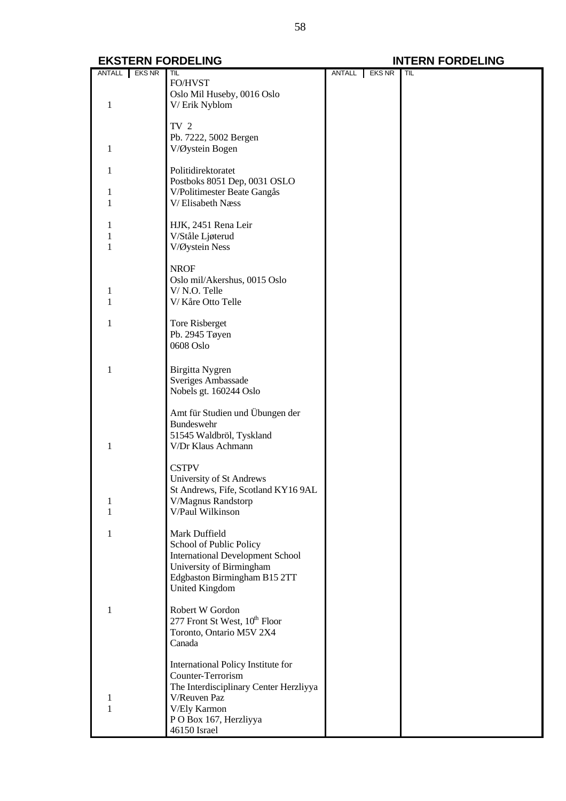|        | ANTALL EKS NR | TIL                                          | ANTALL EKS NR | TIL |
|--------|---------------|----------------------------------------------|---------------|-----|
|        |               | FO/HVST                                      |               |     |
|        |               | Oslo Mil Huseby, 0016 Oslo                   |               |     |
| 1      |               | V/Erik Nyblom                                |               |     |
|        |               |                                              |               |     |
|        |               | TV <sub>2</sub>                              |               |     |
|        |               | Pb. 7222, 5002 Bergen                        |               |     |
| 1      |               | V/Øystein Bogen                              |               |     |
|        |               |                                              |               |     |
| 1      |               | Politidirektoratet                           |               |     |
|        |               | Postboks 8051 Dep, 0031 OSLO                 |               |     |
| 1      |               | V/Politimester Beate Gangås                  |               |     |
| 1      |               | V/Elisabeth Næss                             |               |     |
|        |               |                                              |               |     |
|        |               | HJK, 2451 Rena Leir                          |               |     |
|        |               | V/Ståle Ljøterud                             |               |     |
| 1      |               | V/Øystein Ness                               |               |     |
|        |               |                                              |               |     |
|        |               | <b>NROF</b>                                  |               |     |
|        |               |                                              |               |     |
|        |               | Oslo mil/Akershus, 0015 Oslo<br>V/N.O. Telle |               |     |
| 1<br>1 |               |                                              |               |     |
|        |               | V/Kåre Otto Telle                            |               |     |
| 1      |               |                                              |               |     |
|        |               | Tore Risberget                               |               |     |
|        |               | Pb. 2945 Tøyen<br>0608 Oslo                  |               |     |
|        |               |                                              |               |     |
|        |               |                                              |               |     |
| 1      |               | Birgitta Nygren                              |               |     |
|        |               | Sveriges Ambassade                           |               |     |
|        |               | Nobels gt. 160244 Oslo                       |               |     |
|        |               |                                              |               |     |
|        |               | Amt für Studien und Übungen der              |               |     |
|        |               | Bundeswehr                                   |               |     |
|        |               | 51545 Waldbröl, Tyskland                     |               |     |
| 1      |               | V/Dr Klaus Achmann                           |               |     |
|        |               |                                              |               |     |
|        |               | <b>CSTPV</b>                                 |               |     |
|        |               | University of St Andrews                     |               |     |
|        |               | St Andrews, Fife, Scotland KY16 9AL          |               |     |
|        |               | V/Magnus Randstorp                           |               |     |
|        |               | V/Paul Wilkinson                             |               |     |
|        |               |                                              |               |     |
|        |               | Mark Duffield                                |               |     |
|        |               | School of Public Policy                      |               |     |
|        |               | <b>International Development School</b>      |               |     |
|        |               | University of Birmingham                     |               |     |
|        |               | Edgbaston Birmingham B15 2TT                 |               |     |
|        |               | <b>United Kingdom</b>                        |               |     |
|        |               |                                              |               |     |
| 1      |               | Robert W Gordon                              |               |     |
|        |               | 277 Front St West, 10 <sup>th</sup> Floor    |               |     |
|        |               | Toronto, Ontario M5V 2X4                     |               |     |
|        |               | Canada                                       |               |     |
|        |               |                                              |               |     |
|        |               | International Policy Institute for           |               |     |
|        |               | Counter-Terrorism                            |               |     |
|        |               | The Interdisciplinary Center Herzliyya       |               |     |
|        |               | V/Reuven Paz                                 |               |     |
| 1      |               | V/Ely Karmon                                 |               |     |
|        |               | PO Box 167, Herzliyya                        |               |     |
|        |               | 46150 Israel                                 |               |     |
|        |               |                                              |               |     |